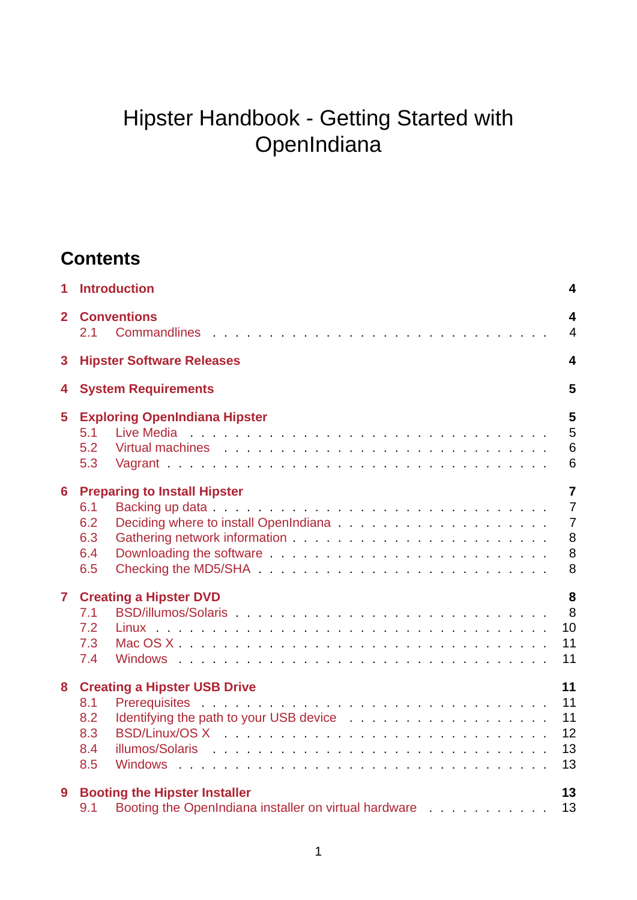# Hipster Handbook - Getting Started with **OpenIndiana**

# **Contents**

| $\mathbf{1}$   | <b>Introduction</b>                                                                                                                                                                                                                                                                                     | 4                                                                 |
|----------------|---------------------------------------------------------------------------------------------------------------------------------------------------------------------------------------------------------------------------------------------------------------------------------------------------------|-------------------------------------------------------------------|
| $\overline{2}$ | <b>Conventions</b><br>2.1                                                                                                                                                                                                                                                                               | $\overline{\mathbf{4}}$<br>$\overline{4}$                         |
| 3              | <b>Hipster Software Releases</b>                                                                                                                                                                                                                                                                        | 4                                                                 |
| 4              | <b>System Requirements</b>                                                                                                                                                                                                                                                                              | 5                                                                 |
| 5              | <b>Exploring OpenIndiana Hipster</b><br>5.1<br>5.2<br>Virtual machines and the contract of the contract of the contract of the contract of the contract of the contract of the contract of the contract of the contract of the contract of the contract of the contract of the contr<br>5.3             | 5<br>5<br>$6\phantom{1}$<br>$6\phantom{1}$                        |
| 6              | <b>Preparing to Install Hipster</b><br>6.1<br>6.2<br>6.3<br>Downloading the software entertainment of the set of the set of the set of the set of the set of the set of the set of the set of the set of the set of the set of the set of the set of the set of the set of the set of the<br>6.4<br>6.5 | $\overline{7}$<br>$\overline{7}$<br>$\overline{7}$<br>8<br>8<br>8 |
| $\overline{7}$ | <b>Creating a Hipster DVD</b><br>7.1<br>7.2<br>7.3<br>7.4                                                                                                                                                                                                                                               | 8<br>8<br>10<br>11<br>11                                          |
| 8              | <b>Creating a Hipster USB Drive</b><br>8.1<br>8.2<br>8.3<br>8.4<br>8.5                                                                                                                                                                                                                                  | 11<br>11<br>11<br>12<br>13<br>13                                  |
| 9              | <b>Booting the Hipster Installer</b><br>Booting the OpenIndiana installer on virtual hardware<br>9.1                                                                                                                                                                                                    | 13<br>13                                                          |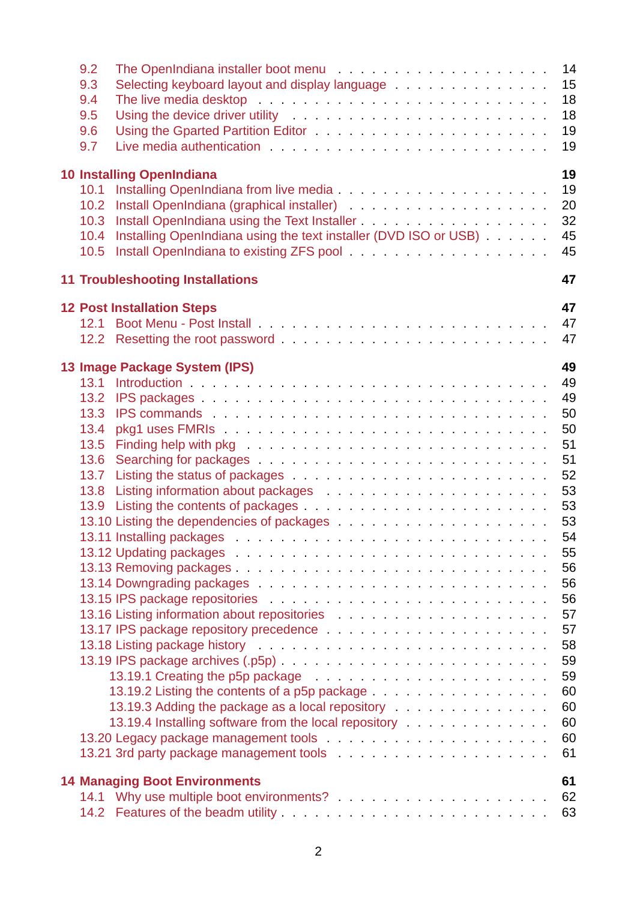| 9.2  |                                                                                                                                                                                                                                      | 14 |
|------|--------------------------------------------------------------------------------------------------------------------------------------------------------------------------------------------------------------------------------------|----|
| 9.3  | Selecting keyboard layout and display language                                                                                                                                                                                       | 15 |
| 9.4  | The live media desktop research and the set of the set of the set of the set of the set of the set of the set of the set of the set of the set of the set of the set of the set of the set of the set of the set of the set of       | 18 |
| 9.5  | Using the device driver utility with a subset of the subset of the subset of the subset of the subset of the s                                                                                                                       | 18 |
| 9.6  | Using the Gparted Partition Editor <b>Constanting Constanting Constanting Constanting Constanting Constanting Constanting Constanting Constanting Constanting Constanting Constanting Constanting Constanting Constanting Consta</b> | 19 |
| 9.7  |                                                                                                                                                                                                                                      | 19 |
|      | <b>10 Installing OpenIndiana</b>                                                                                                                                                                                                     | 19 |
|      |                                                                                                                                                                                                                                      | 19 |
| 10.2 |                                                                                                                                                                                                                                      | 20 |
| 10.3 |                                                                                                                                                                                                                                      | 32 |
| 10.4 | Installing OpenIndiana using the text installer (DVD ISO or USB)                                                                                                                                                                     | 45 |
| 10.5 |                                                                                                                                                                                                                                      | 45 |
|      | <b>11 Troubleshooting Installations</b>                                                                                                                                                                                              | 47 |
|      |                                                                                                                                                                                                                                      |    |
|      | <b>12 Post Installation Steps</b>                                                                                                                                                                                                    | 47 |
|      |                                                                                                                                                                                                                                      | 47 |
|      |                                                                                                                                                                                                                                      | 47 |
|      | 13 Image Package System (IPS)                                                                                                                                                                                                        | 49 |
|      |                                                                                                                                                                                                                                      | 49 |
| 13.2 |                                                                                                                                                                                                                                      | 49 |
| 13.3 | IPS commands in the contract of the contract of the contract of the contract of the contract of the contract of the contract of the contract of the contract of the contract of the contract of the contract of the contract o       | 50 |
| 13.4 |                                                                                                                                                                                                                                      | 50 |
| 13.5 | Finding help with pkg research and research and research and research and research and research and research and research and research and response to the set of the set of the set of the set of the set of the set of the s       | 51 |
| 13.6 |                                                                                                                                                                                                                                      | 51 |
| 13.7 |                                                                                                                                                                                                                                      | 52 |
| 13.8 | Listing information about packages entitled and according information about packages and according to the control of the control of the control of the control of the control of the control of the control of the control of        | 53 |
| 13.9 |                                                                                                                                                                                                                                      | 53 |
|      |                                                                                                                                                                                                                                      | 53 |
|      |                                                                                                                                                                                                                                      | 54 |
|      | 13.12 Updating packages entertainment and the set of the set of the set of the set of the set of the set of the                                                                                                                      | 55 |
|      |                                                                                                                                                                                                                                      | 56 |
|      |                                                                                                                                                                                                                                      | 56 |
|      |                                                                                                                                                                                                                                      | 56 |
|      | 13.16 Listing information about repositories                                                                                                                                                                                         | 57 |
|      |                                                                                                                                                                                                                                      | 57 |
|      |                                                                                                                                                                                                                                      | 58 |
|      |                                                                                                                                                                                                                                      | 59 |
|      | 13.19.1 Creating the p5p package entitled and a set of the set of the problem.                                                                                                                                                       | 59 |
|      | 13.19.2 Listing the contents of a p5p package                                                                                                                                                                                        | 60 |
|      | 13.19.3 Adding the package as a local repository entertainment of the package as a local repository                                                                                                                                  | 60 |
|      | 13.19.4 Installing software from the local repository entering and service in the set of the local repository                                                                                                                        | 60 |
|      |                                                                                                                                                                                                                                      | 60 |
|      | 13.21 3rd party package management tools [11] Allen Land and Daniel And Daniel Allen Books and Daniel Allen Books and Daniel Allen Books and Daniel Allen Books and Daniel Allen Books and Daniel Allen Books and Daniel Allen       | 61 |
|      | <b>14 Managing Boot Environments</b>                                                                                                                                                                                                 | 61 |
|      |                                                                                                                                                                                                                                      | 62 |
|      |                                                                                                                                                                                                                                      | 63 |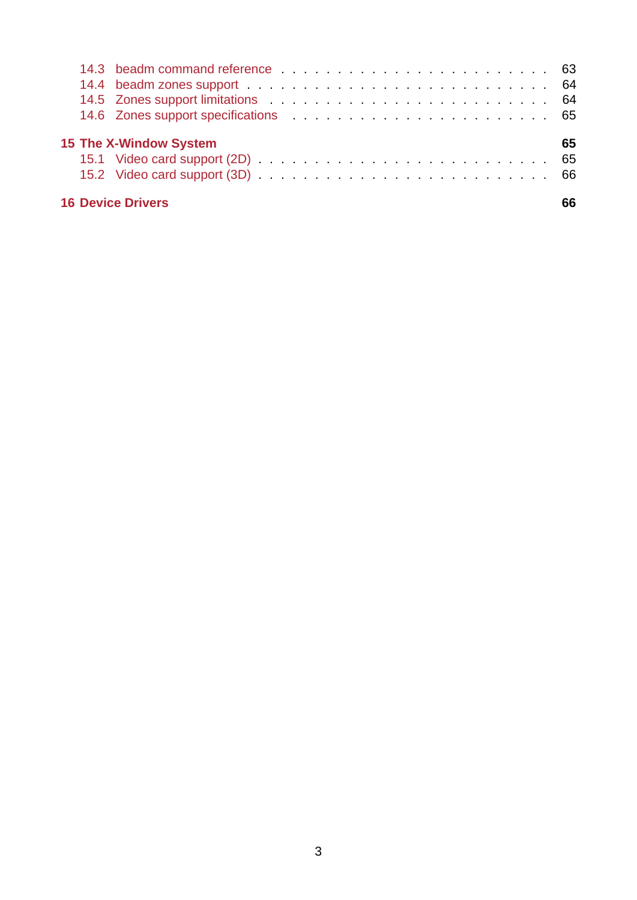|  | 14.3 beadm command reference enterprise under the contract of the contract of the contract of the contract of the contract of the contract of the contract of the contract of the contract of the contract of the contract of<br>14.4 beadm zones support enterprised by the contract of the contract of the contract of the contract of the contract of the contract of the contract of the contract of the contract of the contract of the contract of the co<br>14.6 Zones support specifications entertainment of the state of the state of the state of the state of the state of the state of the state of the state of the state of the state of the state of the state of the state of th |  |  |  |  |  |  |  |  |  |  |  |  |    |
|--|---------------------------------------------------------------------------------------------------------------------------------------------------------------------------------------------------------------------------------------------------------------------------------------------------------------------------------------------------------------------------------------------------------------------------------------------------------------------------------------------------------------------------------------------------------------------------------------------------------------------------------------------------------------------------------------------------|--|--|--|--|--|--|--|--|--|--|--|--|----|
|  | <b>15 The X-Window System</b>                                                                                                                                                                                                                                                                                                                                                                                                                                                                                                                                                                                                                                                                     |  |  |  |  |  |  |  |  |  |  |  |  | 65 |
|  | <b>16 Device Drivers</b>                                                                                                                                                                                                                                                                                                                                                                                                                                                                                                                                                                                                                                                                          |  |  |  |  |  |  |  |  |  |  |  |  | 66 |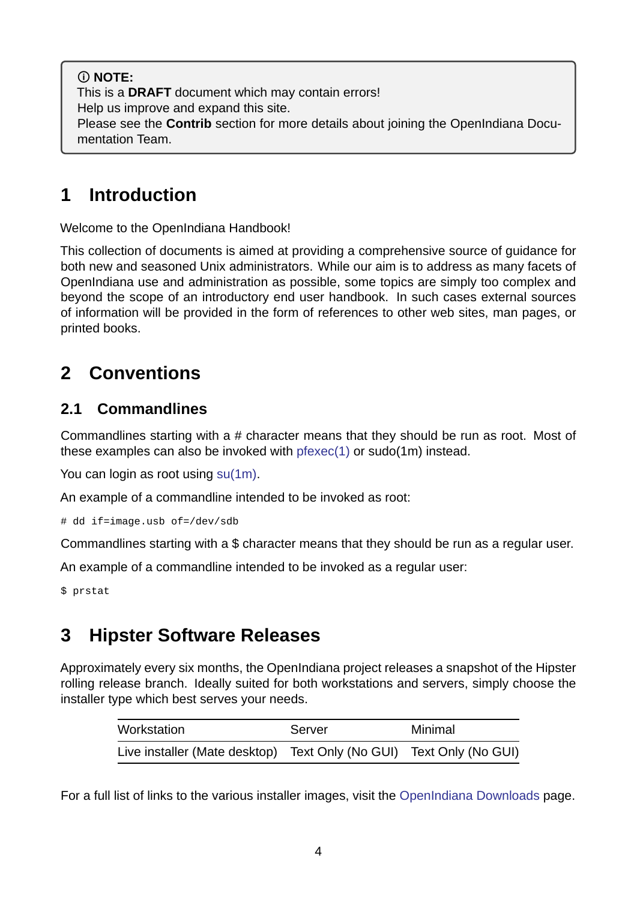**NOTE:** This is a **DRAFT** document which may contain errors! Help us improve and expand this site. Please see the **Contrib** section for more details about joining the OpenIndiana Documentation Team.

# **1 Introduction**

<span id="page-3-0"></span>Welcome to the OpenIndiana Handbook!

This collection of documents is aimed at providing a comprehensive source of guidance for both new and seasoned Unix administrators. While our aim is to address as many facets of OpenIndiana use and administration as possible, some topics are simply too complex and beyond the scope of an introductory end user handbook. In such cases external sources of information will be provided in the form of references to other web sites, man pages, or printed books.

# **2 Conventions**

# <span id="page-3-1"></span>**2.1 Commandlines**

<span id="page-3-2"></span>Commandlines starting with a  $#$  character means that they should be run as root. Most of these examples can also be invoked with  $p$  fexec(1) or sudo(1m) instead.

You can login as root using su(1m).

An example of a commandline intended t[o be invok](https://illumos.org/man/1/pfexec)ed as root:

# dd if=image.usb of=/dev[/sdb](https://illumos.org/man/1m/su)

Commandlines starting with a \$ character means that they should be run as a regular user.

An example of a commandline intended to be invoked as a regular user:

\$ prstat

# **3 Hipster Software Releases**

<span id="page-3-3"></span>Approximately every six months, the OpenIndiana project releases a snapshot of the Hipster rolling release branch. Ideally suited for both workstations and servers, simply choose the installer type which best serves your needs.

| Workstation                                                         | Server | Minimal |
|---------------------------------------------------------------------|--------|---------|
| Live installer (Mate desktop) Text Only (No GUI) Text Only (No GUI) |        |         |

For a full list of links to the various installer images, visit the OpenIndiana Downloads page.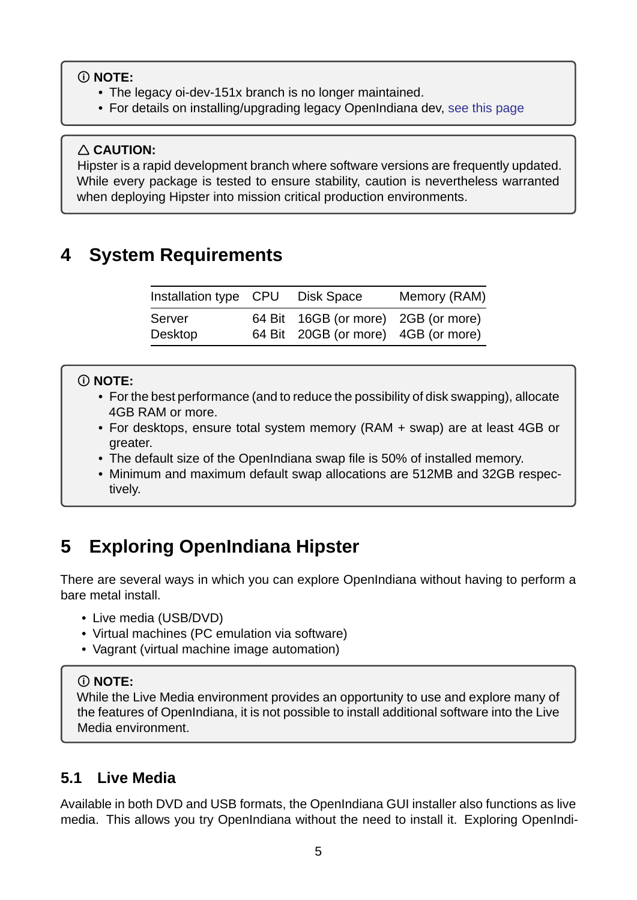### **NOTE:**

- The legacy oi-dev-151x branch is no longer maintained.
- For details on installing/upgrading legacy OpenIndiana dev, see this page

### **CAUTION:**

Hipster is a rapid development branch where software versions ar[e frequently up](./legacy-branch.md)dated. While every package is tested to ensure stability, caution is nevertheless warranted when deploying Hipster into mission critical production environments.

# <span id="page-4-0"></span>**4 System Requirements**

| Installation type CPU Disk Space |                                     | Memory (RAM) |  |  |  |  |
|----------------------------------|-------------------------------------|--------------|--|--|--|--|
| Server                           | 64 Bit 16GB (or more) 2GB (or more) |              |  |  |  |  |
| Desktop                          | 64 Bit 20GB (or more) 4GB (or more) |              |  |  |  |  |

## **NOTE:**

- For the best performance (and to reduce the possibility of disk swapping), allocate 4GB RAM or more.
- For desktops, ensure total system memory (RAM + swap) are at least 4GB or greater.
- The default size of the OpenIndiana swap file is 50% of installed memory.
- Minimum and maximum default swap allocations are 512MB and 32GB respectively.

# **5 Exploring OpenIndiana Hipster**

<span id="page-4-1"></span>There are several ways in which you can explore OpenIndiana without having to perform a bare metal install.

- Live media (USB/DVD)
- Virtual machines (PC emulation via software)
- Vagrant (virtual machine image automation)

## **NOTE:**

While the Live Media environment provides an opportunity to use and explore many of the features of OpenIndiana, it is not possible to install additional software into the Live Media environment.

## **5.1 Live Media**

<span id="page-4-2"></span>Available in both DVD and USB formats, the OpenIndiana GUI installer also functions as live media. This allows you try OpenIndiana without the need to install it. Exploring OpenIndi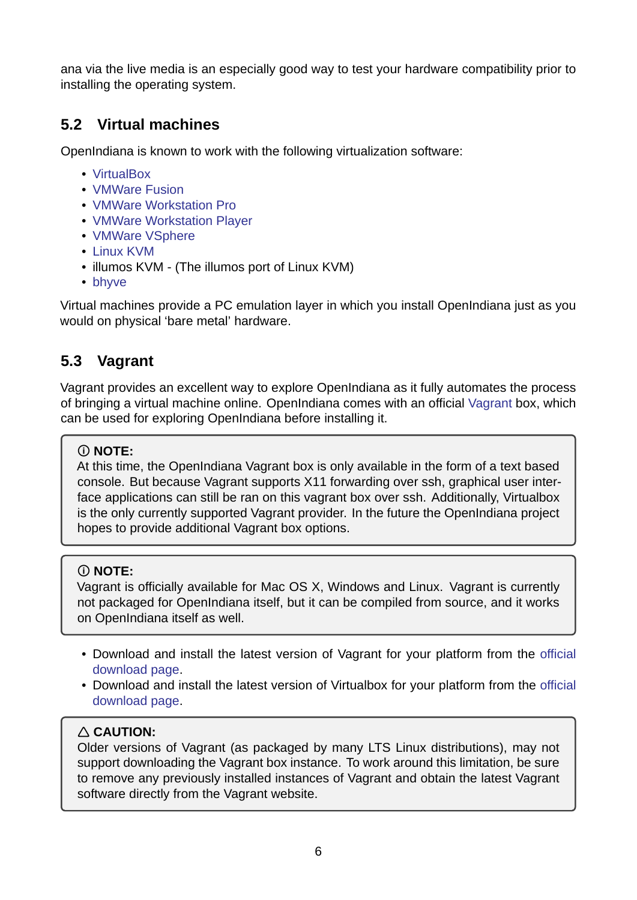ana via the live media is an especially good way to test your hardware compatibility prior to installing the operating system.

# **5.2 Virtual machines**

<span id="page-5-0"></span>OpenIndiana is known to work with the following virtualization software:

- VirtualBox
- VMWare Fusion
- VMWare Workstation Pro
- [VMWare W](https://www.virtualbox.org)orkstation Player
- [VMWare VSpher](https://www.vmware.com/products/fusion.html)e
- Linux KVM
- illumos KVM (The illumos port of Linux KVM)
- [bhyve](http://www.vmware.com/products/vsphere.html)

Virtu[al machines](http://www.linux-kvm.org/page/Main_Page) provide a PC emulation layer in which you install OpenIndiana just as you would on physical 'bare metal' hardware.

# **5.3 Vagrant**

<span id="page-5-1"></span>Vagrant provides an excellent way to explore OpenIndiana as it fully automates the process of bringing a virtual machine online. OpenIndiana comes with an official Vagrant box, which can be used for exploring OpenIndiana before installing it.

## **NOTE:**

At this time, the OpenIndiana Vagrant box is only available in the for[m of a tex](https://www.vagrantup.com)t based console. But because Vagrant supports X11 forwarding over ssh, graphical user interface applications can still be ran on this vagrant box over ssh. Additionally, Virtualbox is the only currently supported Vagrant provider. In the future the OpenIndiana project hopes to provide additional Vagrant box options.

## **NOTE:**

Vagrant is officially available for Mac OS X, Windows and Linux. Vagrant is currently not packaged for OpenIndiana itself, but it can be compiled from source, and it works on OpenIndiana itself as well.

- Download and install the latest version of Vagrant for your platform from the official download page.
- Download and install the latest version of Virtualbox for your platform from the official download page.

## **[CAUTION:](https://www.vagrantup.com/downloads.html)**

Ol[der versions of](https://www.virtualbox.org/wiki/Downloads) Vagrant (as packaged by many LTS Linux distributions), may [not](https://www.virtualbox.org/wiki/Downloads) support downloading the Vagrant box instance. To work around this limitation, be sure to remove any previously installed instances of Vagrant and obtain the latest Vagrant software directly from the Vagrant website.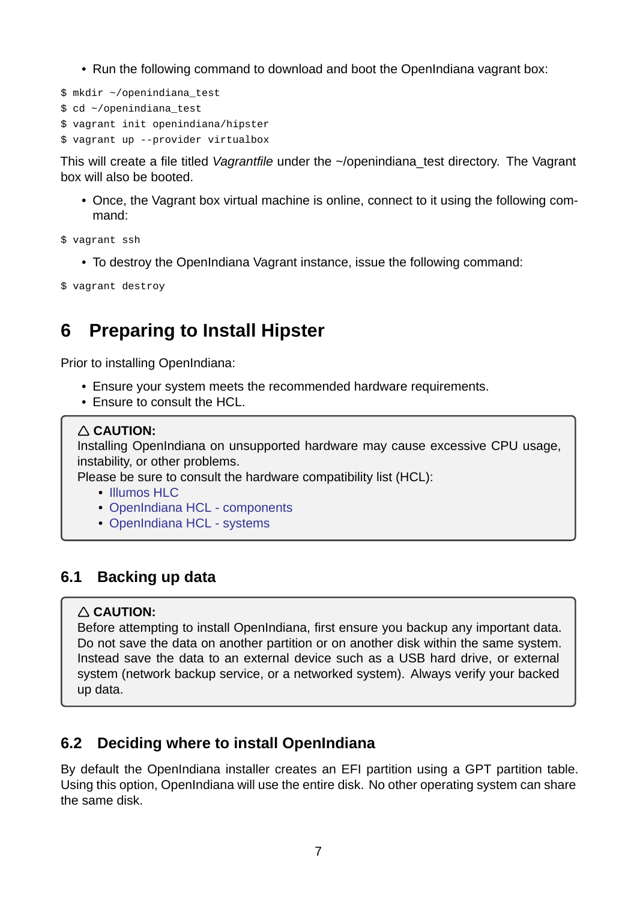- Run the following command to download and boot the OpenIndiana vagrant box:
- \$ mkdir ~/openindiana\_test
- \$ cd ~/openindiana\_test
- \$ vagrant init openindiana/hipster
- \$ vagrant up --provider virtualbox

This will create a file titled *Vagrantfile* under the ~/openindiana\_test directory. The Vagrant box will also be booted.

• Once, the Vagrant box virtual machine is online, connect to it using the following command:

\$ vagrant ssh

- To destroy the OpenIndiana Vagrant instance, issue the following command:
- \$ vagrant destroy

# **6 Preparing to Install Hipster**

<span id="page-6-0"></span>Prior to installing OpenIndiana:

- Ensure your system meets the recommended hardware requirements.
- Ensure to consult the HCL.

#### **CAUTION:**

Installing OpenIndiana on unsupported hardware may cause excessive CPU usage, instability, or other problems.

Please be sure to consult the hardware compatibility list (HCL):

- Illumos HLC
- OpenIndiana HCL components
- OpenIndiana HCL systems

## **6.1 B[acking up data](https://wiki.openindiana.org/oi/Systems)**

#### <span id="page-6-1"></span>**CAUTION:**

Before attempting to install OpenIndiana, first ensure you backup any important data. Do not save the data on another partition or on another disk within the same system. Instead save the data to an external device such as a USB hard drive, or external system (network backup service, or a networked system). Always verify your backed up data.

## **6.2 Deciding where to install OpenIndiana**

<span id="page-6-2"></span>By default the OpenIndiana installer creates an EFI partition using a GPT partition table. Using this option, OpenIndiana will use the entire disk. No other operating system can share the same disk.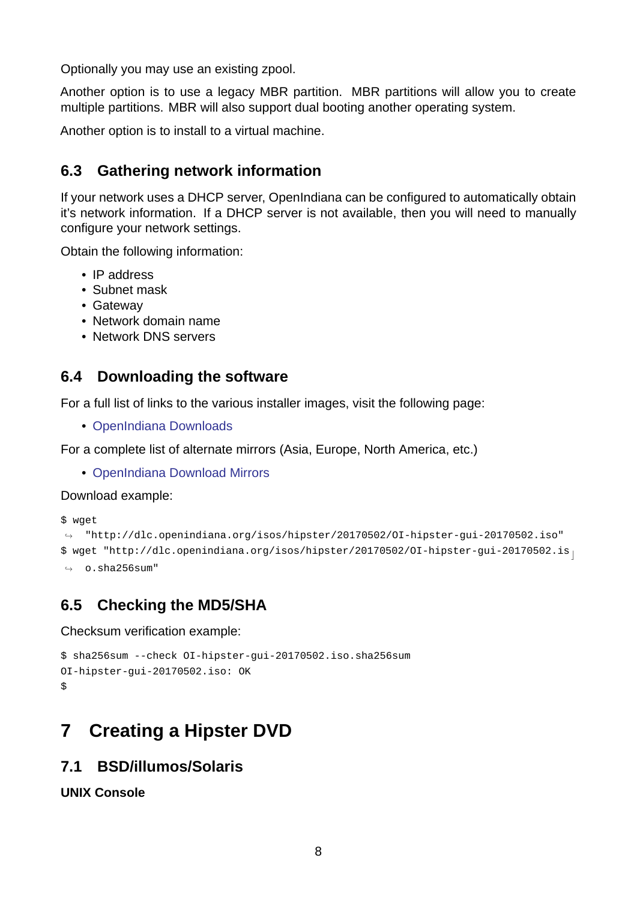Optionally you may use an existing zpool.

Another option is to use a legacy MBR partition. MBR partitions will allow you to create multiple partitions. MBR will also support dual booting another operating system.

Another option is to install to a virtual machine.

## **6.3 Gathering network information**

<span id="page-7-0"></span>If your network uses a DHCP server, OpenIndiana can be configured to automatically obtain it's network information. If a DHCP server is not available, then you will need to manually configure your network settings.

Obtain the following information:

- IP address
- Subnet mask
- Gateway
- Network domain name
- Network DNS servers

## **6.4 Downloading the software**

<span id="page-7-1"></span>For a full list of links to the various installer images, visit the following page:

• OpenIndiana Downloads

For a complete list of alternate mirrors (Asia, Europe, North America, etc.)

• [OpenIndiana Download M](https://www.openindiana.org/download/)irrors

Download example:

\$ wget

```
\rightarrowhttp://dlc.openindiana.org/isos/hipster/20170502/OI-hipster-gui-20170502.iso"
\texttt{\$} wget "http://dlc.openindiana.org/isos/hipster/20170502/OI-hipster-gui-20170502.is _\text{||}\leftrightarrow 0. sha256sum"
```
# **6.5 Checking the MD5/SHA**

Checksum verification example:

```
$ sha256sum -- check OI-hipster-gui-20170502.iso.sha256sum
OI-hipster-gui-20170502.iso: OK
$
```
# **7 Creating a Hipster DVD**

## <span id="page-7-3"></span>**7.1 BSD/illumos/Solaris**

<span id="page-7-4"></span>**UNIX Console**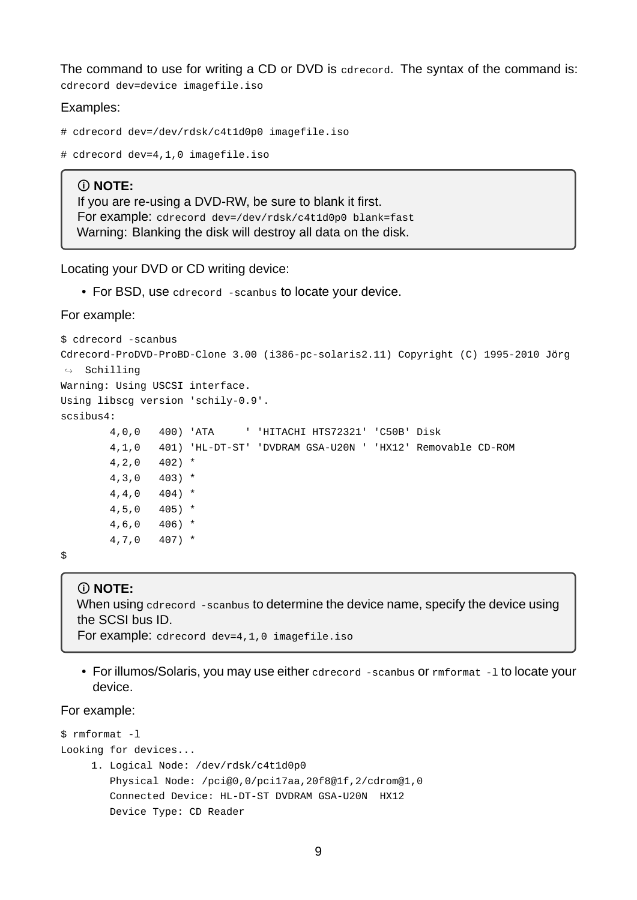The command to use for writing a CD or DVD is cdrecord. The syntax of the command is: cdrecord dev=device imagefile.iso

Examples:

```
# cdrecord dev=/dev/rdsk/c4t1d0p0 imagefile.iso
```

```
# cdrecord dev=4,1,0 imagefile.iso
```
#### **NOTE:**

If you are re-using a DVD-RW, be sure to blank it first. For example: cdrecord dev=/dev/rdsk/c4t1d0p0 blank=fast Warning: Blanking the disk will destroy all data on the disk.

Locating your DVD or CD writing device:

• For BSD, use cdrecord -scanbus to locate your device.

For example:

```
$ cdrecord -scanbus
Cdrecord-ProDVD-ProBD-Clone 3.00 (i386-pc-solaris2.11) Copyright (C) 1995-2010 Jörg
ightharpoonup Schilling
Warning: Using USCSI interface.
Using libscg version 'schily-0.9'.
scsibus4:
       4,0,0 400) 'ATA ' 'HITACHI HTS72321' 'C50B' Disk
       4,1,0 401) 'HL-DT-ST' 'DVDRAM GSA-U20N ' 'HX12' Removable CD-ROM
       4, 2, 0 402) *
       4,3,0 403) *
       4,4,0 404) *
       4,5,0 405) *
       4,6,0 406) *
       4,7,0 407) *
```
\$

#### **NOTE:**

When using cdrecord -scanbus to determine the device name, specify the device using the SCSI bus ID. For example: cdrecord dev=4,1,0 imagefile.iso

- 
- For illumos/Solaris, you may use either cdrecord -scanbus or rmformat -1 to locate your device.

For example:

```
$ rmformat -1
Looking for devices...
     1. Logical Node: /dev/rdsk/c4t1d0p0
        Physical Node: /pci@0,0/pci17aa,20f8@1f,2/cdrom@1,0
        Connected Device: HL-DT-ST DVDRAM GSA-U20N HX12
        Device Type: CD Reader
```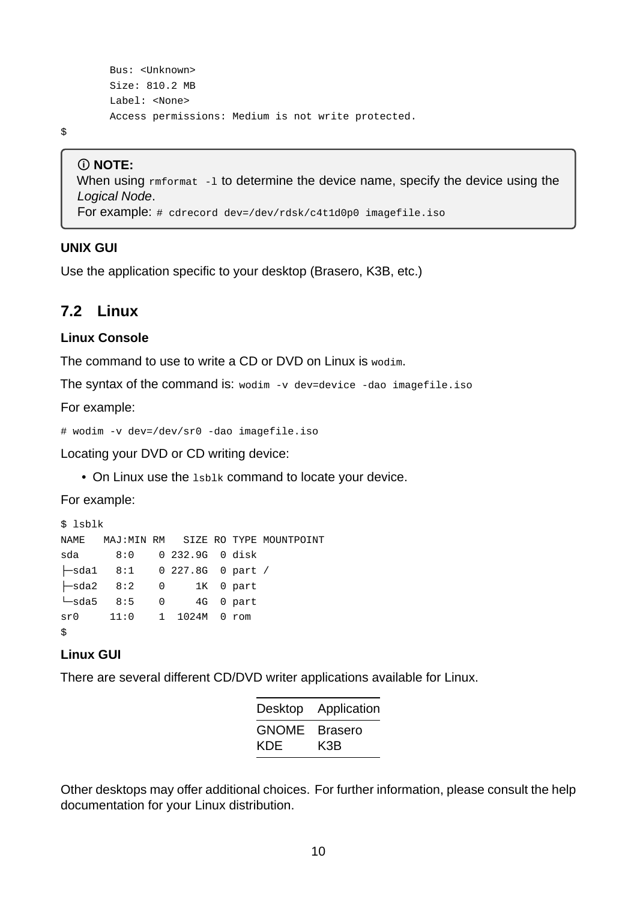```
Bus: <Unknown>
Size: 810.2 MB
Label: <None>
Access permissions: Medium is not write protected.
```
\$

#### **NOTE:**

When using  $rm_{1}$  -1 to determine the device name, specify the device using the *Logical Node*. For example: # cdrecord dev=/dev/rdsk/c4t1d0p0 imagefile.iso

#### **UNIX GUI**

Use the application specific to your desktop (Brasero, K3B, etc.)

### <span id="page-9-0"></span>**7.2 Linux**

#### **Linux Console**

The command to use to write a CD or DVD on Linux is wodim.

The syntax of the command is: wodim  $-v$  dev=device -dao imagefile.iso

For example:

# wodim -v dev=/dev/sr0 -dao imagefile.iso

Locating your DVD or CD writing device:

• On Linux use the lsblk command to locate your device.

For example:

```
$ lshlk
NAME MAJ:MIN RM SIZE RO TYPE MOUNTPOINT
sda 8:0 0 232.9G 0 disk
├─sda1 8:1 0 227.8G 0 part /
├─sda2 8:2 0 1K 0 part
└─sda5 8:5 0 4G 0 part
sr0 11:0 1 1024M 0 rom
$
```
#### **Linux GUI**

There are several different CD/DVD writer applications available for Linux.

| Desktop      | Application |
|--------------|-------------|
| <b>GNOME</b> | Brasero     |
| KDE          | K3B         |

Other desktops may offer additional choices. For further information, please consult the help documentation for your Linux distribution.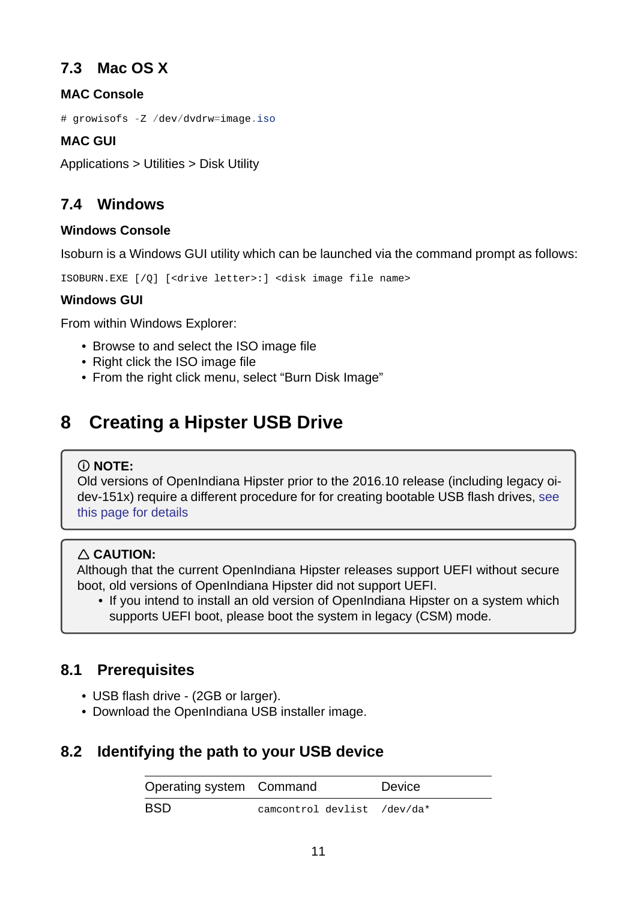## **7.3 Mac OS X**

### **MAC Console**

<span id="page-10-0"></span># growisofs -Z /dev/dvdrw=image.iso

### **MAC GUI**

Applications > Utilities > Disk Utility

## **7.4 Windows**

#### **Windows Console**

<span id="page-10-1"></span>Isoburn is a Windows GUI utility which can be launched via the command prompt as follows:

ISOBURN.EXE [/Q] [<drive letter>:] <disk image file name>

#### **Windows GUI**

From within Windows Explorer:

- Browse to and select the ISO image file
- Right click the ISO image file
- From the right click menu, select "Burn Disk Image"

# **8 Creating a Hipster USB Drive**

#### <span id="page-10-2"></span>**NOTE:**

Old versions of OpenIndiana Hipster prior to the 2016.10 release (including legacy oidev-151x) require a different procedure for for creating bootable USB flash drives, see this page for details

## **CAUTION:**

[Although that the cu](./legacy-branch.md)rrent OpenIndiana Hipster releases support UEFI without secure boot, old versions of OpenIndiana Hipster did not support UEFI.

• If you intend to install an old version of OpenIndiana Hipster on a system which supports UEFI boot, please boot the system in legacy (CSM) mode.

## **8.1 Prerequisites**

- USB flash drive (2GB or larger).
- <span id="page-10-3"></span>• Download the OpenIndiana USB installer image.

## <span id="page-10-4"></span>**8.2 Identifying the path to your USB device**

| Operating system Command |                             | Device |
|--------------------------|-----------------------------|--------|
| <b>BSD</b>               | camcontrol devlist /dev/da* |        |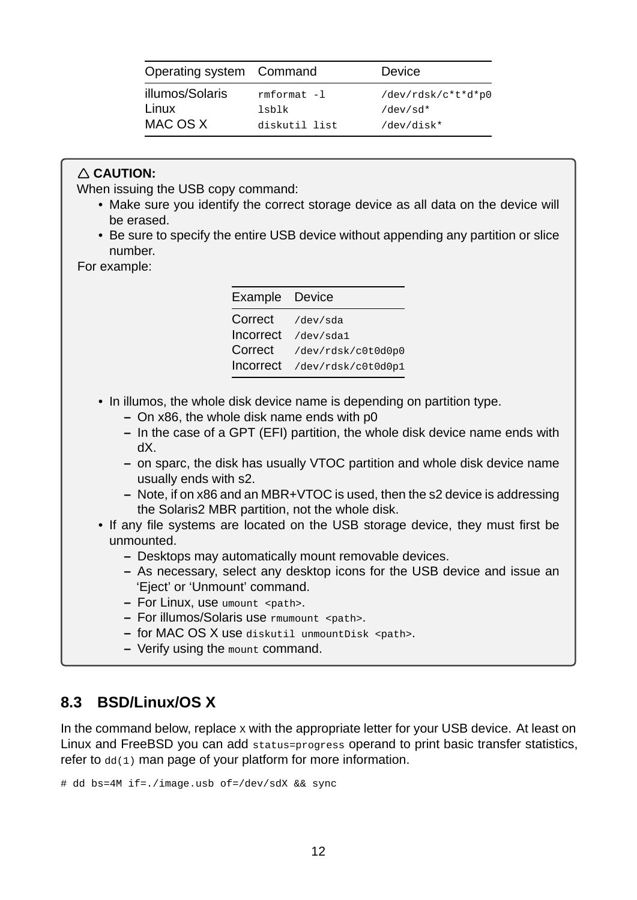| Operating system Command |               | <b>Device</b>      |  |  |  |  |  |
|--------------------------|---------------|--------------------|--|--|--|--|--|
| illumos/Solaris          | rmformat -1   | /dev/rdsk/c*t*d*p0 |  |  |  |  |  |
| Linux                    | lsblk         | $/\text{dev/sd*}$  |  |  |  |  |  |
| MAC OS X                 | diskutil list | /dev/disk*         |  |  |  |  |  |

### **CAUTION:**

When issuing the USB copy command:

- Make sure you identify the correct storage device as all data on the device will be erased.
- Be sure to specify the entire USB device without appending any partition or slice number.

For example:

| Example Device   |                    |
|------------------|--------------------|
| Correct          | /dev/sda           |
| Incorrect        | /dev/sda1          |
| Correct          | /dev/rdsk/c0t0d0p0 |
| <b>Incorrect</b> | /dev/rdsk/c0t0d0p1 |

- In illumos, the whole disk device name is depending on partition type.
	- **–** On x86, the whole disk name ends with p0
	- **–** In the case of a GPT (EFI) partition, the whole disk device name ends with dX.
	- **–** on sparc, the disk has usually VTOC partition and whole disk device name usually ends with s2.
	- **–** Note, if on x86 and an MBR+VTOC is used, then the s2 device is addressing the Solaris2 MBR partition, not the whole disk.
- If any file systems are located on the USB storage device, they must first be unmounted.
	- **–** Desktops may automatically mount removable devices.
	- **–** As necessary, select any desktop icons for the USB device and issue an 'Eject' or 'Unmount' command.
	- **–** For Linux, use umount <path>.
	- **–** For illumos/Solaris use rmumount <path>.
	- **–** for MAC OS X use diskutil unmountDisk <path>.
	- **–** Verify using the mount command.

## <span id="page-11-0"></span>**8.3 BSD/Linux/OS X**

In the command below, replace x with the appropriate letter for your USB device. At least on Linux and FreeBSD you can add status=progress operand to print basic transfer statistics, refer to  $dd(1)$  man page of your platform for more information.

```
# dd bs=4M if=./image.usb of=/dev/sdX && sync
```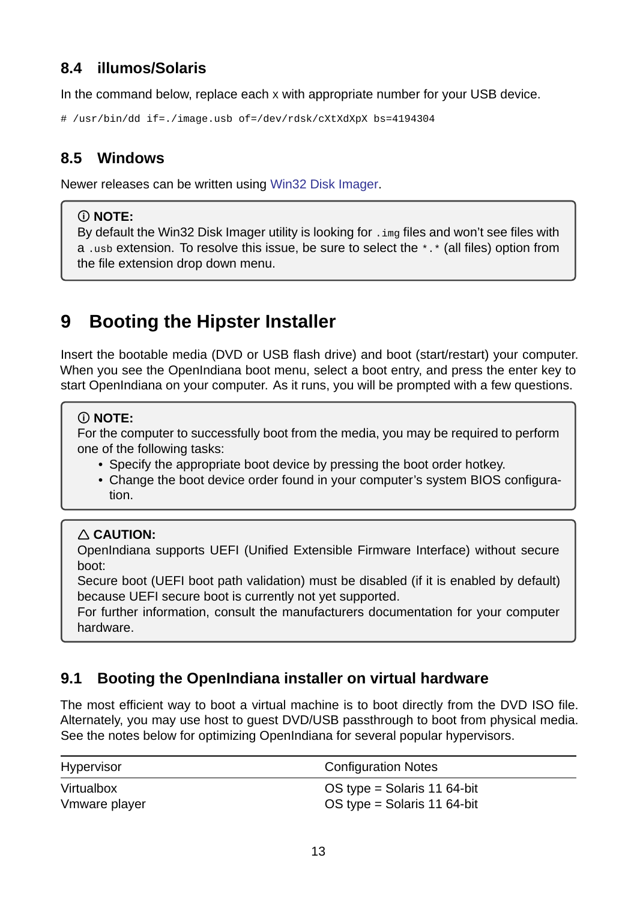## **8.4 illumos/Solaris**

In the command below, replace each x with appropriate number for your USB device.

<span id="page-12-0"></span># /usr/bin/dd if=./image.usb of=/dev/rdsk/cXtXdXpX bs=4194304

## **8.5 Windows**

<span id="page-12-1"></span>Newer releases can be written using Win32 Disk Imager.

### **NOTE:**

By default the Win32 Disk Imager [utility is looking for](https://sourceforge.net/projects/win32diskimager/) . img files and won't see files with a .usb extension. To resolve this issue, be sure to select the \*.\* (all files) option from the file extension drop down menu.

# **9 Booting the Hipster Installer**

Insert the bootable media (DVD or USB flash drive) and boot (start/restart) your computer. When you see the OpenIndiana boot menu, select a boot entry, and press the enter key to start OpenIndiana on your computer. As it runs, you will be prompted with a few questions.

## **NOTE:**

For the computer to successfully boot from the media, you may be required to perform one of the following tasks:

- Specify the appropriate boot device by pressing the boot order hotkey.
- Change the boot device order found in your computer's system BIOS configuration.

## **CAUTION:**

OpenIndiana supports UEFI (Unified Extensible Firmware Interface) without secure boot:

Secure boot (UEFI boot path validation) must be disabled (if it is enabled by default) because UEFI secure boot is currently not yet supported.

For further information, consult the manufacturers documentation for your computer hardware.

# **9.1 Booting the OpenIndiana installer on virtual hardware**

<span id="page-12-2"></span>The most efficient way to boot a virtual machine is to boot directly from the DVD ISO file. Alternately, you may use host to guest DVD/USB passthrough to boot from physical media. See the notes below for optimizing OpenIndiana for several popular hypervisors.

| <b>Hypervisor</b> | <b>Configuration Notes</b>  |
|-------------------|-----------------------------|
| Virtualbox        | OS type = Solaris 11 64-bit |
| Vmware player     | OS type = Solaris 11 64-bit |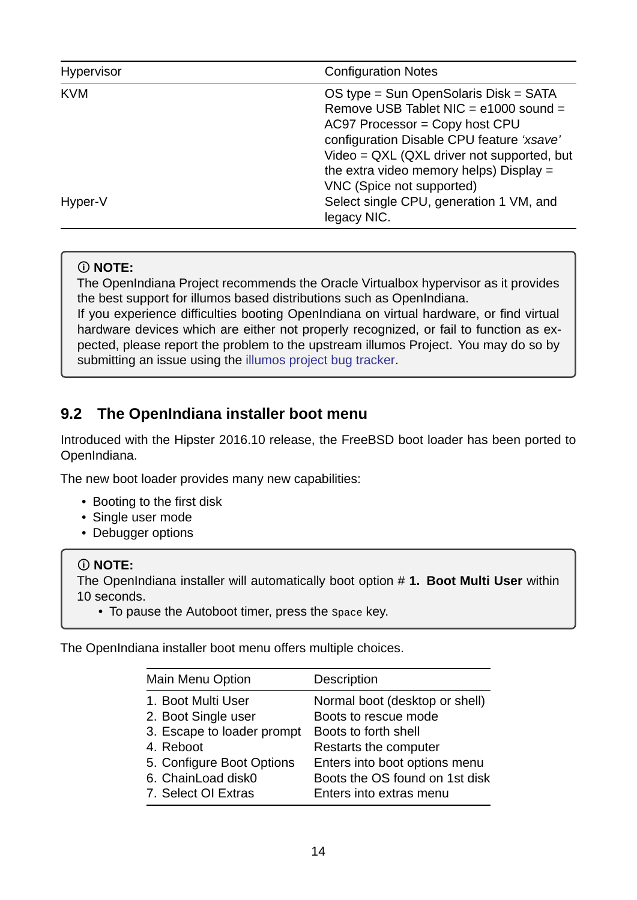| Hypervisor | <b>Configuration Notes</b>                                                                                                                                                                                                                                                            |
|------------|---------------------------------------------------------------------------------------------------------------------------------------------------------------------------------------------------------------------------------------------------------------------------------------|
| <b>KVM</b> | OS type = Sun OpenSolaris Disk = SATA<br>Remove USB Tablet NIC = e1000 sound =<br>$AC97$ Processor = Copy host CPU<br>configuration Disable CPU feature 'xsave'<br>Video = QXL (QXL driver not supported, but<br>the extra video memory helps) Display =<br>VNC (Spice not supported) |
| Hyper-V    | Select single CPU, generation 1 VM, and<br>legacy NIC.                                                                                                                                                                                                                                |

### **NOTE:**

The OpenIndiana Project recommends the Oracle Virtualbox hypervisor as it provides the best support for illumos based distributions such as OpenIndiana. If you experience difficulties booting OpenIndiana on virtual hardware, or find virtual hardware devices which are either not properly recognized, or fail to function as expected, please report the problem to the upstream illumos Project. You may do so by submitting an issue using the illumos project bug tracker.

# **9.2 The OpenIndiana in[staller boot menu](https://www.illumos.org/issues)**

<span id="page-13-0"></span>Introduced with the Hipster 2016.10 release, the FreeBSD boot loader has been ported to OpenIndiana.

The new boot loader provides many new capabilities:

- Booting to the first disk
- Single user mode
- Debugger options

#### **NOTE:**

The OpenIndiana installer will automatically boot option # **1. Boot Multi User** within 10 seconds.

• To pause the Autoboot timer, press the Space key.

The OpenIndiana installer boot menu offers multiple choices.

| Main Menu Option           | Description                    |
|----------------------------|--------------------------------|
| 1. Boot Multi User         | Normal boot (desktop or shell) |
| 2. Boot Single user        | Boots to rescue mode           |
| 3. Escape to loader prompt | Boots to forth shell           |
| 4. Reboot                  | Restarts the computer          |
| 5. Configure Boot Options  | Enters into boot options menu  |
| 6. ChainLoad disk0         | Boots the OS found on 1st disk |
| 7. Select OI Extras        | Enters into extras menu        |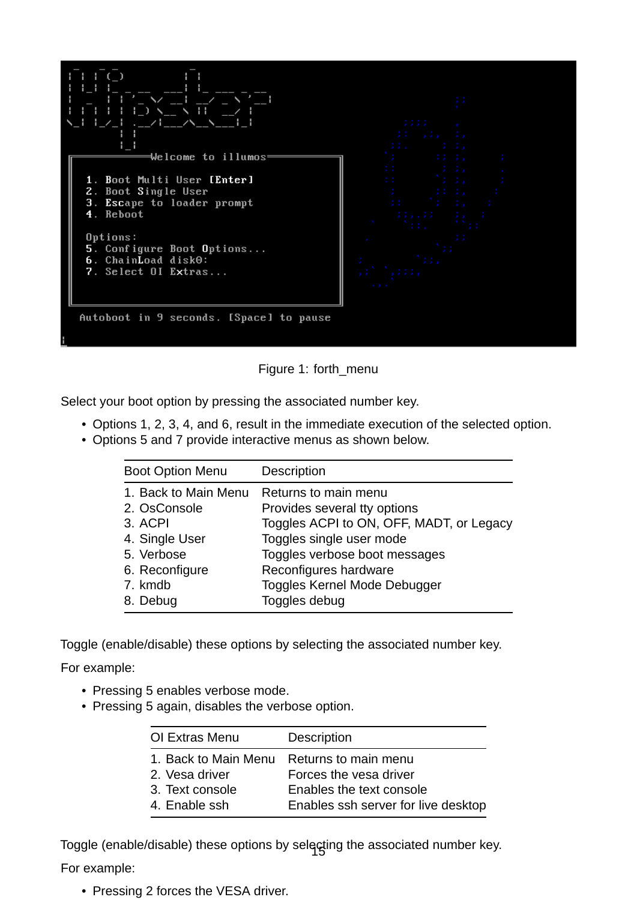

Figure 1: forth\_menu

Select your boot option by pressing the associated number key.

- Options 1, 2, 3, 4, and 6, result in the immediate execution of the selected option.
- Options 5 and 7 provide interactive menus as shown below.

| <b>Boot Option Menu</b> | <b>Description</b>                       |
|-------------------------|------------------------------------------|
| 1. Back to Main Menu    | Returns to main menu                     |
| 2. OsConsole            | Provides several tty options             |
| 3. ACPI                 | Toggles ACPI to ON, OFF, MADT, or Legacy |
| 4. Single User          | Toggles single user mode                 |
| 5. Verbose              | Toggles verbose boot messages            |
| 6. Reconfigure          | Reconfigures hardware                    |
| 7. kmdb                 | Toggles Kernel Mode Debugger             |
| 8. Debug                | Toggles debug                            |

Toggle (enable/disable) these options by selecting the associated number key.

For example:

- Pressing 5 enables verbose mode.
- Pressing 5 again, disables the verbose option.

| OI Extras Menu       | Description                         |
|----------------------|-------------------------------------|
| 1. Back to Main Menu | Returns to main menu                |
| 2. Vesa driver       | Forces the yesa driver              |
| 3. Text console      | Enables the text console            |
| 4. Enable ssh        | Enables ssh server for live desktop |

Toggle (enable/disable) these options by selecting the associated number key.

For example:

<span id="page-14-0"></span>• Pressing 2 forces the VESA driver.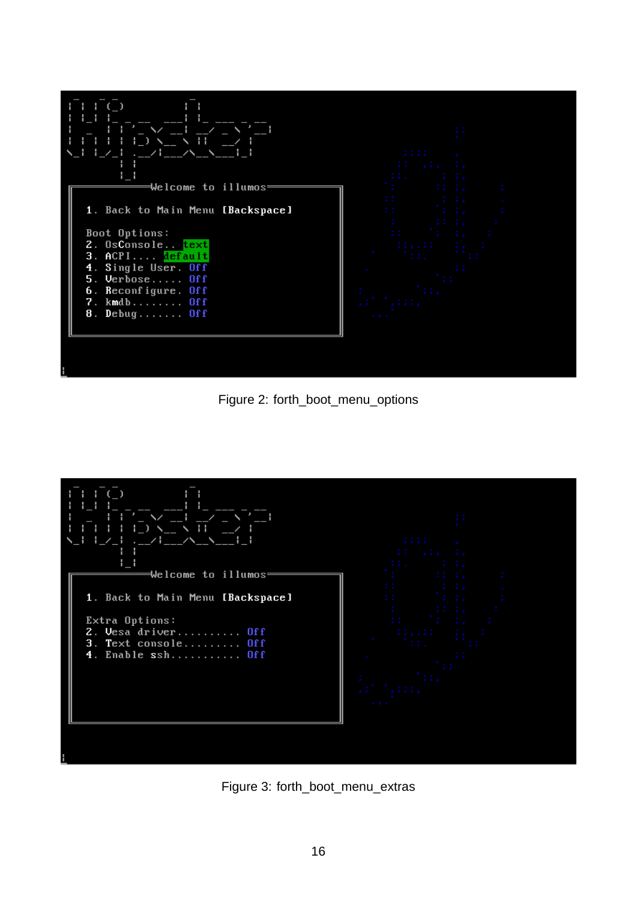

Figure 2: forth\_boot\_menu\_options



Figure 3: forth\_boot\_menu\_extras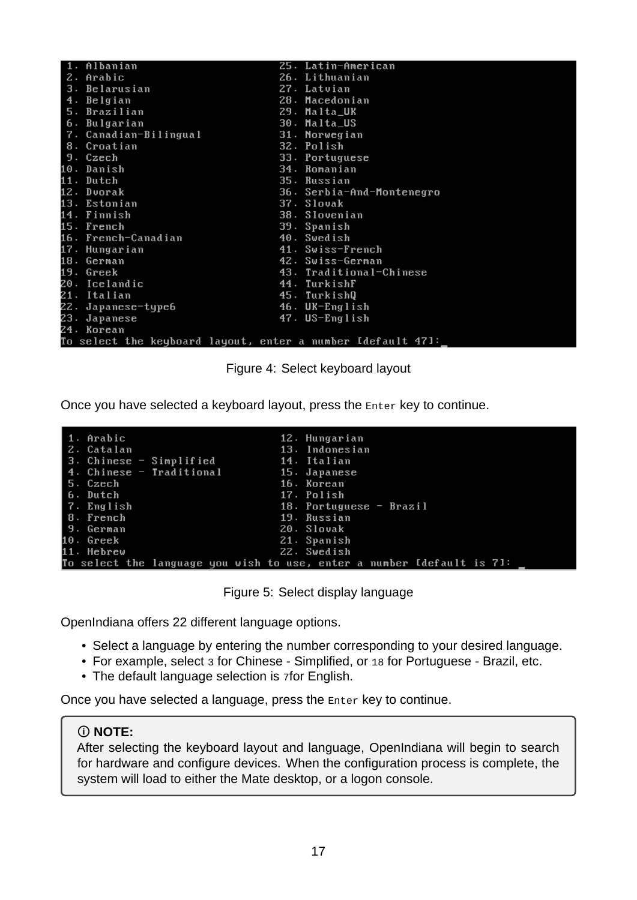| 1. Albanian                                                 | 25. Latin-American        |
|-------------------------------------------------------------|---------------------------|
| 2. Arabic                                                   | 26. Lithuanian            |
| 3. Belarusian                                               | 27. Latvian               |
| 4. Belgian                                                  | 28. Macedonian            |
| 5. Brazilian                                                | 29. Malta_UK              |
| 6. Bulgarian                                                | 30. Malta_US              |
| 7. Canadian-Bilingual                                       | 31. Norwegian             |
| 8. Croatian                                                 | 32. Polish                |
| 9. Czech                                                    | 33. Portuguese            |
| 10. Danish                                                  | 34. Romanian              |
| 11. Dutch                                                   | 35. Russian               |
| 12. Dvorak                                                  | 36. Serbia-And-Montenegro |
| 13. Estonian                                                | 37. Slovak                |
| 14. Finnish                                                 | 38. Slovenian             |
| 15. French                                                  | 39. Spanish               |
| 16. French-Canadian                                         | 40. Swedish               |
| 17. Hungarian                                               | 41. Swiss-French          |
| 18. German                                                  | 42. Swiss-German          |
| 19. Greek                                                   | 43. Traditional-Chinese   |
| 20. Icelandic                                               | 44. TurkishF              |
| 21. Italian                                                 | 45. TurkishQ              |
| 22. Japanese-type6                                          | 46. UK-English            |
| 23. Japanese                                                | 47. US-English            |
| 24. Korean                                                  |                           |
| To select the keyboard layout, enter a number Idefault 471: |                           |

Figure 4: Select keyboard layout

Once you have selected a keyboard layout, press the Enter key to continue.

| 1. Arabic                             | 12. Hungarian                                                          |
|---------------------------------------|------------------------------------------------------------------------|
| 2. Catalan                            | 13. Indonesian                                                         |
| 3. Chinese - Simplified               | 14. Italian                                                            |
| 4. Chinese - Traditional 15. Japanese |                                                                        |
| 5. Czech                              | 16. Korean                                                             |
| 6. Dutch                              | 17. Polish                                                             |
| 7. English                            | 18. Portuguese $-$ Brazil                                              |
| 8. French                             | 19. Russian                                                            |
| 9. German                             | 20. Slovak                                                             |
| 10. Greek                             | 21. Spanish                                                            |
| 11. Hebrew                            | 22. Swedish                                                            |
|                                       | To select the language you wish to use, enter a number Idefault is 71: |

Figure 5: Select display language

OpenIndiana offers 22 different language options.

- Select a language by entering the number corresponding to your desired language.
- For example, select 3 for Chinese Simplified, or 18 for Portuguese Brazil, etc.
- The default language selection is 7for English.

Once you have selected a language, press the Enter key to continue.

#### **NOTE:**

After selecting the keyboard layout and language, OpenIndiana will begin to search for hardware and configure devices. When the configuration process is complete, the system will load to either the Mate desktop, or a logon console.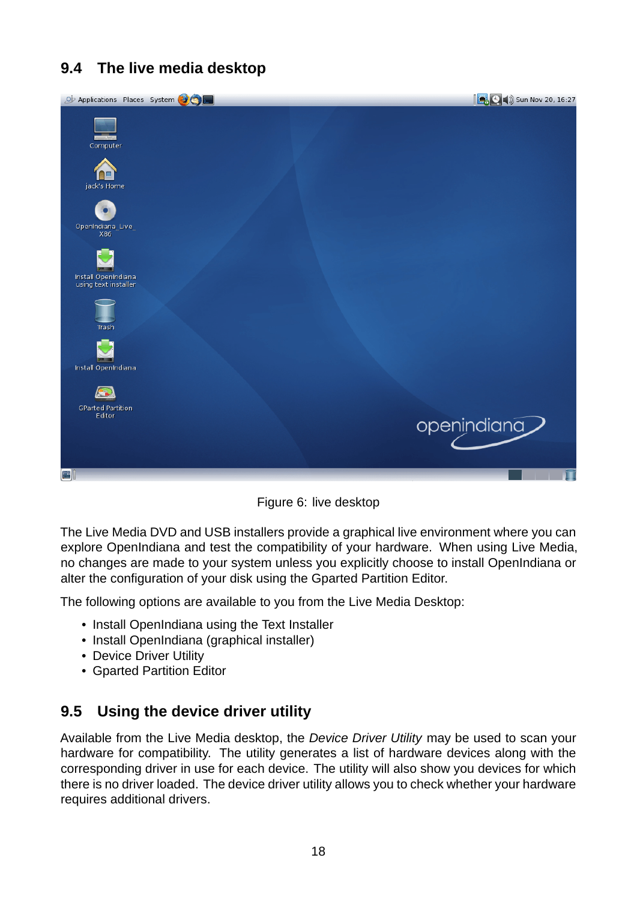# <span id="page-17-0"></span>**9.4 The live media desktop**



Figure 6: live desktop

The Live Media DVD and USB installers provide a graphical live environment where you can explore OpenIndiana and test the compatibility of your hardware. When using Live Media, no changes are made to your system unless you explicitly choose to install OpenIndiana or alter the configuration of your disk using the Gparted Partition Editor.

The following options are available to you from the Live Media Desktop:

- Install OpenIndiana using the Text Installer
- Install OpenIndiana (graphical installer)
- Device Driver Utility
- Gparted Partition Editor

## <span id="page-17-1"></span>**9.5 Using the device driver utility**

Available from the Live Media desktop, the *Device Driver Utility* may be used to scan your hardware for compatibility. The utility generates a list of hardware devices along with the corresponding driver in use for each device. The utility will also show you devices for which there is no driver loaded. The device driver utility allows you to check whether your hardware requires additional drivers.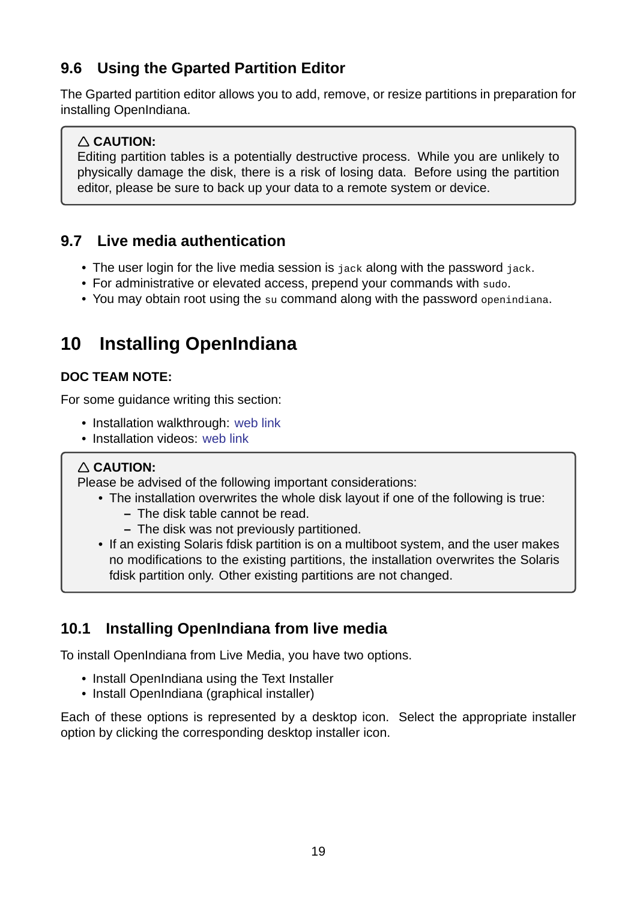# **9.6 Using the Gparted Partition Editor**

The Gparted partition editor allows you to add, remove, or resize partitions in preparation for installing OpenIndiana.

## <span id="page-18-0"></span>**CAUTION:**

Editing partition tables is a potentially destructive process. While you are unlikely to physically damage the disk, there is a risk of losing data. Before using the partition editor, please be sure to back up your data to a remote system or device.

# **9.7 Live media authentication**

- The user login for the live media session is jack along with the password jack.
- <span id="page-18-1"></span>• For administrative or elevated access, prepend your commands with sudo.
- You may obtain root using the su command along with the password openindiana.

# **10 Installing OpenIndiana**

## <span id="page-18-2"></span>**DOC TEAM NOTE:**

For some guidance writing this section:

- Installation walkthrough: web link
- Installation videos: web link

## **CAUTION:**

Please be advised of the fo[llowing im](http://technodrone.blogspot.com/2012/05/openindiana-installation-walkthrough.html)portant considerations:

- The installation [overwrite](https://www.youtube.com/watch?v#VVWP_5oAy3w)s the whole disk layout if one of the following is true:
	- **–** The disk table cannot be read.
	- **–** The disk was not previously partitioned.
- If an existing Solaris fdisk partition is on a multiboot system, and the user makes no modifications to the existing partitions, the installation overwrites the Solaris fdisk partition only. Other existing partitions are not changed.

# **10.1 Installing OpenIndiana from live media**

<span id="page-18-3"></span>To install OpenIndiana from Live Media, you have two options.

- Install OpenIndiana using the Text Installer
- Install OpenIndiana (graphical installer)

Each of these options is represented by a desktop icon. Select the appropriate installer option by clicking the corresponding desktop installer icon.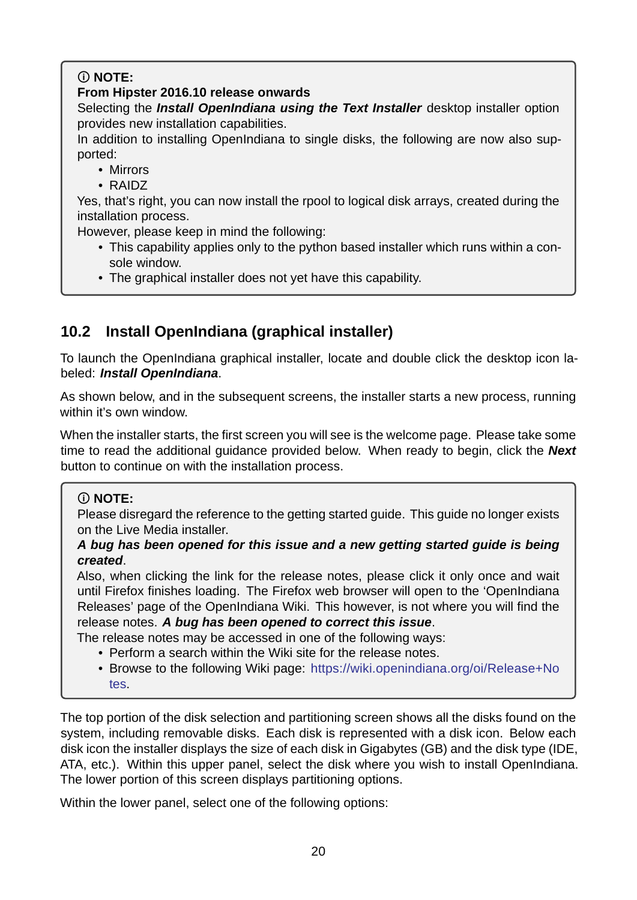## **NOTE:**

### **From Hipster 2016.10 release onwards**

Selecting the *Install OpenIndiana using the Text Installer* desktop installer option provides new installation capabilities.

In addition to installing OpenIndiana to single disks, the following are now also supported:

- Mirrors
- RAIDZ

Yes, that's right, you can now install the rpool to logical disk arrays, created during the installation process.

However, please keep in mind the following:

- This capability applies only to the python based installer which runs within a console window.
- The graphical installer does not yet have this capability.

# **10.2 Install OpenIndiana (graphical installer)**

<span id="page-19-0"></span>To launch the OpenIndiana graphical installer, locate and double click the desktop icon labeled: *Install OpenIndiana*.

As shown below, and in the subsequent screens, the installer starts a new process, running within it's own window.

When the installer starts, the first screen you will see is the welcome page. Please take some time to read the additional guidance provided below. When ready to begin, click the *Next* button to continue on with the installation process.

## **NOTE:**

Please disregard the reference to the getting started guide. This guide no longer exists on the Live Media installer.

*A bug has been opened for this issue and a new getting started guide is being created*.

Also, when clicking the link for the release notes, please click it only once and wait until Firefox finishes loading. The Firefox web browser will open to the 'OpenIndiana Releases' page of the OpenIndiana Wiki. This however, is not where you will find the release notes. *A bug has been opened to correct this issue*.

The release notes may be accessed in one of the following ways:

- Perform a search within the Wiki site for the release notes.
- Browse to the following Wiki page: https://wiki.openindiana.org/oi/Release+No tes.

The top portion of the disk selection and part[itioning screen shows all the disks found on t](https://wiki.openindiana.org/oi/Release+Notes)he system, [incl](https://wiki.openindiana.org/oi/Release+Notes)uding removable disks. Each disk is represented with a disk icon. Below each disk icon the installer displays the size of each disk in Gigabytes (GB) and the disk type (IDE, ATA, etc.). Within this upper panel, select the disk where you wish to install OpenIndiana. The lower portion of this screen displays partitioning options.

Within the lower panel, select one of the following options: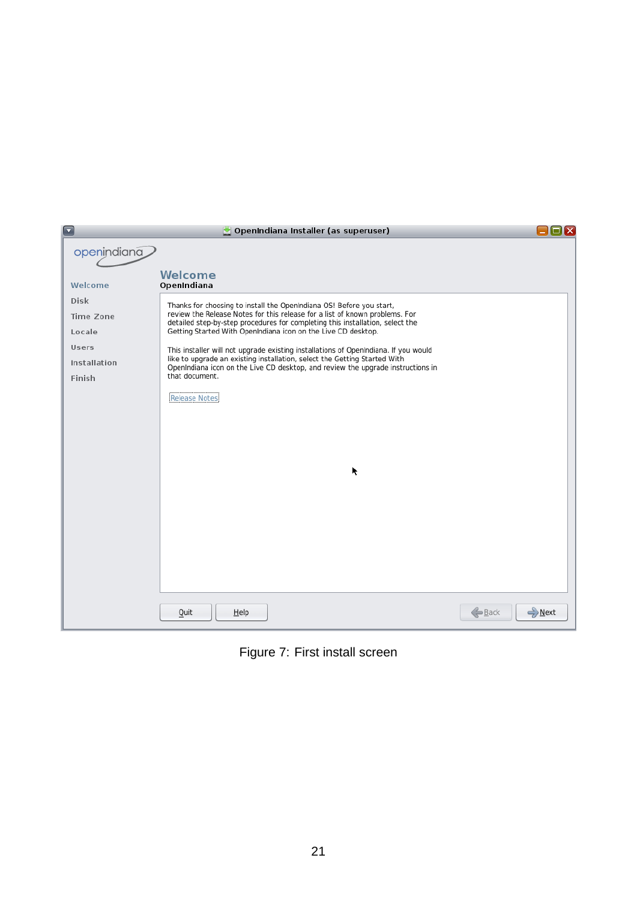| $\Box$       | OpenIndiana Installer (as superuser)                                                                                                                         | $\square$ $\boxtimes$       |
|--------------|--------------------------------------------------------------------------------------------------------------------------------------------------------------|-----------------------------|
| openindiana  |                                                                                                                                                              |                             |
|              |                                                                                                                                                              |                             |
| Welcome      | Welcome<br>OpenIndiana                                                                                                                                       |                             |
| <b>Disk</b>  | Thanks for choosing to install the OpenIndiana OS! Before you start,                                                                                         |                             |
| Time Zone    | review the Release Notes for this release for a list of known problems. For<br>detailed step-by-step procedures for completing this installation, select the |                             |
| Locale       | Getting Started With OpenIndiana icon on the Live CD desktop.                                                                                                |                             |
| <b>Users</b> | This installer will not upgrade existing installations of OpenIndiana. If you would                                                                          |                             |
| Installation | like to upgrade an existing installation, select the Getting Started With<br>OpenIndiana icon on the Live CD desktop, and review the upgrade instructions in |                             |
| Finish       | that document.                                                                                                                                               |                             |
|              | <b>Release Notes</b>                                                                                                                                         |                             |
|              |                                                                                                                                                              |                             |
|              |                                                                                                                                                              |                             |
|              |                                                                                                                                                              |                             |
|              | k                                                                                                                                                            |                             |
|              |                                                                                                                                                              |                             |
|              |                                                                                                                                                              |                             |
|              |                                                                                                                                                              |                             |
|              |                                                                                                                                                              |                             |
|              |                                                                                                                                                              |                             |
|              |                                                                                                                                                              |                             |
|              |                                                                                                                                                              |                             |
|              |                                                                                                                                                              |                             |
|              | Quit<br>Help                                                                                                                                                 | <b>&amp;</b> Back<br>→ Next |

Figure 7: First install screen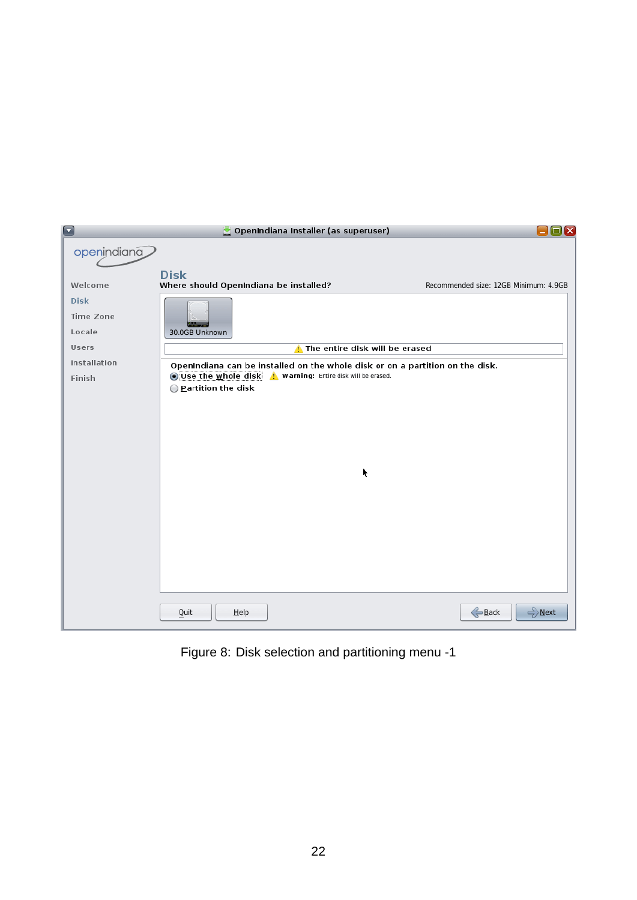

Figure 8: Disk selection and partitioning menu -1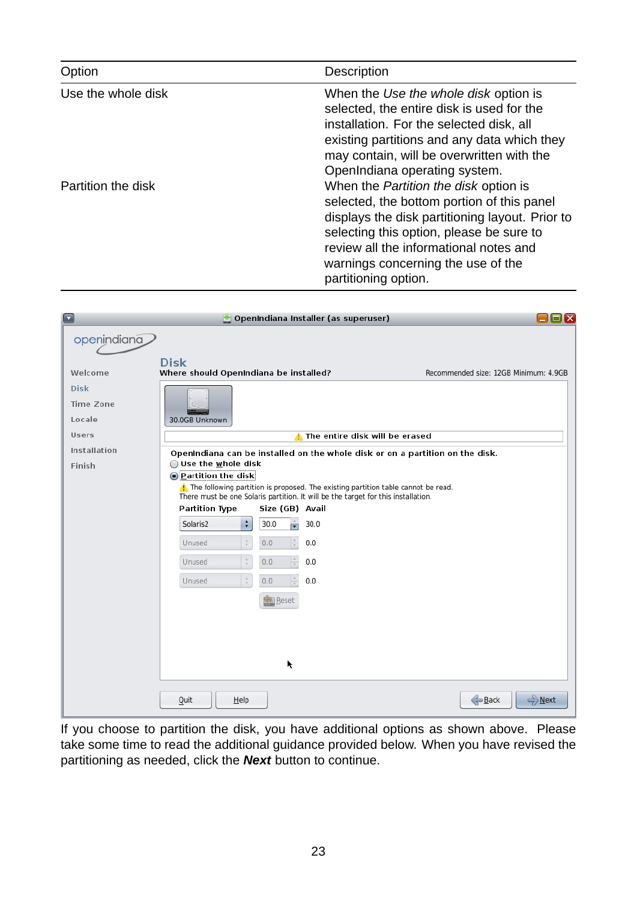| Option             | <b>Description</b>                                                                                                                                                                                                                                                                                |
|--------------------|---------------------------------------------------------------------------------------------------------------------------------------------------------------------------------------------------------------------------------------------------------------------------------------------------|
| Use the whole disk | When the Use the whole disk option is<br>selected, the entire disk is used for the<br>installation. For the selected disk, all<br>existing partitions and any data which they<br>may contain, will be overwritten with the<br>OpenIndiana operating system.                                       |
| Partition the disk | When the <i>Partition the disk</i> option is<br>selected, the bottom portion of this panel<br>displays the disk partitioning layout. Prior to<br>selecting this option, please be sure to<br>review all the informational notes and<br>warnings concerning the use of the<br>partitioning option. |

| $\color{red}\Box$ | OpenIndiana Installer (as superuser)                                                                                          | ⊡lx                                   |
|-------------------|-------------------------------------------------------------------------------------------------------------------------------|---------------------------------------|
| openindiana       |                                                                                                                               |                                       |
|                   | <b>Disk</b>                                                                                                                   |                                       |
| Welcome           | Where should OpenIndiana be installed?                                                                                        | Recommended size: 12GB Minimum: 4.9GB |
| <b>Disk</b>       |                                                                                                                               |                                       |
| <b>Time Zone</b>  |                                                                                                                               |                                       |
| Locale            | 30.0GB Unknown                                                                                                                |                                       |
| <b>Users</b>      | The entire disk will be erased                                                                                                |                                       |
| Installation      | OpenIndiana can be installed on the whole disk or on a partition on the disk.                                                 |                                       |
| Finish            | $\bigcirc$ Use the whole disk<br><b>O</b> Partition the disk                                                                  |                                       |
|                   | The following partition is proposed. The existing partition table cannot be read.                                             |                                       |
|                   | There must be one Solaris partition. It will be the target for this installation.<br><b>Partition Type</b><br>Size (GB) Avail |                                       |
|                   | ÷<br>Solaris2<br>÷<br>30.0<br>30.0                                                                                            |                                       |
|                   | $\frac{\Delta}{T}$<br>0.0<br>0.0<br>Unused                                                                                    |                                       |
|                   |                                                                                                                               |                                       |
|                   | $\frac{\Delta}{\tau}$<br>0.0<br>0.0<br>Unused                                                                                 |                                       |
|                   | $\frac{1}{\tau}$<br>Unused<br>0.0<br>0.0                                                                                      |                                       |
|                   | <b>Sil</b> Reset                                                                                                              |                                       |
|                   |                                                                                                                               |                                       |
|                   |                                                                                                                               |                                       |
|                   |                                                                                                                               |                                       |
|                   | k                                                                                                                             |                                       |
|                   |                                                                                                                               |                                       |
|                   | Quit<br>$He$ lp                                                                                                               | → Next<br>Back                        |

If you choose to partition the disk, you have additional options as shown above. Please take some time to read the additional guidance provided below. When you have revised the partitioning as needed, click the *Next* button to continue.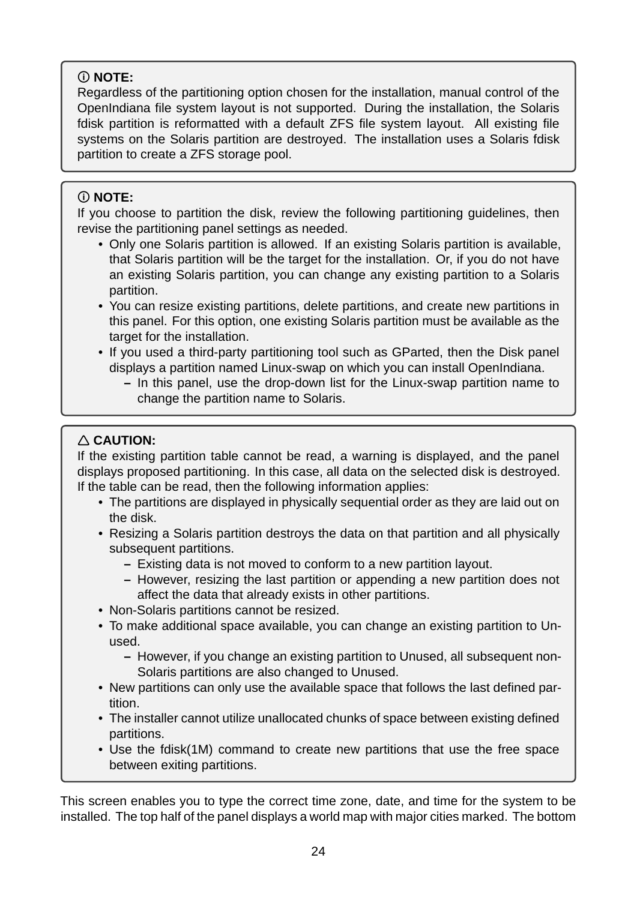## **NOTE:**

Regardless of the partitioning option chosen for the installation, manual control of the OpenIndiana file system layout is not supported. During the installation, the Solaris fdisk partition is reformatted with a default ZFS file system layout. All existing file systems on the Solaris partition are destroyed. The installation uses a Solaris fdisk partition to create a ZFS storage pool.

## **NOTE:**

If you choose to partition the disk, review the following partitioning guidelines, then revise the partitioning panel settings as needed.

- Only one Solaris partition is allowed. If an existing Solaris partition is available, that Solaris partition will be the target for the installation. Or, if you do not have an existing Solaris partition, you can change any existing partition to a Solaris partition.
- You can resize existing partitions, delete partitions, and create new partitions in this panel. For this option, one existing Solaris partition must be available as the target for the installation.
- If you used a third-party partitioning tool such as GParted, then the Disk panel displays a partition named Linux-swap on which you can install OpenIndiana.
	- In this panel, use the drop-down list for the Linux-swap partition name to change the partition name to Solaris.

## **CAUTION:**

If the existing partition table cannot be read, a warning is displayed, and the panel displays proposed partitioning. In this case, all data on the selected disk is destroyed. If the table can be read, then the following information applies:

- The partitions are displayed in physically sequential order as they are laid out on the disk.
- Resizing a Solaris partition destroys the data on that partition and all physically subsequent partitions.
	- **–** Existing data is not moved to conform to a new partition layout.
	- **–** However, resizing the last partition or appending a new partition does not affect the data that already exists in other partitions.
- Non-Solaris partitions cannot be resized.
- To make additional space available, you can change an existing partition to Unused.
	- **–** However, if you change an existing partition to Unused, all subsequent non-Solaris partitions are also changed to Unused.
- New partitions can only use the available space that follows the last defined partition.
- The installer cannot utilize unallocated chunks of space between existing defined partitions.
- Use the fdisk(1M) command to create new partitions that use the free space between exiting partitions.

This screen enables you to type the correct time zone, date, and time for the system to be installed. The top half of the panel displays a world map with major cities marked. The bottom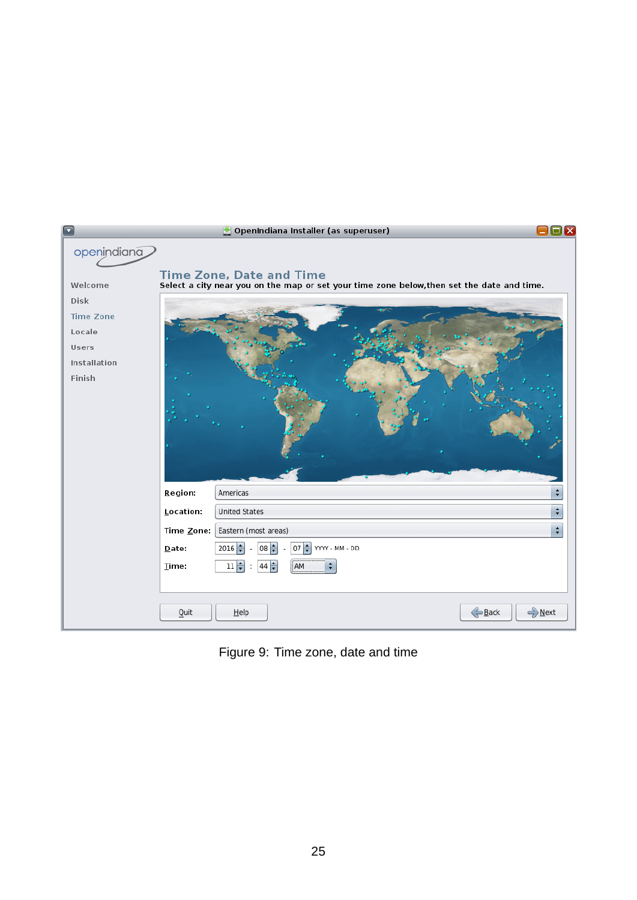| $\blacktriangledown$                                          |                                                              | OpenIndiana Installer (as superuser)                                                                                                                               | $\Box$ $\Box$ $\Box$          |
|---------------------------------------------------------------|--------------------------------------------------------------|--------------------------------------------------------------------------------------------------------------------------------------------------------------------|-------------------------------|
| openindiana<br>Welcome<br><b>Disk</b>                         |                                                              | <b>Time Zone, Date and Time</b><br>Select a city near you on the map or set your time zone below, then set the date and time.                                      |                               |
| <b>Time Zone</b><br>Locale<br>Users<br>Installation<br>Finish |                                                              |                                                                                                                                                                    |                               |
|                                                               | Region:<br>Location:<br>Time Zone:<br>Date:<br>Time:<br>Quit | Americas<br><b>United States</b><br>Eastern (most areas)<br>$08 -$<br>$07 \div$<br>YYYY - MM - DD<br>$2016 \div$<br>$44 \div$<br>AM<br>$11 \frac{1}{2}$<br>$He$ lp | ÷<br>÷<br>÷<br>Back<br>→ Next |

Figure 9: Time zone, date and time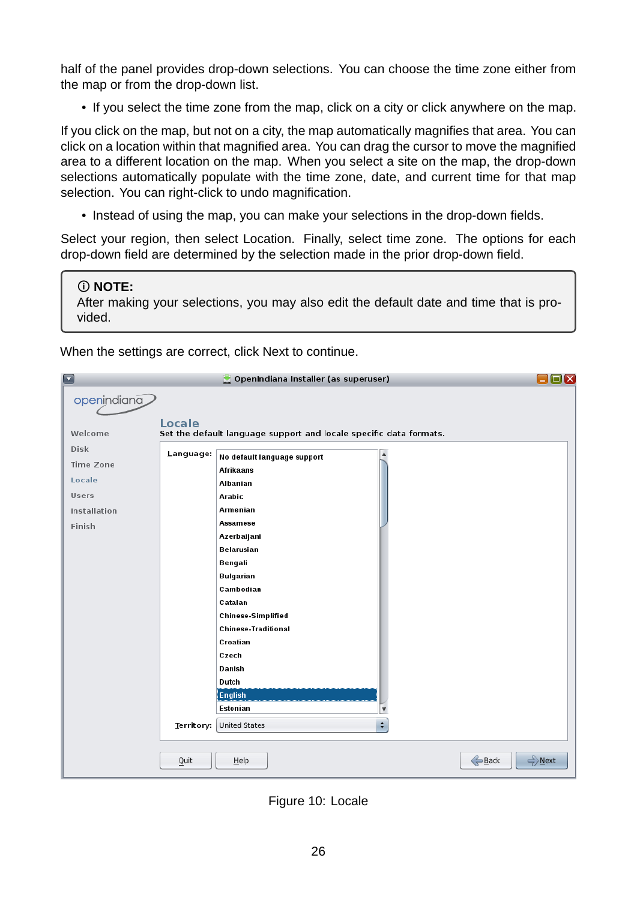half of the panel provides drop-down selections. You can choose the time zone either from the map or from the drop-down list.

• If you select the time zone from the map, click on a city or click anywhere on the map.

If you click on the map, but not on a city, the map automatically magnifies that area. You can click on a location within that magnified area. You can drag the cursor to move the magnified area to a different location on the map. When you select a site on the map, the drop-down selections automatically populate with the time zone, date, and current time for that map selection. You can right-click to undo magnification.

• Instead of using the map, you can make your selections in the drop-down fields.

Select your region, then select Location. Finally, select time zone. The options for each drop-down field are determined by the selection made in the prior drop-down field.

**NOTE:**

After making your selections, you may also edit the default date and time that is provided.

When the settings are correct, click Next to continue.

| $\blacksquare$   |            | OpenIndiana Installer (as superuser)                               | $\square$ $\overline{\mathbf{x}}$ |
|------------------|------------|--------------------------------------------------------------------|-----------------------------------|
| openindiana      |            |                                                                    |                                   |
|                  |            |                                                                    |                                   |
| Welcome          | Locale     | Set the default language support and locale specific data formats. |                                   |
| <b>Disk</b>      | Language:  | No default language support                                        |                                   |
| <b>Time Zone</b> |            | <b>Afrikaans</b>                                                   |                                   |
| Locale           |            | Albanian                                                           |                                   |
| Users            |            | Arabic                                                             |                                   |
| Installation     |            | Armenian                                                           |                                   |
| Finish           |            | <b>Assamese</b>                                                    |                                   |
|                  |            | Azerbaijani                                                        |                                   |
|                  |            | <b>Belarusian</b>                                                  |                                   |
|                  |            | Bengali                                                            |                                   |
|                  |            | <b>Bulgarian</b>                                                   |                                   |
|                  |            | Cambodian                                                          |                                   |
|                  |            | Catalan                                                            |                                   |
|                  |            | <b>Chinese-Simplified</b>                                          |                                   |
|                  |            | <b>Chinese-Traditional</b><br>Croatian                             |                                   |
|                  |            | Czech                                                              |                                   |
|                  |            | Danish                                                             |                                   |
|                  |            | Dutch                                                              |                                   |
|                  |            | <b>English</b>                                                     |                                   |
|                  |            | Estonian<br>$\overline{\mathbf v}$                                 |                                   |
|                  | Territory: | $\overset{\bullet}{\mathbf{v}}$<br><b>United States</b>            |                                   |
|                  |            |                                                                    |                                   |
|                  | Quit       | $He$ lp                                                            | Back<br>→ Next                    |
|                  |            |                                                                    |                                   |

Figure 10: Locale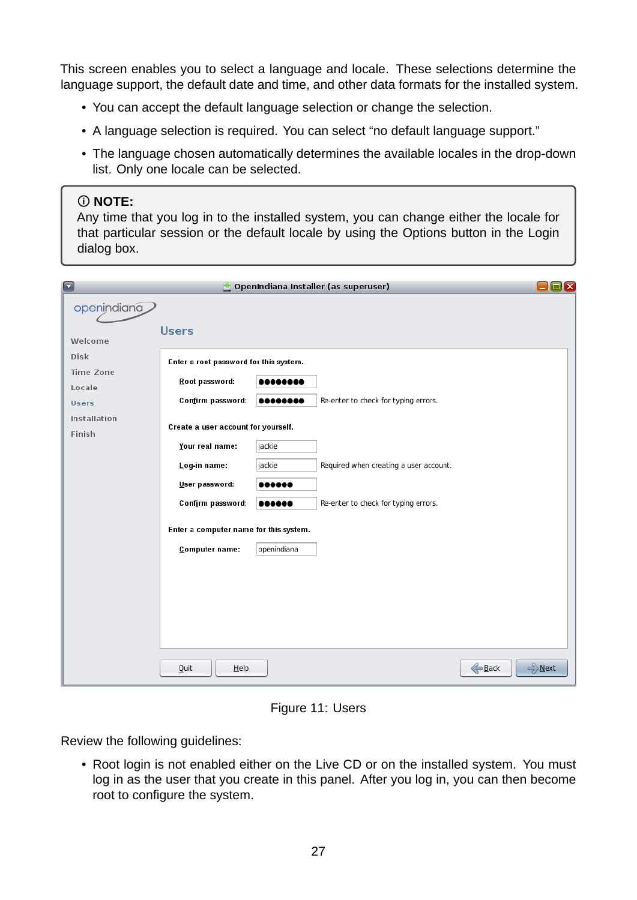This screen enables you to select a language and locale. These selections determine the language support, the default date and time, and other data formats for the installed system.

- You can accept the default language selection or change the selection.
- A language selection is required. You can select "no default language support."
- The language chosen automatically determines the available locales in the drop-down list. Only one locale can be selected.

#### **NOTE:**

Any time that you log in to the installed system, you can change either the locale for that particular session or the default locale by using the Options button in the Login dialog box.

| $\overline{\textbf{v}}$ |                                        |             | OpenIndiana Installer (as superuser)   | $\Box$ x       |
|-------------------------|----------------------------------------|-------------|----------------------------------------|----------------|
| openindiana             |                                        |             |                                        |                |
|                         | <b>Users</b>                           |             |                                        |                |
| Welcome                 |                                        |             |                                        |                |
| <b>Disk</b>             | Enter a root password for this system. |             |                                        |                |
| Time Zone               | Root password:                         |             |                                        |                |
| Locale<br><b>Users</b>  | Confirm password:                      |             | Re-enter to check for typing errors.   |                |
| Installation            |                                        |             |                                        |                |
| Finish                  | Create a user account for yourself.    |             |                                        |                |
|                         | Your real name:                        | jackie      |                                        |                |
|                         | Log-in name:                           | jackie      | Required when creating a user account. |                |
|                         | User password:                         |             |                                        |                |
|                         | Confirm password:                      |             | Re-enter to check for typing errors.   |                |
|                         | Enter a computer name for this system. |             |                                        |                |
|                         | Computer name:                         | openindiana |                                        |                |
|                         |                                        |             |                                        |                |
|                         |                                        |             |                                        |                |
|                         |                                        |             |                                        |                |
|                         |                                        |             |                                        |                |
|                         |                                        |             |                                        |                |
|                         |                                        |             |                                        |                |
|                         | Quit<br>$He$ lp                        |             |                                        | Back<br>→ Next |

Figure 11: Users

Review the following guidelines:

• Root login is not enabled either on the Live CD or on the installed system. You must log in as the user that you create in this panel. After you log in, you can then become root to configure the system.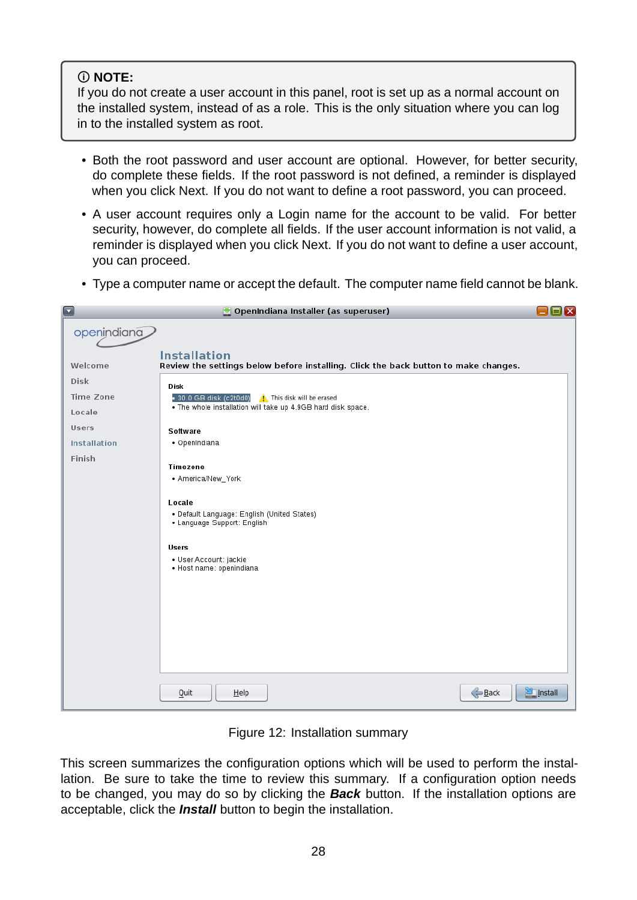## **NOTE:**

If you do not create a user account in this panel, root is set up as a normal account on the installed system, instead of as a role. This is the only situation where you can log in to the installed system as root.

- Both the root password and user account are optional. However, for better security, do complete these fields. If the root password is not defined, a reminder is displayed when you click Next. If you do not want to define a root password, you can proceed.
- A user account requires only a Login name for the account to be valid. For better security, however, do complete all fields. If the user account information is not valid, a reminder is displayed when you click Next. If you do not want to define a user account, you can proceed.
- Type a computer name or accept the default. The computer name field cannot be blank.

| $\Box$           | OpenIndiana Installer (as superuser)                                                                                                                                                         | $\blacksquare$ $\blacksquare$ |
|------------------|----------------------------------------------------------------------------------------------------------------------------------------------------------------------------------------------|-------------------------------|
| openindiana      |                                                                                                                                                                                              |                               |
| Welcome          | <b>Installation</b><br>Review the settings below before installing. Click the back button to make changes.                                                                                   |                               |
| <b>Disk</b>      | Disk                                                                                                                                                                                         |                               |
| <b>Time Zone</b> | • 30.0 GB disk (c2t0d0) <b>A</b> This disk will be erased                                                                                                                                    |                               |
| Locale           | . The whole installation will take up 4.9GB hard disk space.                                                                                                                                 |                               |
| Users            | <b>Software</b>                                                                                                                                                                              |                               |
| Installation     | • OpenIndiana                                                                                                                                                                                |                               |
| Finish           | <b>Timezone</b><br>• America/New_York<br>Locale<br>• Default Language: English (United States)<br>• Language Support: English<br>Users<br>· User Account: jackie<br>· Host name: openindiana |                               |
|                  | Back<br>Quit<br>$He$ lp                                                                                                                                                                      | <b>Profit</b> Install         |

Figure 12: Installation summary

This screen summarizes the configuration options which will be used to perform the installation. Be sure to take the time to review this summary. If a configuration option needs to be changed, you may do so by clicking the *Back* button. If the installation options are acceptable, click the *Install* button to begin the installation.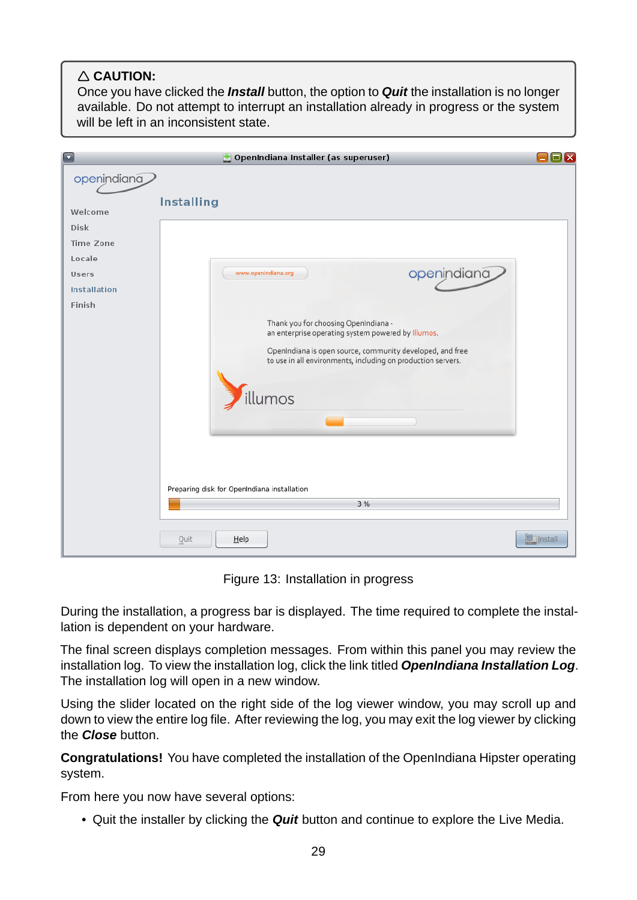## **CAUTION:**

Once you have clicked the *Install* button, the option to *Quit* the installation is no longer available. Do not attempt to interrupt an installation already in progress or the system will be left in an inconsistent state.

| $\blacksquare$      | OpenIndiana Installer (as superuser)                                                                                      | ⊡lx                    |
|---------------------|---------------------------------------------------------------------------------------------------------------------------|------------------------|
| openindiana         |                                                                                                                           |                        |
| Welcome             | <b>Installing</b>                                                                                                         |                        |
| <b>Disk</b>         |                                                                                                                           |                        |
| Time Zone           |                                                                                                                           |                        |
| Locale              |                                                                                                                           |                        |
| Users               | openindiana<br>www.openindiana.org                                                                                        |                        |
| <b>Installation</b> |                                                                                                                           |                        |
| Finish              |                                                                                                                           |                        |
|                     | Thank you for choosing OpenIndiana -<br>an enterprise operating system powered by Illumos.                                |                        |
|                     | OpenIndiana is open source, community developed, and free<br>to use in all environments, including on production servers. |                        |
|                     | illumos                                                                                                                   |                        |
|                     |                                                                                                                           |                        |
|                     |                                                                                                                           |                        |
|                     | Preparing disk for OpenIndiana installation                                                                               |                        |
|                     | 3 %                                                                                                                       |                        |
|                     | Quit<br>$He$ lp                                                                                                           | <b>Seminal</b> Install |

Figure 13: Installation in progress

During the installation, a progress bar is displayed. The time required to complete the installation is dependent on your hardware.

The final screen displays completion messages. From within this panel you may review the installation log. To view the installation log, click the link titled *OpenIndiana Installation Log*. The installation log will open in a new window.

Using the slider located on the right side of the log viewer window, you may scroll up and down to view the entire log file. After reviewing the log, you may exit the log viewer by clicking the *Close* button.

**Congratulations!** You have completed the installation of the OpenIndiana Hipster operating system.

From here you now have several options:

• Quit the installer by clicking the *Quit* button and continue to explore the Live Media.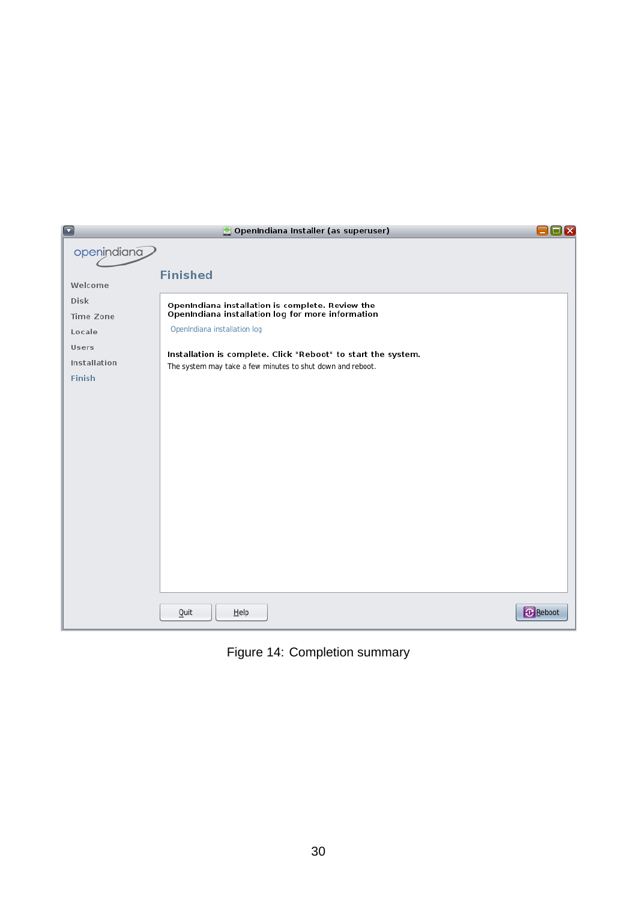| $\Box$        | OpenIndiana Installer (as superuser)                          | $\Box$ x        |
|---------------|---------------------------------------------------------------|-----------------|
| openindiana   |                                                               |                 |
|               | <b>Finished</b>                                               |                 |
| Welcome       |                                                               |                 |
| <b>Disk</b>   | OpenIndiana installation is complete. Review the              |                 |
| Time Zone     | OpenIndiana installation log for more information             |                 |
| Locale        | OpenIndiana installation log                                  |                 |
| Users         | Installation is complete. Click "Reboot" to start the system. |                 |
| Installation  | The system may take a few minutes to shut down and reboot.    |                 |
| <b>Finish</b> |                                                               |                 |
|               |                                                               |                 |
|               |                                                               |                 |
|               |                                                               |                 |
|               |                                                               |                 |
|               |                                                               |                 |
|               |                                                               |                 |
|               |                                                               |                 |
|               |                                                               |                 |
|               |                                                               |                 |
|               |                                                               |                 |
|               |                                                               |                 |
|               |                                                               |                 |
|               |                                                               |                 |
|               |                                                               | <b>B</b> Reboot |
|               | Quit<br>$H$ elp                                               |                 |

Figure 14: Completion summary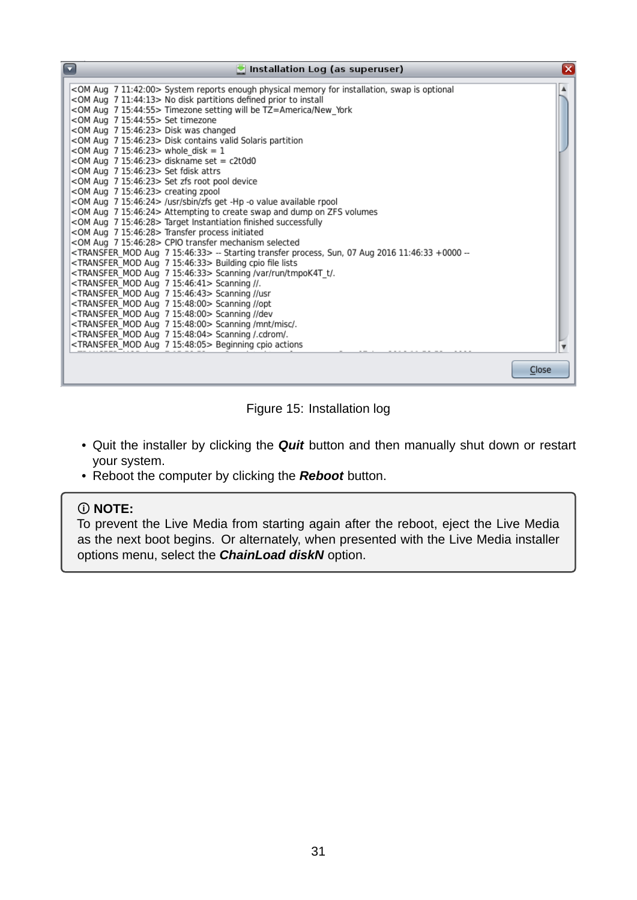| $\Box$<br>$\bullet$ Installation Log (as superuser)                                                                                                     | ⊠     |
|---------------------------------------------------------------------------------------------------------------------------------------------------------|-------|
| <0M Aug 7 11:42:00> System reports enough physical memory for installation, swap is optional                                                            |       |
| <om 11:44:13="" 7="" aug=""> No disk partitions defined prior to install</om>                                                                           |       |
| <om 15:44:55="" 7="" aug=""> Timezone setting will be TZ=America/New York</om>                                                                          |       |
| <om 15:44:55="" 7="" aug=""> Set timezone</om>                                                                                                          |       |
| <om 15:46:23="" 7="" aug=""> Disk was changed</om>                                                                                                      |       |
| <om 15:46:23="" 7="" aug=""> Disk contains valid Solaris partition</om>                                                                                 |       |
| <0M Aug 7 15:46:23> whole disk = 1                                                                                                                      |       |
| <0M Aug 7 15:46:23> diskname set = c2t0d0                                                                                                               |       |
| <om 15:46:23="" 7="" aug=""> Set fdisk attrs</om>                                                                                                       |       |
| <om 15:46:23="" 7="" aug=""> Set zfs root pool device</om>                                                                                              |       |
| <om 15:46:23="" 7="" aug=""> creating zpool</om>                                                                                                        |       |
| <om 15:46:24="" 7="" aug=""> /usr/sbin/zfs get -Hp -o value available rpool</om>                                                                        |       |
| <0M Aug 7 15:46:24> Attempting to create swap and dump on ZFS volumes                                                                                   |       |
| <om 15:46:28="" 7="" aug=""> Target Instantiation finished successfully</om>                                                                            |       |
| <om 15:46:28="" 7="" aug=""> Transfer process initiated</om>                                                                                            |       |
| <om 15:46:28="" 7="" aug=""> CPIO transfer mechanism selected</om>                                                                                      |       |
| <transfer 15:46:33="" 7="" aug="" mod=""> -- Starting transfer process, Sun, 07 Aug 2016 11:46:33 +0000 --</transfer>                                   |       |
| <transfer 15:46:33="" 7="" aug="" mod=""> Building cpio file lists</transfer>                                                                           |       |
| <transfer 15:46:33="" 7="" aug="" mod=""> Scanning /var/run/tmpoK4T t/.</transfer>                                                                      |       |
| <transfer 15:46:41="" 7="" aug="" mod=""> Scanning //.</transfer>                                                                                       |       |
| <transfer_mod 15:46:43="" 7="" aug=""> Scanning //usr</transfer_mod>                                                                                    |       |
| <transfer 15:48:00="" 7="" aug="" mod=""> Scanning //opt</transfer>                                                                                     |       |
| <transfer 15:48:00="" 7="" aug="" mod=""> Scanning //dev</transfer>                                                                                     |       |
| <transfer_mod 15:48:00="" 7="" aug=""> Scanning /mnt/misc/.<br/><transfer_mod 15:48:04="" 7="" aug=""> Scanning /.cdrom/.</transfer_mod></transfer_mod> |       |
| <transfer 15:48:05="" 7="" aug="" mod=""> Beginning cpio actions</transfer>                                                                             |       |
|                                                                                                                                                         |       |
|                                                                                                                                                         |       |
|                                                                                                                                                         | Close |

Figure 15: Installation log

- Quit the installer by clicking the *Quit* button and then manually shut down or restart your system.
- Reboot the computer by clicking the *Reboot* button.

#### **NOTE:**

To prevent the Live Media from starting again after the reboot, eject the Live Media as the next boot begins. Or alternately, when presented with the Live Media installer options menu, select the *ChainLoad diskN* option.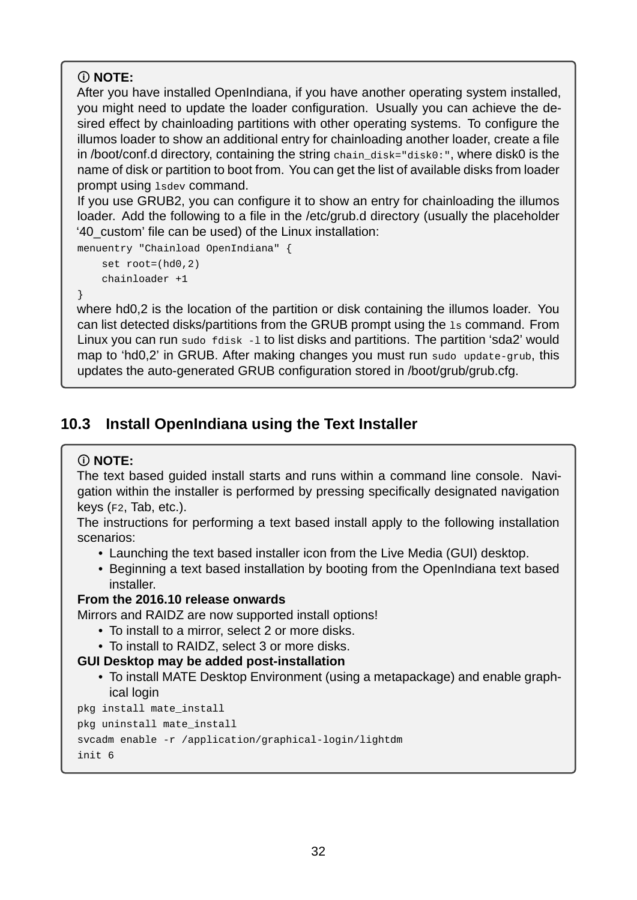## **NOTE:**

After you have installed OpenIndiana, if you have another operating system installed, you might need to update the loader configuration. Usually you can achieve the desired effect by chainloading partitions with other operating systems. To configure the illumos loader to show an additional entry for chainloading another loader, create a file in /boot/conf.d directory, containing the string chain\_disk="disk0:", where disk0 is the name of disk or partition to boot from. You can get the list of available disks from loader prompt using lsdev command.

If you use GRUB2, you can configure it to show an entry for chainloading the illumos loader. Add the following to a file in the /etc/grub.d directory (usually the placeholder '40\_custom' file can be used) of the Linux installation:

```
menuentry "Chainload OpenIndiana" {
    set root=(hd0,2)
    chainloader +1
```
}

where hd0,2 is the location of the partition or disk containing the illumos loader. You can list detected disks/partitions from the GRUB prompt using the ls command. From Linux you can run sudo  $f$ disk  $-1$  to list disks and partitions. The partition 'sda2' would map to 'hd0,2' in GRUB. After making changes you must run sudo update-grub, this updates the auto-generated GRUB configuration stored in /boot/grub/grub.cfg.

# <span id="page-31-1"></span><span id="page-31-0"></span>**10.3 Install OpenIndiana using the Text Installer**

## **NOTE:**

The text based guided install starts and runs within a command line console. Navigation within the installer is performed by pressing specifically designated navigation keys (F2, Tab, etc.).

The instructions for performing a text based install apply to the following installation scenarios:

- Launching the text based installer icon from the Live Media (GUI) desktop.
- Beginning a text based installation by booting from the OpenIndiana text based installer.

### **From the 2016.10 release onwards**

Mirrors and RAIDZ are now supported install options!

- To install to a mirror, select 2 or more disks.
- To install to RAIDZ, select 3 or more disks.

## **GUI Desktop may be added post-installation**

• To install MATE Desktop Environment (using a metapackage) and enable graphical login

```
pkg install mate_install
pkg uninstall mate_install
svcadm enable -r /application/graphical-login/lightdm
init 6
```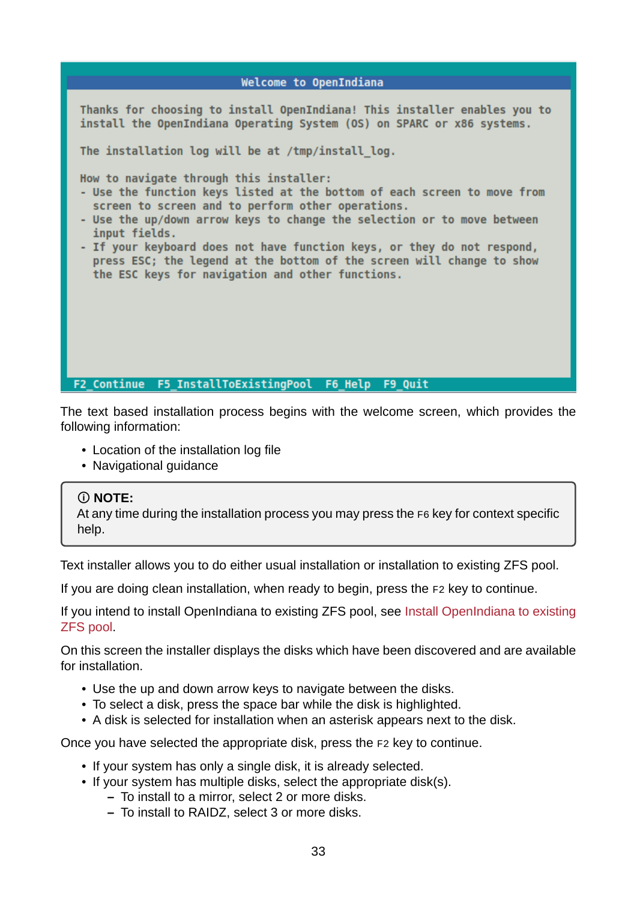# Welcome to OpenIndiana Thanks for choosing to install OpenIndiana! This installer enables you to install the OpenIndiana Operating System (OS) on SPARC or x86 systems. The installation log will be at /tmp/install log. How to navigate through this installer: - Use the function keys listed at the bottom of each screen to move from screen to screen and to perform other operations. - Use the up/down arrow keys to change the selection or to move between input fields. - If your keyboard does not have function keys, or they do not respond, press ESC; the legend at the bottom of the screen will change to show the ESC keys for navigation and other functions. F2\_Continue F5\_InstallToExistingPool F6\_Help F9\_Quit

The text based installation process begins with the welcome screen, which provides the following information:

- Location of the installation log file
- Navigational guidance

#### **NOTE:**

At any time during the installation process you may press the F6 key for context specific help.

Text installer allows you to do either usual installation or installation to existing ZFS pool.

If you are doing clean installation, when ready to begin, press the F2 key to continue.

If you intend to install OpenIndiana to existing ZFS pool, see Install OpenIndiana to existing ZFS pool.

On this screen the installer displays the disks which have been discovered and are available for installation.

- [Use](#page-44-2) the up and down arrow keys to navigate between the disks.
- To select a disk, press the space bar while the disk is highlighted.
- A disk is selected for installation when an asterisk appears next to the disk.

Once you have selected the appropriate disk, press the F2 key to continue.

- If your system has only a single disk, it is already selected.
- If your system has multiple disks, select the appropriate disk(s).
	- **–** To install to a mirror, select 2 or more disks.
	- **–** To install to RAIDZ, select 3 or more disks.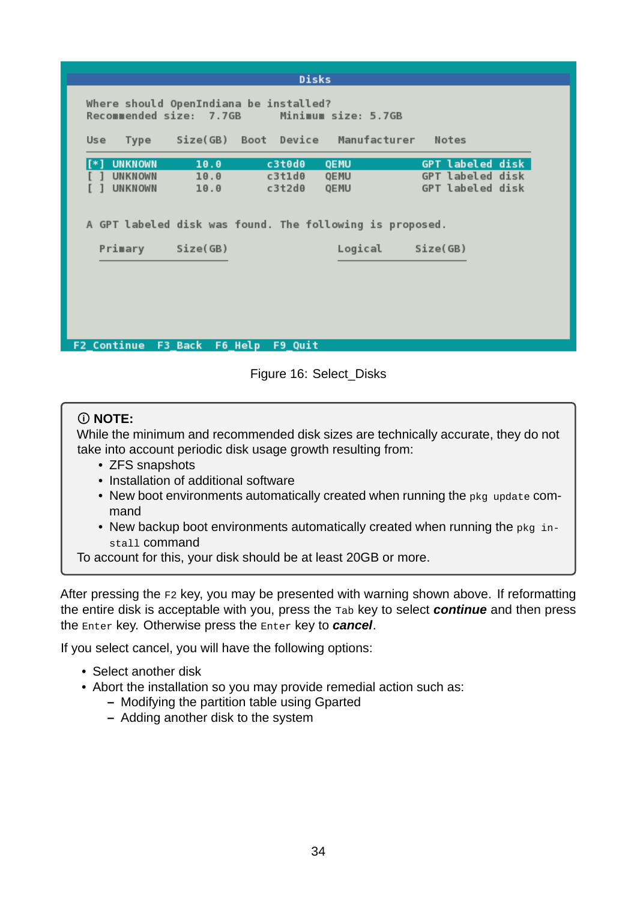|                         |                        | <b>Disks</b>                                             |                     |                         |  |
|-------------------------|------------------------|----------------------------------------------------------|---------------------|-------------------------|--|
|                         |                        | Where should OpenIndiana be installed?                   |                     |                         |  |
| Recommended size: 7.7GB |                        |                                                          | Minimum size: 5.7GB |                         |  |
| Use                     |                        | Type Size(GB) Boot Device Manufacturer Notes             |                     |                         |  |
| <b>UNKNOWN</b>          | 10.0                   | c3t0d0                                                   | QEMU                | <b>GPT</b> labeled disk |  |
| <b>UNKNOWN</b>          | 10.0                   | c3t1d0                                                   | QEMU                | <b>GPT labeled disk</b> |  |
| <b>UNKNOWN</b>          | 10.0                   | $c3t2d\theta$                                            | <b>QEMU</b>         | <b>GPT</b> labeled disk |  |
| Primary                 | Size(GB)               | A GPT labeled disk was found. The following is proposed. | Logical             | Size(GB)                |  |
|                         |                        |                                                          |                     |                         |  |
|                         |                        |                                                          |                     |                         |  |
|                         |                        |                                                          |                     |                         |  |
|                         |                        |                                                          |                     |                         |  |
| <b>F2 Continue</b>      | <b>F3 Back F6 Help</b> | F9 Ouit                                                  |                     |                         |  |

Figure 16: Select\_Disks

### **NOTE:**

While the minimum and recommended disk sizes are technically accurate, they do not take into account periodic disk usage growth resulting from:

- ZFS snapshots
- Installation of additional software
- New boot environments automatically created when running the pkg update command
- New backup boot environments automatically created when running the pkg install command

To account for this, your disk should be at least 20GB or more.

After pressing the F2 key, you may be presented with warning shown above. If reformatting the entire disk is acceptable with you, press the Tab key to select *continue* and then press the Enter key. Otherwise press the Enter key to *cancel*.

If you select cancel, you will have the following options:

- Select another disk
- Abort the installation so you may provide remedial action such as:
	- **–** Modifying the partition table using Gparted
	- **–** Adding another disk to the system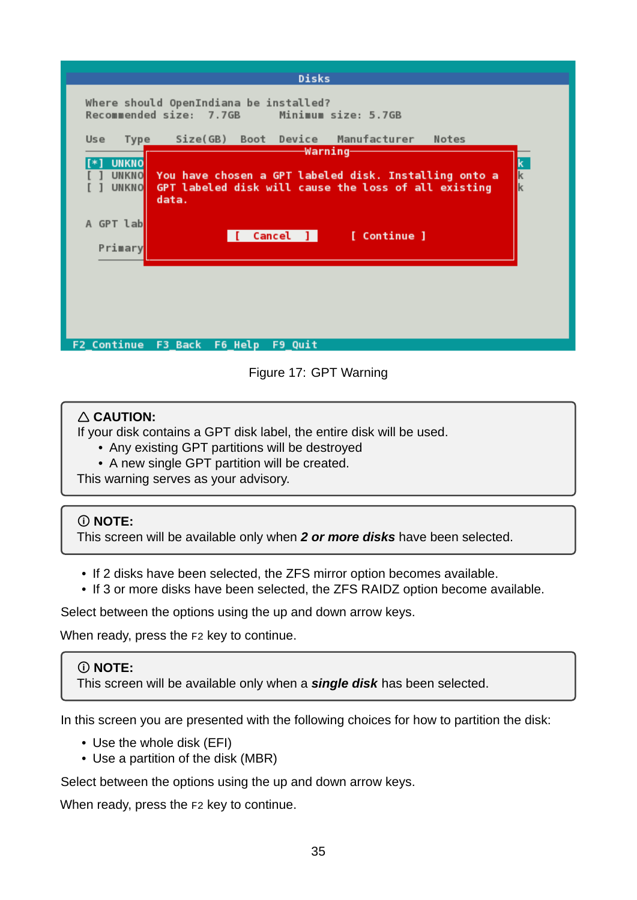| <b>Disks</b><br>Where should OpenIndiana be installed?<br>Recommended size: 7.7GB<br>Minimum size: 5.7GB                                                                                                                                                                                                           |
|--------------------------------------------------------------------------------------------------------------------------------------------------------------------------------------------------------------------------------------------------------------------------------------------------------------------|
| Size(GB) Boot Device Manufacturer<br>Notes<br>Use<br>Type<br>-Warning-<br><b>UNKNO</b><br><u>UNKNO</u> You have chosen a GPT labeled disk. Installing onto a<br>$\mathbf k$<br>GPT labeled disk will cause the loss of all existing<br><b>UNKNO</b><br>data.<br>A GPT lab<br>[ Continue ]<br>$Cancel$ ]<br>Primary |
| F9 Quit<br><b>F2 Continue</b><br>F3 Back<br>F6 Help                                                                                                                                                                                                                                                                |

Figure 17: GPT Warning

## **CAUTION:**

If your disk contains a GPT disk label, the entire disk will be used.

- Any existing GPT partitions will be destroyed
- A new single GPT partition will be created.

This warning serves as your advisory.

## **NOTE:**

This screen will be available only when *2 or more disks* have been selected.

- If 2 disks have been selected, the ZFS mirror option becomes available.
- If 3 or more disks have been selected, the ZFS RAIDZ option become available.

Select between the options using the up and down arrow keys.

When ready, press the F2 key to continue.

## **NOTE:**

This screen will be available only when a *single disk* has been selected.

In this screen you are presented with the following choices for how to partition the disk:

- Use the whole disk (EFI)
- Use a partition of the disk (MBR)

Select between the options using the up and down arrow keys.

When ready, press the F2 key to continue.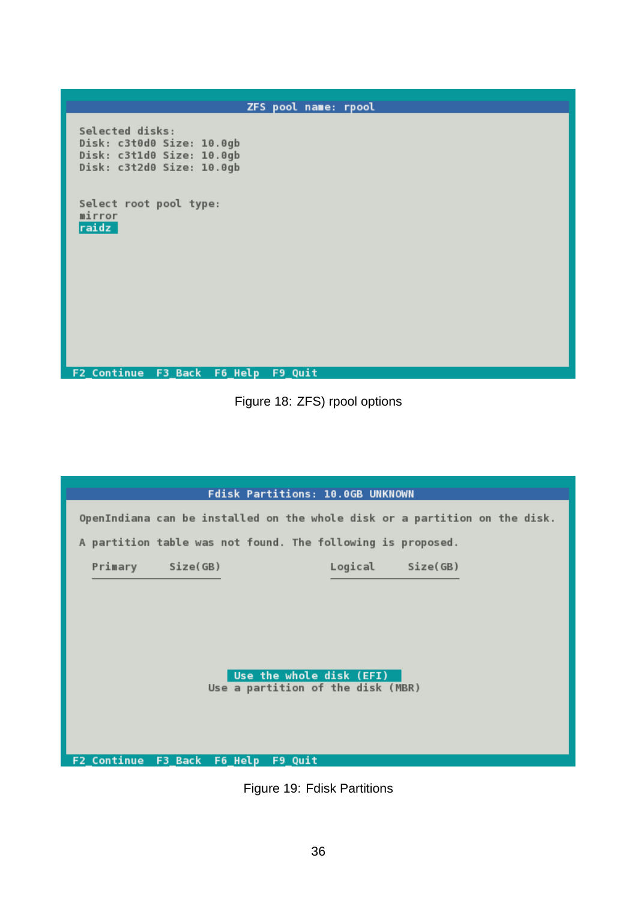ZFS pool name: rpool Selected disks: Disk: c3t0d0 Size: 10.0gb<br>Disk: c3t1d0 Size: 10.0gb<br>Disk: c3t2d0 Size: 10.0gb Select root pool type: mirror<br><mark>raidz</mark> F2\_Continue F3\_Back F6\_Help F9\_Quit

Figure 18: ZFS) rpool options

| Fdisk Partitions: 10.0GB UNKNOWN                                           |                  |
|----------------------------------------------------------------------------|------------------|
| OpenIndiana can be installed on the whole disk or a partition on the disk. |                  |
| A partition table was not found. The following is proposed.                |                  |
| Primary Size(GB)                                                           | Logical Size(GB) |
|                                                                            |                  |
|                                                                            |                  |
|                                                                            |                  |
| Use the whole disk (EFI)                                                   |                  |
| Use a partition of the disk (MBR)                                          |                  |
|                                                                            |                  |
|                                                                            |                  |
| F2 Continue F3_Back F6_Help F9_Quit                                        |                  |

Figure 19: Fdisk Partitions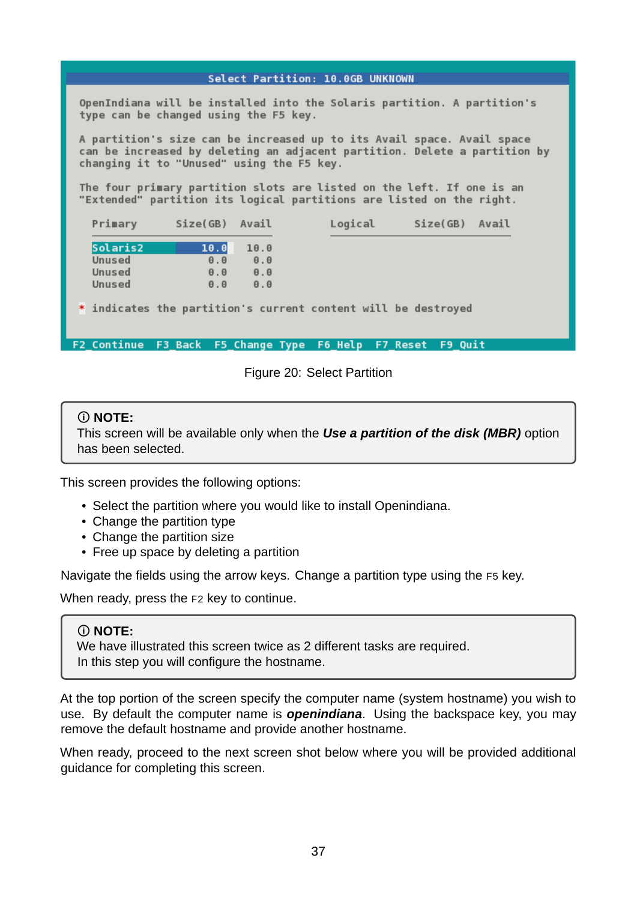#### Select Partition: 10.0GB UNKNOWN

OpenIndiana will be installed into the Solaris partition. A partition's type can be changed using the F5 key.

A partition's size can be increased up to its Avail space. Avail space can be increased by deleting an adjacent partition. Delete a partition by changing it to "Unused" using the F5 key.

The four primary partition slots are listed on the left. If one is an "Extended" partition its logical partitions are listed on the right.

| Primary  | Size(GB)            | Avail               | Logical | Size(GB) | Avail |
|----------|---------------------|---------------------|---------|----------|-------|
| Solaris2 | 10.0                | 10.0                |         |          |       |
| Unused   | $\theta$ . $\theta$ | $\theta$ . $\theta$ |         |          |       |
| Unused   | $\theta$ . $\theta$ | $\theta$ . $\theta$ |         |          |       |
| Unused   | $\theta$ . $\theta$ | $\theta$ . $\theta$ |         |          |       |

\* indicates the partition's current content will be destroyed

F2\_Continue F3\_Back F5\_Change Type F6\_Help F7\_Reset F9\_Quit

Figure 20: Select Partition

#### **NOTE:**

This screen will be available only when the *Use a partition of the disk (MBR)* option has been selected.

This screen provides the following options:

- Select the partition where you would like to install Openindiana.
- Change the partition type
- Change the partition size
- Free up space by deleting a partition

Navigate the fields using the arrow keys. Change a partition type using the F5 key.

When ready, press the F2 key to continue.

#### **NOTE:**

We have illustrated this screen twice as 2 different tasks are required. In this step you will configure the hostname.

At the top portion of the screen specify the computer name (system hostname) you wish to use. By default the computer name is *openindiana*. Using the backspace key, you may remove the default hostname and provide another hostname.

When ready, proceed to the next screen shot below where you will be provided additional guidance for completing this screen.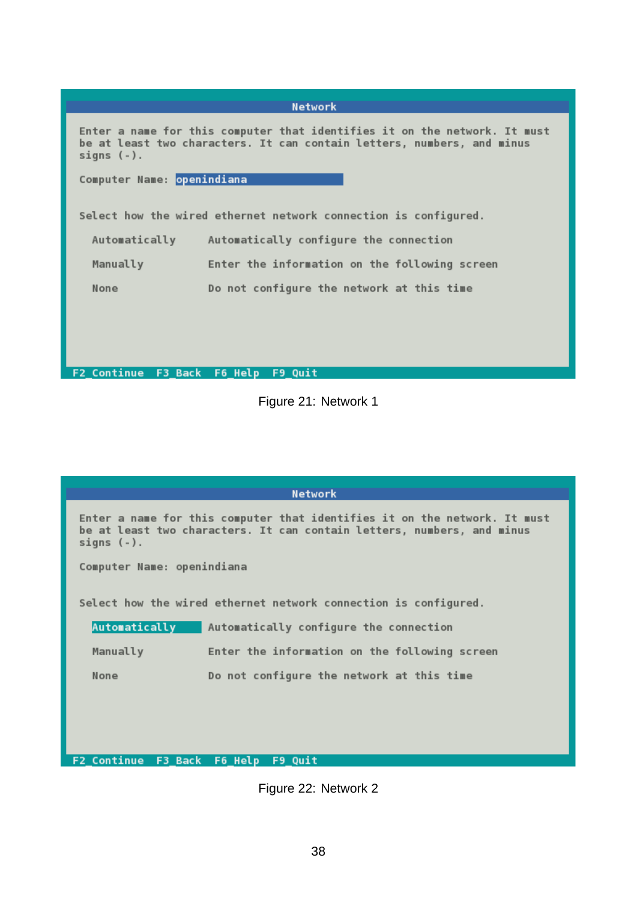| <b>Network</b>                                                                                                                                                       |  |  |  |  |
|----------------------------------------------------------------------------------------------------------------------------------------------------------------------|--|--|--|--|
| Enter a name for this computer that identifies it on the network. It must<br>be at least two characters. It can contain letters, numbers, and minus<br>signs $(-)$ . |  |  |  |  |
| Computer Name: openindiana                                                                                                                                           |  |  |  |  |
| Select how the wired ethernet network connection is configured.                                                                                                      |  |  |  |  |
| Automatically<br>Automatically configure the connection                                                                                                              |  |  |  |  |
| Manually<br>Enter the information on the following screen                                                                                                            |  |  |  |  |
| None<br>Do not configure the network at this time                                                                                                                    |  |  |  |  |
|                                                                                                                                                                      |  |  |  |  |
|                                                                                                                                                                      |  |  |  |  |
| F2 Continue F3 Back F6 Help F9 Quit                                                                                                                                  |  |  |  |  |

Figure 21: Network 1

Network

Enter a name for this computer that identifies it on the network. It must be at least two characters. It can contain letters, numbers, and minus signs  $(-)$ .

Computer Name: openindiana

Select how the wired ethernet network connection is configured.

| Automatically | Automatically configure the connection        |
|---------------|-----------------------------------------------|
| Manually      | Enter the information on the following screen |
| None          | Do not configure the network at this time     |

F2\_Continue F3\_Back F6\_Help F9\_Quit

Figure 22: Network 2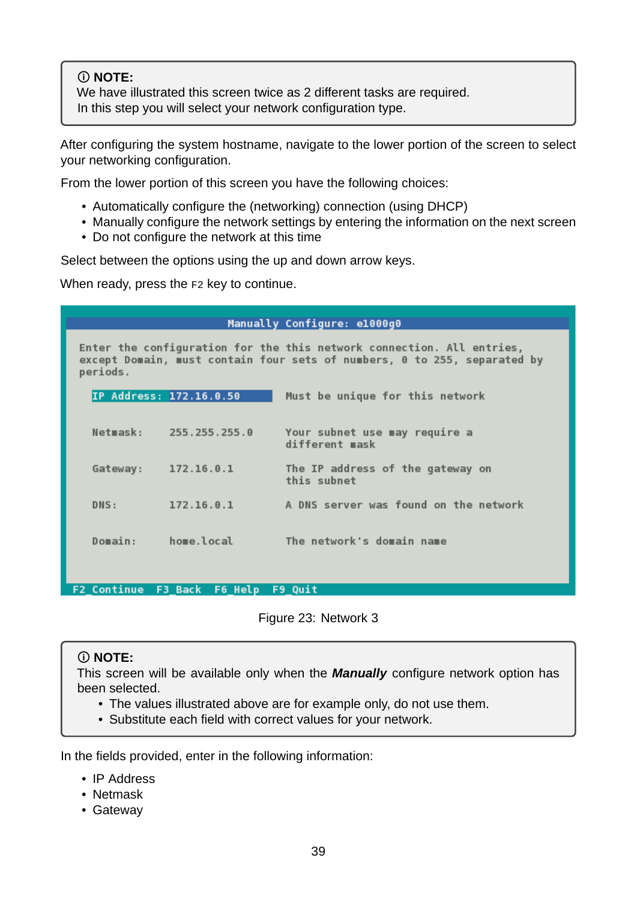## **NOTE:**

We have illustrated this screen twice as 2 different tasks are required. In this step you will select your network configuration type.

After configuring the system hostname, navigate to the lower portion of the screen to select your networking configuration.

From the lower portion of this screen you have the following choices:

- Automatically configure the (networking) connection (using DHCP)
- Manually configure the network settings by entering the information on the next screen
- Do not configure the network at this time

Select between the options using the up and down arrow keys.

When ready, press the F2 key to continue.

| Manually Configure: e1000g0                                                                                                                                   |                         |                                                 |  |  |
|---------------------------------------------------------------------------------------------------------------------------------------------------------------|-------------------------|-------------------------------------------------|--|--|
| Enter the configuration for the this network connection. All entries,<br>except Domain, must contain four sets of numbers, 0 to 255, separated by<br>periods. |                         |                                                 |  |  |
|                                                                                                                                                               | IP Address: 172.16.0.50 | Must be unique for this network                 |  |  |
| Netmask:                                                                                                                                                      | 255.255.255.0           | Your subnet use may require a<br>different mask |  |  |
| Gateway:                                                                                                                                                      | 172.16.0.1              | The IP address of the gateway on<br>this subnet |  |  |
| DNS:                                                                                                                                                          | 172.16.0.1              | A DNS server was found on the network           |  |  |
| Domain:                                                                                                                                                       | home.local              | The network's domain name                       |  |  |

F2\_Continue F3\_Back F6\_Help F9\_Quit

Figure 23: Network 3

### **NOTE:**

This screen will be available only when the *Manually* configure network option has been selected.

- The values illustrated above are for example only, do not use them.
- Substitute each field with correct values for your network.

In the fields provided, enter in the following information:

- IP Address
- Netmask
- Gateway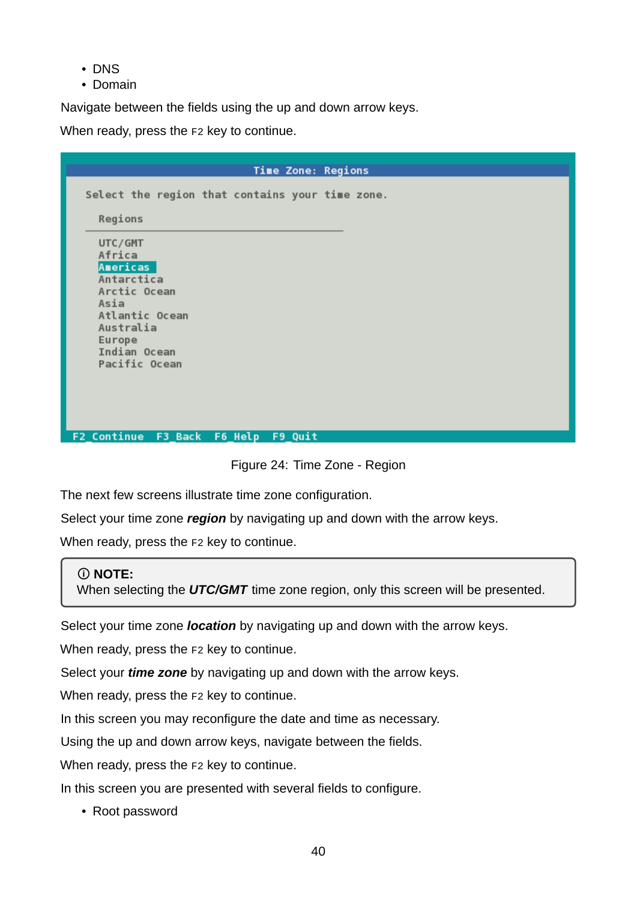- DNS
- Domain

Navigate between the fields using the up and down arrow keys.

When ready, press the F2 key to continue.

| <b>Time Zone: Regions</b>                                                                                                                     |
|-----------------------------------------------------------------------------------------------------------------------------------------------|
| Select the region that contains your time zone.                                                                                               |
| Regions                                                                                                                                       |
| UTC/GMT<br>Africa<br>Americas<br>Antarctica<br>Arctic Ocean<br>Asia<br>Atlantic Ocean<br>Australia<br>Europe<br>Indian Ocean<br>Pacific Ocean |
|                                                                                                                                               |
| F2_Continue F3_Back F6_Help F9_Quit                                                                                                           |

Figure 24: Time Zone - Region

The next few screens illustrate time zone configuration.

Select your time zone *region* by navigating up and down with the arrow keys.

When ready, press the F2 key to continue.

## **NOTE:**

When selecting the *UTC/GMT* time zone region, only this screen will be presented.

Select your time zone *location* by navigating up and down with the arrow keys.

When ready, press the F2 key to continue.

Select your *time zone* by navigating up and down with the arrow keys.

When ready, press the F2 key to continue.

In this screen you may reconfigure the date and time as necessary.

Using the up and down arrow keys, navigate between the fields.

When ready, press the F2 key to continue.

In this screen you are presented with several fields to configure.

• Root password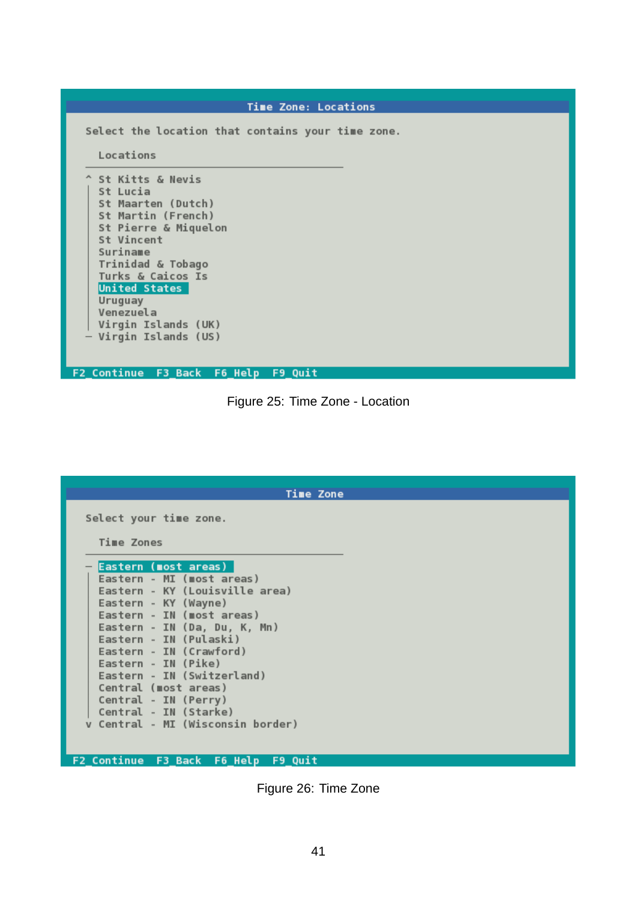| <b>Time Zone: Locations</b>                                                                                                                                                                                                                                      |
|------------------------------------------------------------------------------------------------------------------------------------------------------------------------------------------------------------------------------------------------------------------|
| Select the location that contains your time zone.<br>Locations<br>^ St Kitts & Nevis<br>St Lucia<br>St Maarten (Dutch)<br>St Martin (French)<br>St Pierre & Miquelon<br>St Vincent<br>Suriname<br>Trinidad & Tobago<br>Turks & Caicos Is<br><b>United States</b> |
| Uruguay<br>Venezuela<br>Virgin Islands (UK)                                                                                                                                                                                                                      |
| Virgin Islands (US)                                                                                                                                                                                                                                              |
| F2 Continue F3_Back F6_Help F9_Quit                                                                                                                                                                                                                              |

Figure 25: Time Zone Location

| <b>Time Zone</b>                                                                                                                                                                                                                                                                                                                                                                                        |
|---------------------------------------------------------------------------------------------------------------------------------------------------------------------------------------------------------------------------------------------------------------------------------------------------------------------------------------------------------------------------------------------------------|
| Select your time zone.<br>Time Zones                                                                                                                                                                                                                                                                                                                                                                    |
| <b>Eastern (most areas)</b><br>Eastern - MI (most areas)<br>Eastern - KY (Louisville area)<br>Eastern - KY (Wayne)<br>Eastern - IN (most areas)<br>Eastern - IN (Da, Du, K, Mn)<br>Eastern - IN (Pulaski)<br>Eastern - IN (Crawford)<br>Eastern - IN (Pike)<br>Eastern - IN (Switzerland)<br>Central (most areas)<br>Central - IN (Perry)<br>Central - IN (Starke)<br>v Central - MI (Wisconsin border) |
| F2 Continue F3 Back F6 Help F9 Quit                                                                                                                                                                                                                                                                                                                                                                     |

Figure 26: Time Zone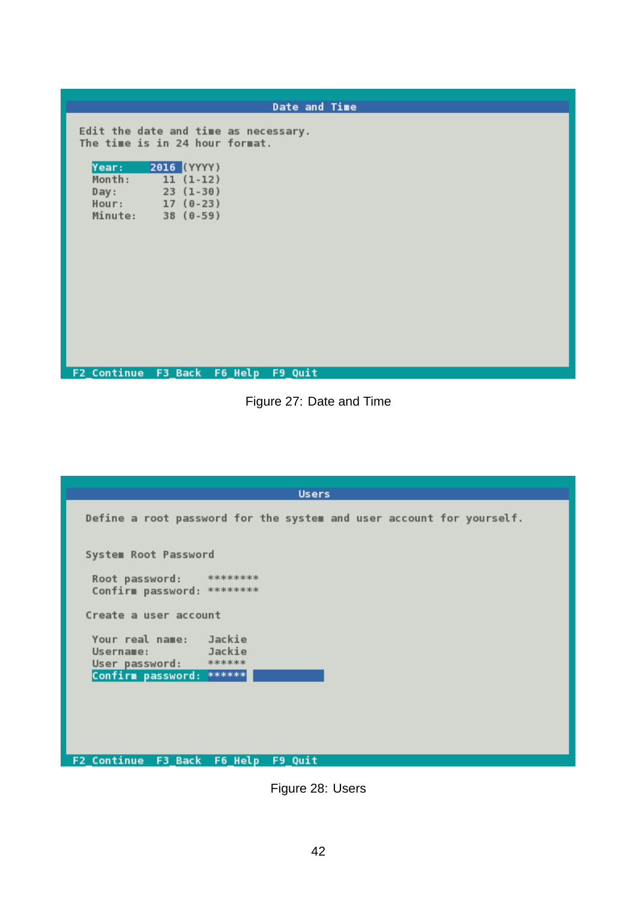| Date and Time                                                              |
|----------------------------------------------------------------------------|
| Edit the date and time as necessary.<br>The time is in 24 hour format.     |
| Year: 2016 (YYYY)<br>Month: 11 (1-12)<br>Day: 23 (1-30)<br>Hour: 17 (0-23) |
| Minute: 38 (0-59)                                                          |
|                                                                            |
| F2_Continue F3_Back F6_Help F9_Quit                                        |

Figure 27: Date and Time

| <b>Users</b>                                                                            |
|-----------------------------------------------------------------------------------------|
| Define a root password for the system and user account for yourself.                    |
| System Root Password                                                                    |
| Root password: ********<br>Confirm password: ********                                   |
| Create a user account                                                                   |
| Your real name: Jackie<br><b>Example 2</b> Jackie<br>Username:<br>User password: ****** |
| Confirm password: ******                                                                |
|                                                                                         |
|                                                                                         |
| F2_Continue F3_Back F6_Help F9_Quit                                                     |

Figure 28: Users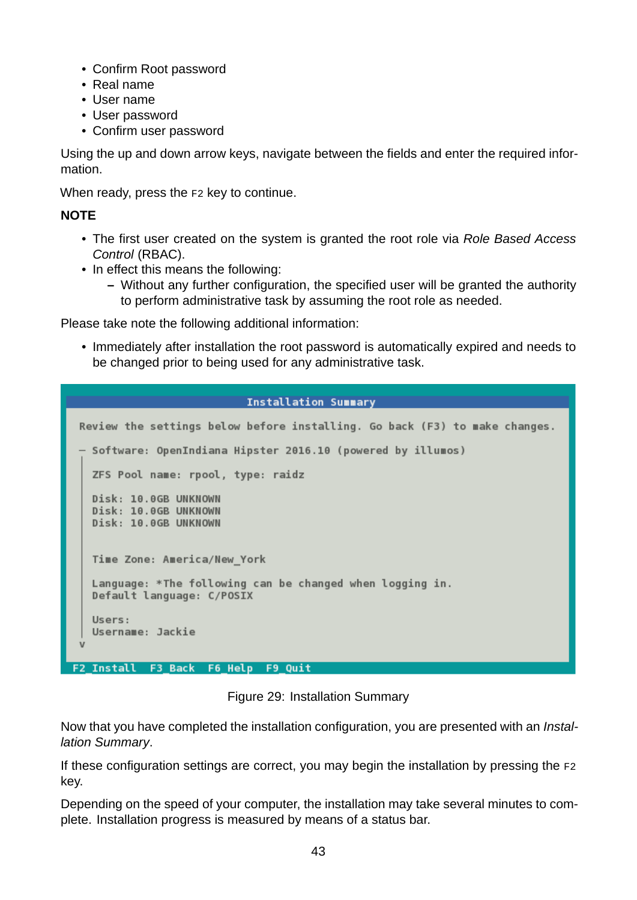- Confirm Root password
- Real name
- User name
- User password
- Confirm user password

Using the up and down arrow keys, navigate between the fields and enter the required information.

When ready, press the F2 key to continue.

#### **NOTE**

- The first user created on the system is granted the root role via *Role Based Access Control* (RBAC).
- In effect this means the following:
	- **–** Without any further configuration, the specified user will be granted the authority to perform administrative task by assuming the root role as needed.

Please take note the following additional information:

• Immediately after installation the root password is automatically expired and needs to be changed prior to being used for any administrative task.

#### **Installation Summary**

```
Review the settings below before installing. Go back (F3) to make changes.
   Software: OpenIndiana Hipster 2016.10 (powered by illumos)
   ZFS Pool name: rpool, type: raidz
   Disk: 10.0GB UNKNOWN
   Disk: 10.0GB UNKNOWN
   Disk: 10.0GB UNKNOWN
  Time Zone: America/New York
   Language: *The following can be changed when logging in.
   Default language: C/POSIX
   Users:
   Username: Jackie
F2 Install F3 Back F6 Help F9 Quit
```
Figure 29: Installation Summary

Now that you have completed the installation configuration, you are presented with an *Installation Summary*.

If these configuration settings are correct, you may begin the installation by pressing the F2 key.

Depending on the speed of your computer, the installation may take several minutes to complete. Installation progress is measured by means of a status bar.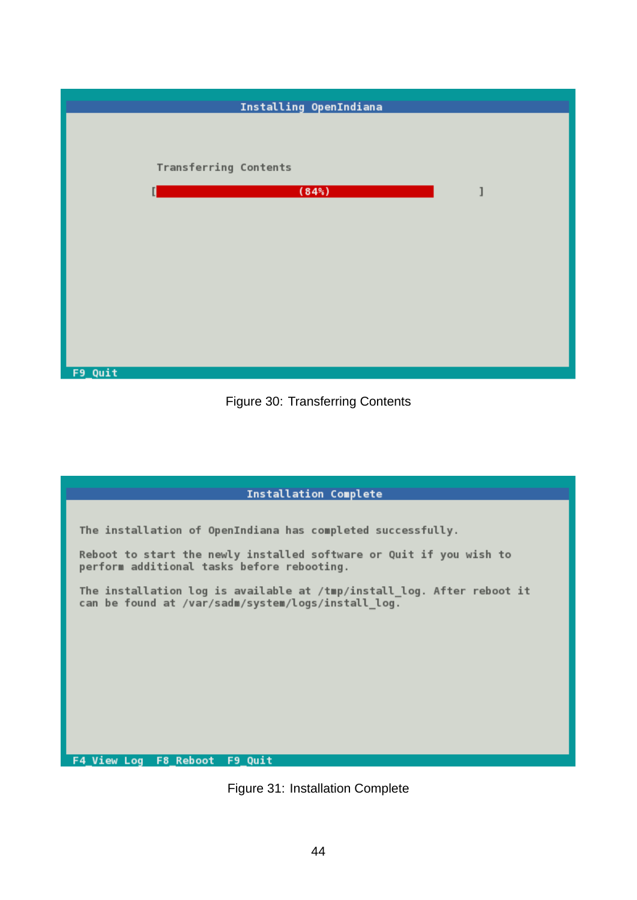| Installing OpenIndiana |  |
|------------------------|--|
|                        |  |
|                        |  |
| Transferring Contents  |  |
| $(84\%)$               |  |
|                        |  |
|                        |  |
|                        |  |
|                        |  |
|                        |  |
|                        |  |
|                        |  |
| F9_Quit                |  |



| <b>Installation Complete</b>                                                                                                 |  |  |  |
|------------------------------------------------------------------------------------------------------------------------------|--|--|--|
|                                                                                                                              |  |  |  |
| The installation of OpenIndiana has completed successfully.                                                                  |  |  |  |
| Reboot to start the newly installed software or Quit if you wish to<br>perform additional tasks before rebooting.            |  |  |  |
| The installation log is available at /tmp/install_log. After reboot it<br>can be found at /var/sadm/system/logs/install_log. |  |  |  |
|                                                                                                                              |  |  |  |
|                                                                                                                              |  |  |  |
|                                                                                                                              |  |  |  |
|                                                                                                                              |  |  |  |
|                                                                                                                              |  |  |  |
| F4 View Log F8 Reboot F9 Quit                                                                                                |  |  |  |

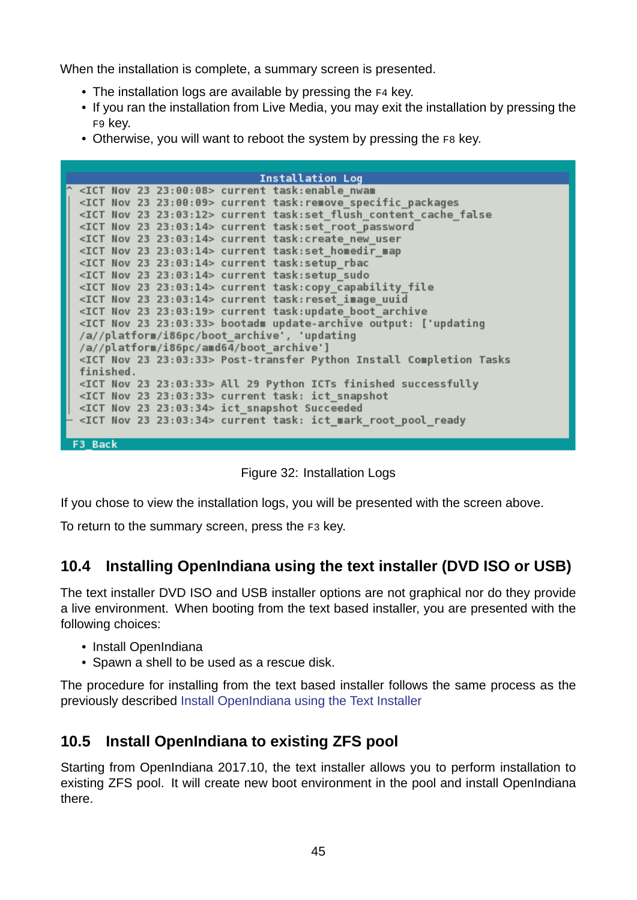When the installation is complete, a summary screen is presented.

- The installation logs are available by pressing the F4 key.
- If you ran the installation from Live Media, you may exit the installation by pressing the F9 key.
- Otherwise, you will want to reboot the system by pressing the F8 key.

| <b>Installation Log</b>                                                            |
|------------------------------------------------------------------------------------|
| $^{\circ}$ <ict 23="" 23:00:08="" nov=""> current task:enable nwam</ict>           |
| <ict 23="" 23:00:09="" nov=""> current task: remove specific packages</ict>        |
| <ict 23="" 23:03:12="" nov=""> current task:set flush content cache false</ict>    |
| <ict 23="" 23:03:14="" nov=""> current task:set root password</ict>                |
| <ict 23="" 23:03:14="" nov=""> current task: create new user</ict>                 |
| <ict 23="" 23:03:14="" nov=""> current task:set homedir map</ict>                  |
| <ict 23="" 23:03:14="" nov=""> current task:setup_rbac</ict>                       |
| <ict 23="" 23:03:14="" nov=""> current task:setup sudo</ict>                       |
| <ict 23="" 23:03:14="" nov=""> current task:copy capability file</ict>             |
| <ict 23="" 23:03:14="" nov=""> current task:reset image uuid</ict>                 |
| <ict 23="" 23:03:19="" nov=""> current task:update boot archive</ict>              |
| <ict 23="" 23:03:33="" nov=""> bootadm update-archive output: ['updating</ict>     |
| /a//platform/i86pc/boot_archive', 'updating                                        |
| /a//platform/i86pc/amd64/boot_archive']                                            |
| <ict 23="" 23:03:33="" nov=""> Post-transfer Python Install Completion Tasks</ict> |
| finished.                                                                          |
| <ict 23="" 23:03:33="" nov=""> All 29 Python ICTs finished successfully</ict>      |
| <ict 23="" 23:03:33="" nov=""> current task: ict snapshot</ict>                    |
| <ict 23="" 23:03:34="" nov=""> ict_snapshot Succeeded</ict>                        |
| <ict 23="" 23:03:34="" nov=""> current task: ict_mark_root_pool_ready</ict>        |
|                                                                                    |
| F3 Back                                                                            |

Figure 32: Installation Logs

If you chose to view the installation logs, you will be presented with the screen above.

To return to the summary screen, press the F3 key.

## **10.4 Installing OpenIndiana using the text installer (DVD ISO or USB)**

<span id="page-44-0"></span>The text installer DVD ISO and USB installer options are not graphical nor do they provide a live environment. When booting from the text based installer, you are presented with the following choices:

- Install OpenIndiana
- Spawn a shell to be used as a rescue disk.

The procedure for installing from the text based installer follows the same process as the previously described Install OpenIndiana using the Text Installer

## **10.5 Install Op[enIndiana to existing ZFS pool](./getting-started.md#install-openindiana-using-the-text-installer)**

<span id="page-44-2"></span><span id="page-44-1"></span>Starting from OpenIndiana 2017.10, the text installer allows you to perform installation to existing ZFS pool. It will create new boot environment in the pool and install OpenIndiana there.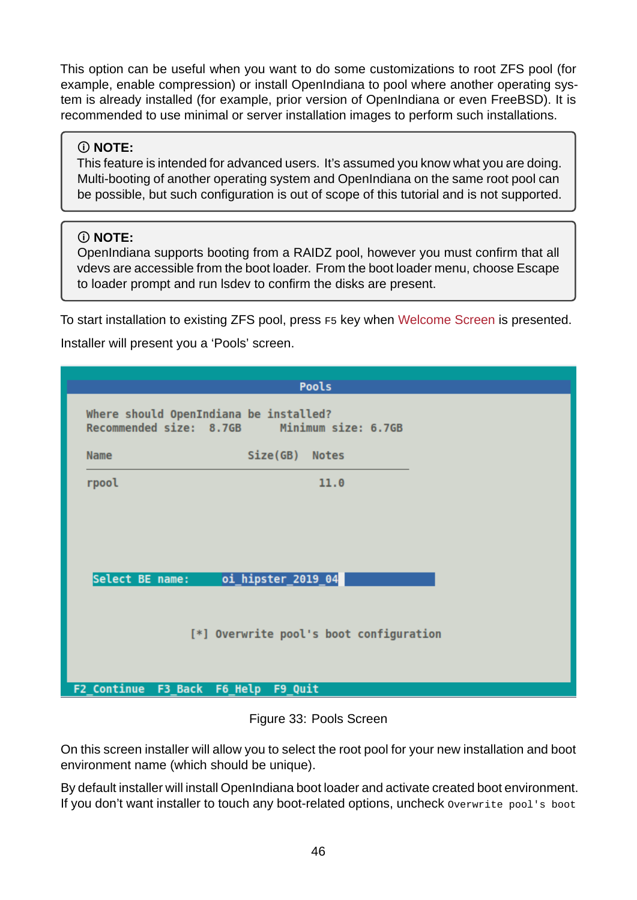This option can be useful when you want to do some customizations to root ZFS pool (for example, enable compression) or install OpenIndiana to pool where another operating system is already installed (for example, prior version of OpenIndiana or even FreeBSD). It is recommended to use minimal or server installation images to perform such installations.

## **NOTE:**

This feature is intended for advanced users. It's assumed you know what you are doing. Multi-booting of another operating system and OpenIndiana on the same root pool can be possible, but such configuration is out of scope of this tutorial and is not supported.

## **NOTE:**

OpenIndiana supports booting from a RAIDZ pool, however you must confirm that all vdevs are accessible from the boot loader. From the boot loader menu, choose Escape to loader prompt and run lsdev to confirm the disks are present.

To start installation to existing ZFS pool, press F5 key when Welcome Screen is presented.

Installer will present you a 'Pools' screen.

|                 | <b>Pools</b>                                                                          |
|-----------------|---------------------------------------------------------------------------------------|
|                 | Where should OpenIndiana be installed?<br>Recommended size: 8.7GB Minimum size: 6.7GB |
| Name            | Size(GB)<br><b>Notes</b>                                                              |
| rpool           | 11.0                                                                                  |
| Select BE name: | oi_hipster_2019_04                                                                    |
|                 | [*] Overwrite pool's boot configuration                                               |
|                 |                                                                                       |

Figure 33: Pools Screen

On this screen installer will allow you to select the root pool for your new installation and boot environment name (which should be unique).

By default installer will install OpenIndiana boot loader and activate created boot environment. If you don't want installer to touch any boot-related options, uncheck overwrite pool's boot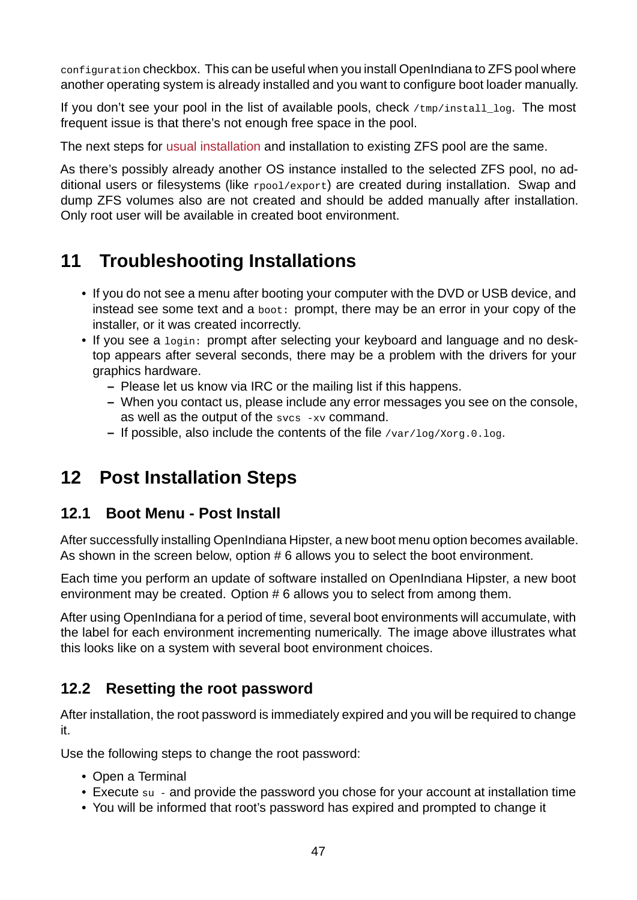configuration checkbox. This can be useful when you install OpenIndiana to ZFS pool where another operating system is already installed and you want to configure boot loader manually.

If you don't see your pool in the list of available pools, check /tmp/install\_log. The most frequent issue is that there's not enough free space in the pool.

The next steps for usual installation and installation to existing ZFS pool are the same.

As there's possibly already another OS instance installed to the selected ZFS pool, no additional users or filesystems (like rpool/export) are created during installation. Swap and dump ZFS volum[es also are not cr](#page-31-1)eated and should be added manually after installation. Only root user will be available in created boot environment.

# **11 Troubleshooting Installations**

- <span id="page-46-0"></span>• If you do not see a menu after booting your computer with the DVD or USB device, and instead see some text and a boot: prompt, there may be an error in your copy of the installer, or it was created incorrectly.
- If you see a login: prompt after selecting your keyboard and language and no desktop appears after several seconds, there may be a problem with the drivers for your graphics hardware.
	- **–** Please let us know via IRC or the mailing list if this happens.
	- **–** When you contact us, please include any error messages you see on the console, as well as the output of the svcs -xv command.
	- **–** If possible, also include the contents of the file /var/log/Xorg.0.log.

# **12 Post Installation Steps**

## <span id="page-46-1"></span>**12.1 Boot Menu - Post Install**

<span id="page-46-2"></span>After successfully installing OpenIndiana Hipster, a new boot menu option becomes available. As shown in the screen below, option # 6 allows you to select the boot environment.

Each time you perform an update of software installed on OpenIndiana Hipster, a new boot environment may be created. Option # 6 allows you to select from among them.

After using OpenIndiana for a period of time, several boot environments will accumulate, with the label for each environment incrementing numerically. The image above illustrates what this looks like on a system with several boot environment choices.

## **12.2 Resetting the root password**

<span id="page-46-3"></span>After installation, the root password is immediately expired and you will be required to change it.

Use the following steps to change the root password:

- Open a Terminal
- Execute su and provide the password you chose for your account at installation time
- You will be informed that root's password has expired and prompted to change it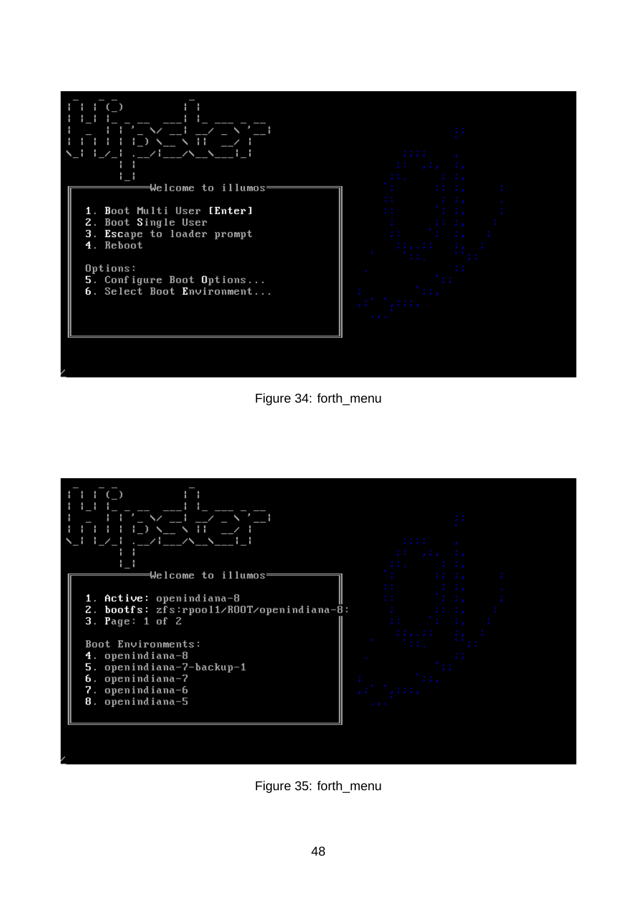

Figure 34: forth\_menu



Figure 35: forth\_menu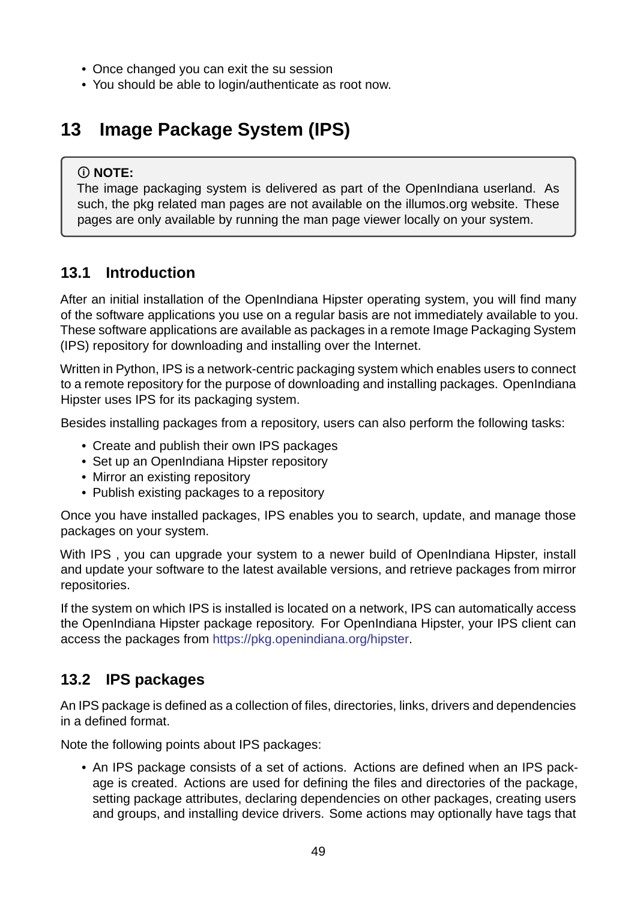- Once changed you can exit the su session
- You should be able to login/authenticate as root now.

# **13 Image Package System (IPS)**

## <span id="page-48-0"></span>**NOTE:**

The image packaging system is delivered as part of the OpenIndiana userland. As such, the pkg related man pages are not available on the illumos.org website. These pages are only available by running the man page viewer locally on your system.

# **13.1 Introduction**

<span id="page-48-1"></span>After an initial installation of the OpenIndiana Hipster operating system, you will find many of the software applications you use on a regular basis are not immediately available to you. These software applications are available as packages in a remote Image Packaging System (IPS) repository for downloading and installing over the Internet.

Written in Python, IPS is a network-centric packaging system which enables users to connect to a remote repository for the purpose of downloading and installing packages. OpenIndiana Hipster uses IPS for its packaging system.

Besides installing packages from a repository, users can also perform the following tasks:

- Create and publish their own IPS packages
- Set up an OpenIndiana Hipster repository
- Mirror an existing repository
- Publish existing packages to a repository

Once you have installed packages, IPS enables you to search, update, and manage those packages on your system.

With IPS, you can upgrade your system to a newer build of OpenIndiana Hipster, install and update your software to the latest available versions, and retrieve packages from mirror repositories.

If the system on which IPS is installed is located on a network, IPS can automatically access the OpenIndiana Hipster package repository. For OpenIndiana Hipster, your IPS client can access the packages from https://pkg.openindiana.org/hipster.

## **13.2 IPS packages**

<span id="page-48-2"></span>An IPS package is defined as a collection of files, directories, links, drivers and dependencies in a defined format.

Note the following points about IPS packages:

• An IPS package consists of a set of actions. Actions are defined when an IPS package is created. Actions are used for defining the files and directories of the package, setting package attributes, declaring dependencies on other packages, creating users and groups, and installing device drivers. Some actions may optionally have tags that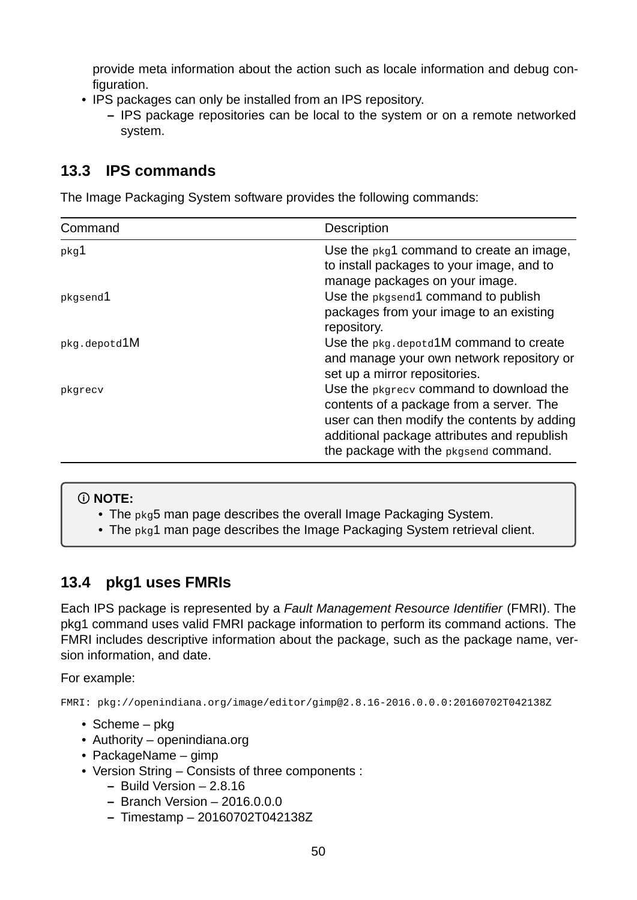provide meta information about the action such as locale information and debug configuration.

- IPS packages can only be installed from an IPS repository.
	- **–** IPS package repositories can be local to the system or on a remote networked system.

# <span id="page-49-0"></span>**13.3 IPS commands**

The Image Packaging System software provides the following commands:

| Command      | Description                                                                                                                                                                                                                |
|--------------|----------------------------------------------------------------------------------------------------------------------------------------------------------------------------------------------------------------------------|
| pkg1         | Use the pkg1 command to create an image,<br>to install packages to your image, and to<br>manage packages on your image.                                                                                                    |
| pkgsend1     | Use the pkgsend1 command to publish<br>packages from your image to an existing<br>repository.                                                                                                                              |
| pkg.depotd1M | Use the pkg. depotd 1M command to create<br>and manage your own network repository or<br>set up a mirror repositories.                                                                                                     |
| pkgrecv      | Use the pkgrecy command to download the<br>contents of a package from a server. The<br>user can then modify the contents by adding<br>additional package attributes and republish<br>the package with the pkgsend command. |

## **NOTE:**

• The pkg5 man page describes the overall Image Packaging System.

• The pkg1 man page describes the Image Packaging System retrieval client.

# <span id="page-49-1"></span>**13.4 pkg1 uses FMRIs**

Each IPS package is represented by a *Fault Management Resource Identifier* (FMRI). The pkg1 command uses valid FMRI package information to perform its command actions. The FMRI includes descriptive information about the package, such as the package name, version information, and date.

For example:

FMRI: pkg://openindiana.org/image/editor/gimp@2.8.162016.0.0.0:20160702T042138Z

- Scheme pkg
- Authority openindiana.org
- PackageName gimp
- Version String Consists of three components :
	- **–** Build Version 2.8.16
	- **–** Branch Version 2016.0.0.0
	- **–** Timestamp 20160702T042138Z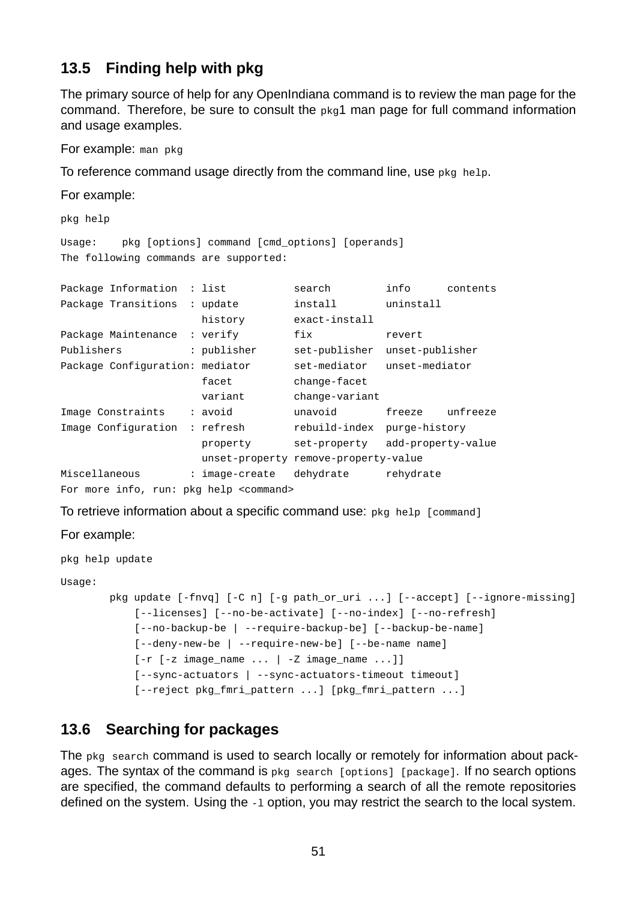## <span id="page-50-0"></span>**13.5 Finding help with pkg**

The primary source of help for any OpenIndiana command is to review the man page for the command. Therefore, be sure to consult the pkg1 man page for full command information and usage examples.

For example: man pkg

To reference command usage directly from the command line, use pkg help.

For example:

pkg help

Usage: pkg [options] command [cmd\_options] [operands] The following commands are supported:

| Package Information                     | : list         | search                | info               | contents |
|-----------------------------------------|----------------|-----------------------|--------------------|----------|
| Package Transitions                     | : update       | install               | uninstall          |          |
|                                         | history        | exact-install         |                    |          |
| Package Maintenance                     | : verify       | fix                   | revert             |          |
| Publishers                              | : publisher    | set-publisher         | unset-publisher    |          |
| Package Configuration: mediator         |                | set-mediator          | unset-mediator     |          |
|                                         | facet          | change-facet          |                    |          |
|                                         | variant        | change-variant        |                    |          |
| Image Constraints                       | : avoid        | unavoid               | freeze             | unfreeze |
| Image Configuration                     | : refresh      | rebuild-index         | purge-history      |          |
|                                         | property       | set-property          | add-property-value |          |
|                                         | unset-property | remove-property-value |                    |          |
| Miscellaneous                           | : image-create | dehydrate             | rehydrate          |          |
| For more info, run: pkg help <command/> |                |                       |                    |          |

To retrieve information about a specific command use: pkg help [command]

For example:

pkg help update

Usage:

```
pkg update [-fnyq] [-C n] [-g path_or_luri ...] [-accept] [-igmore-missing][--licenses] [--no-be-activate] [--no-index] [--no-refresh]
    [--no-backup-be | --require-backup-be] [--backup-be-name]
    [--deny-new-be | --require-new-be] [- -be-name name]
    \lceil-r \lceil-z image_name ... | -Z image_name ...]]
    [--sync-actuators | --sync-actuators-timeout timeout]
    [--reject pkg_fmri_pattern ...] [pkg_fmri_pattern ...]
```
## <span id="page-50-1"></span>**13.6 Searching for packages**

The pkg search command is used to search locally or remotely for information about packages. The syntax of the command is pkg search [options] [package]. If no search options are specified, the command defaults to performing a search of all the remote repositories defined on the system. Using the -1 option, you may restrict the search to the local system.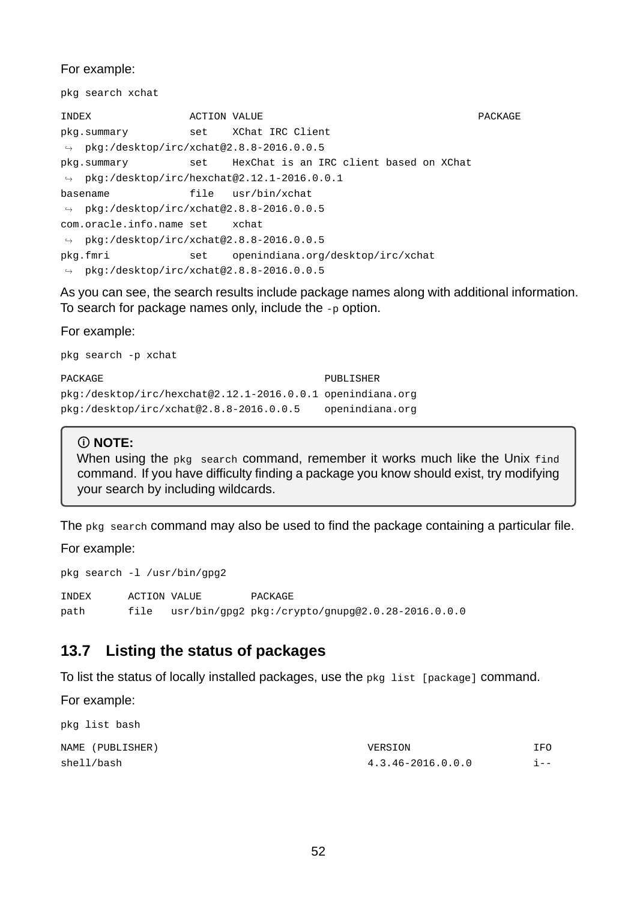For example:

pkg search xchat

**INDEX** ACTION VALUE ACTES ACTES ACTES ACTES AND ACTES ACCESS AND RESERVE AT A PACKAGE pkg.summary set XChat IRC Client  $\rightarrow$  pkg:/desktop/irc/xchat@2.8.8-2016.0.0.5 pkg.summary set HexChat is an IRC client based on XChat  $\rightarrow$  pkg:/desktop/irc/hexchat@2.12.1-2016.0.0.1 basename file usr/bin/xchat  $\rightarrow$  pkg:/desktop/irc/xchat@2.8.8-2016.0.0.5 com.oracle.info.name set xchat  $\rightarrow$  pkg:/desktop/irc/xchat@2.8.8-2016.0.0.5 pkg.fmri set openindiana.org/desktop/irc/xchat  $\rightarrow$  pkg:/desktop/irc/xchat@2.8.8-2016.0.0.5

As you can see, the search results include package names along with additional information. To search for package names only, include the  $-p$  option.

For example:

pkg search -p xchat

PACKAGE PUBLISHER pkg:/desktop/irc/hexchat@2.12.1-2016.0.0.1 openindiana.org pkg:/desktop/irc/xchat@2.8.82016.0.0.5 openindiana.org

#### **NOTE:**

When using the pkg search command, remember it works much like the Unix find command. If you have difficulty finding a package you know should exist, try modifying your search by including wildcards.

The pkg search command may also be used to find the package containing a particular file.

For example:

pkg search -1 /usr/bin/gpg2

INDEX ACTION VALUE PACKAGE path file usr/bin/gpg2 pkg:/crypto/gnupg@2.0.28-2016.0.0.0

## <span id="page-51-0"></span>**13.7 Listing the status of packages**

To list the status of locally installed packages, use the pkg list [package] command.

For example:

| pkg list bash    |                   |         |
|------------------|-------------------|---------|
| NAME (PUBLISHER) | VERSION           | IF0     |
| shell/bash       | 4.3.46-2016.0.0.0 | i - - I |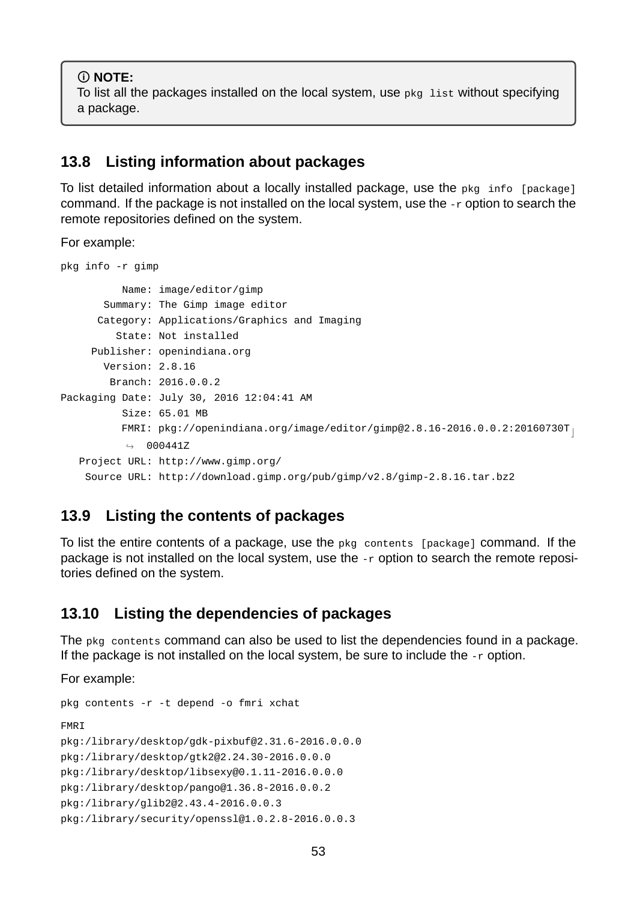**NOTE:** To list all the packages installed on the local system, use pkg list without specifying a package.

## <span id="page-52-0"></span>**13.8 Listing information about packages**

To list detailed information about a locally installed package, use the pkg info [package] command. If the package is not installed on the local system, use the -r option to search the remote repositories defined on the system.

For example:

```
pkg info -r gimp
          Name: image/editor/gimp
       Summary: The Gimp image editor
      Category: Applications/Graphics and Imaging
         State: Not installed
     Publisher: openindiana.org
       Version: 2.8.16
        Branch: 2016.0.0.2
Packaging Date: July 30, 2016 12:04:41 AM
          Size: 65.01 MB
          FMRI: pkg://openindiana.org/image/editor/gimp@2.8.16-2016.0.0.2:20160730T<sub>1</sub>\leftrightarrow 000441Z
   Project URL: http://www.gimp.org/
    Source URL: http://download.gimp.org/pub/gimp/v2.8/gimp-2.8.16.tar.bz2
```
## <span id="page-52-1"></span>**13.9 Listing the contents of packages**

To list the entire contents of a package, use the pkg contents [package] command. If the package is not installed on the local system, use the  $-*r*$  option to search the remote repositories defined on the system.

## <span id="page-52-2"></span>**13.10 Listing the dependencies of packages**

The pkg contents command can also be used to list the dependencies found in a package. If the package is not installed on the local system, be sure to include the  $-$ r option.

For example:

```
pkg contents - r - t depend - o fmri xchat
FMRI
pkg:/library/desktop/gdk-pixbuf@2.31.6-2016.0.0.0
pkg:/library/desktop/gtk2@2.24.30-2016.0.0.0
pkg:/library/desktop/libsexy@0.1.11-2016.0.0.0
pkg:/library/desktop/pango@1.36.8-2016.0.0.2
pkg:/library/glib2@2.43.42016.0.0.3
pkg:/library/security/openssl@1.0.2.8-2016.0.0.3
```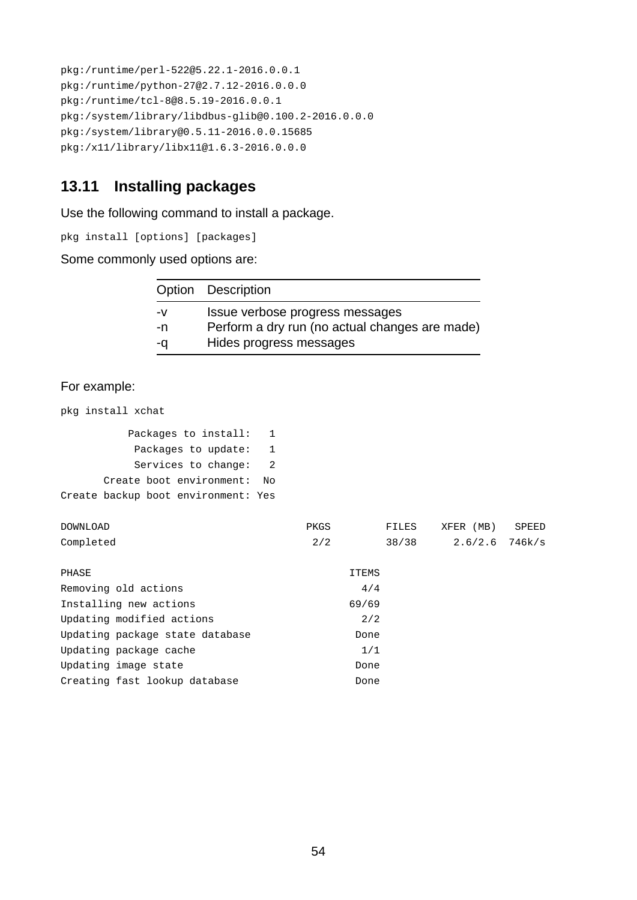```
pkg:/runtime/perl-522@5.22.1-2016.0.0.1
pkg:/runtime/python-27@2.7.12-2016.0.0.0
pkg:/runtime/tcl-8@8.5.19-2016.0.0.1
pkg://system/library/libdbus-qlib@0.100.2-2016.0.0.0pkg:/system/library@0.5.11-2016.0.0.15685
pkg:/x11/library/libx11@1.6.3-2016.0.0.0
```
# <span id="page-53-0"></span>**13.11 Installing packages**

Use the following command to install a package.

pkg install [options] [packages]

Some commonly used options are:

|    | Option Description                             |
|----|------------------------------------------------|
| -v | Issue verbose progress messages                |
| -n | Perform a dry run (no actual changes are made) |
| -a | Hides progress messages                        |

#### For example:

pkg install xchat

| Packages to install:                | 1  |              |              |                  |              |
|-------------------------------------|----|--------------|--------------|------------------|--------------|
| Packages to update:                 | 1  |              |              |                  |              |
| Services to change:                 | 2  |              |              |                  |              |
| Create boot environment:            | No |              |              |                  |              |
| Create backup boot environment: Yes |    |              |              |                  |              |
| <b>DOWNLOAD</b>                     |    | <b>PKGS</b>  | <b>FILES</b> | XFER (MB)        | <b>SPEED</b> |
| Completed                           |    | 2/2          | 38/38        | $2.6/2.6$ 746k/s |              |
| <b>PHASE</b>                        |    | <b>ITEMS</b> |              |                  |              |
|                                     |    |              |              |                  |              |
| Removing old actions                |    | 4/4          |              |                  |              |
| Installing new actions              |    | 69/69        |              |                  |              |
| Updating modified actions           |    | 2/2          |              |                  |              |
| Updating package state database     |    | Done         |              |                  |              |
| Updating package cache              |    | 1/1          |              |                  |              |
| Updating image state                |    | Done         |              |                  |              |
| Creating fast lookup database       |    | Done         |              |                  |              |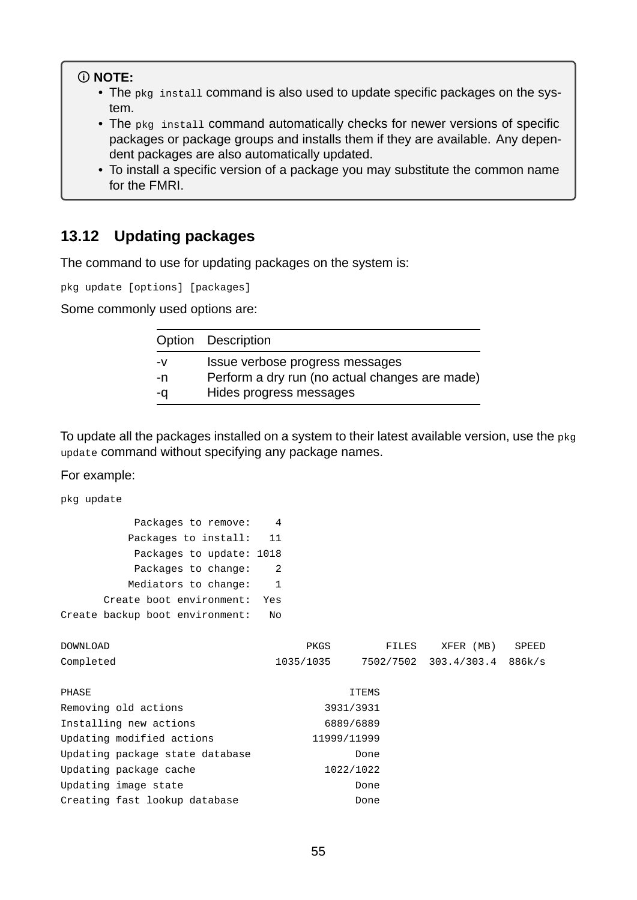#### **NOTE:**

- The pkg install command is also used to update specific packages on the system.
- The pkg install command automatically checks for newer versions of specific packages or package groups and installs them if they are available. Any dependent packages are also automatically updated.
- To install a specific version of a package you may substitute the common name for the FMRI.

## <span id="page-54-0"></span>**13.12 Updating packages**

The command to use for updating packages on the system is:

pkg update [options] [packages]

Some commonly used options are:

|    | Option Description                             |
|----|------------------------------------------------|
| -V | Issue verbose progress messages                |
| -n | Perform a dry run (no actual changes are made) |
| -a | Hides progress messages                        |

To update all the packages installed on a system to their latest available version, use the pkg update command without specifying any package names.

For example:

pkg update

| Packages to remove:             |     |
|---------------------------------|-----|
| Packages to install:            | 11  |
| Packages to update: 1018        |     |
| Packages to change:             | 2   |
| Mediators to change:            | 1   |
| Create boot environment:        | Yes |
| Create backup boot environment: | No  |

| <b>DOWNLOAD</b>                 | <b>PKGS</b> | <b>FILES</b> | XFER (MB)   | <b>SPEED</b> |
|---------------------------------|-------------|--------------|-------------|--------------|
| Completed                       | 1035/1035   | 7502/7502    | 303.4/303.4 | 886k/s       |
|                                 |             |              |             |              |
| <b>PHASE</b>                    |             | <b>ITEMS</b> |             |              |
| Removing old actions            |             | 3931/3931    |             |              |
| Installing new actions          |             | 6889/6889    |             |              |
| Updating modified actions       | 11999/11999 |              |             |              |
| Updating package state database |             | Done         |             |              |
| Updating package cache          |             | 1022/1022    |             |              |
| Updating image state            |             | Done         |             |              |
| Creating fast lookup database   |             | Done         |             |              |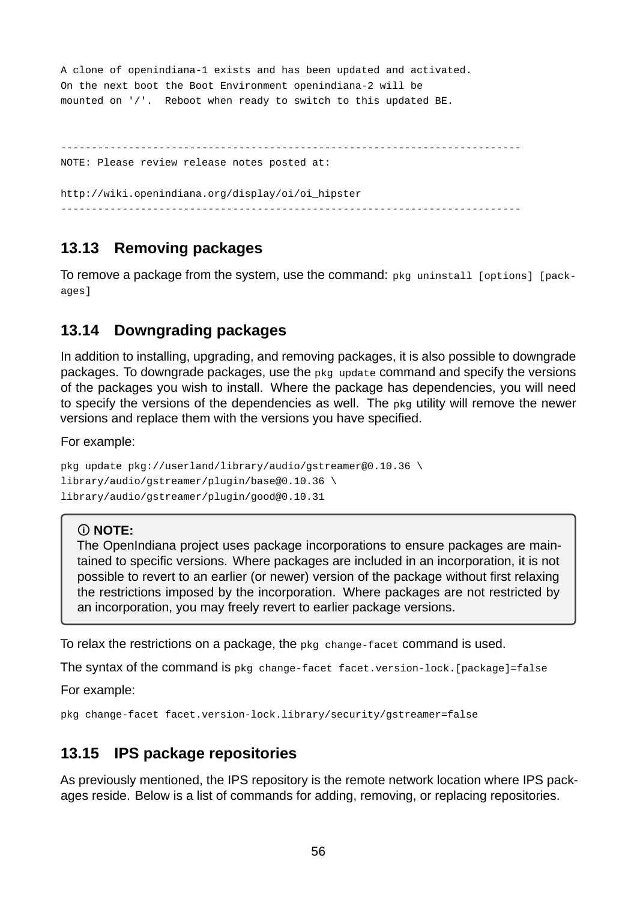```
A clone of openindiana-1 exists and has been updated and activated.
On the next boot the Boot Environment openindiana-2 will be
mounted on '/'. Reboot when ready to switch to this updated BE.

NOTE: Please review release notes posted at:
http://wiki.openindiana.org/display/oi/oi_hipster
```
## <span id="page-55-0"></span>**13.13 Removing packages**

To remove a package from the system, use the command: pkg uninstall [options] [packages<sub>1</sub>

## <span id="page-55-1"></span>**13.14 Downgrading packages**

In addition to installing, upgrading, and removing packages, it is also possible to downgrade packages. To downgrade packages, use the pkg update command and specify the versions of the packages you wish to install. Where the package has dependencies, you will need to specify the versions of the dependencies as well. The pkg utility will remove the newer versions and replace them with the versions you have specified.

For example:

```
pkg update pkg://userland/library/audio/gstreamer@0.10.36 \
library/audio/gstreamer/plugin/base@0.10.36 \
library/audio/gstreamer/plugin/good@0.10.31
```
#### **NOTE:**

The OpenIndiana project uses package incorporations to ensure packages are maintained to specific versions. Where packages are included in an incorporation, it is not possible to revert to an earlier (or newer) version of the package without first relaxing the restrictions imposed by the incorporation. Where packages are not restricted by an incorporation, you may freely revert to earlier package versions.

To relax the restrictions on a package, the  $pkg$  change-facet command is used.

The syntax of the command is  $pkg$  change-facet facet.version-lock. [package]=false

For example:

pkg change-facet facet.version-lock.library/security/gstreamer=false

## <span id="page-55-2"></span>**13.15 IPS package repositories**

As previously mentioned, the IPS repository is the remote network location where IPS packages reside. Below is a list of commands for adding, removing, or replacing repositories.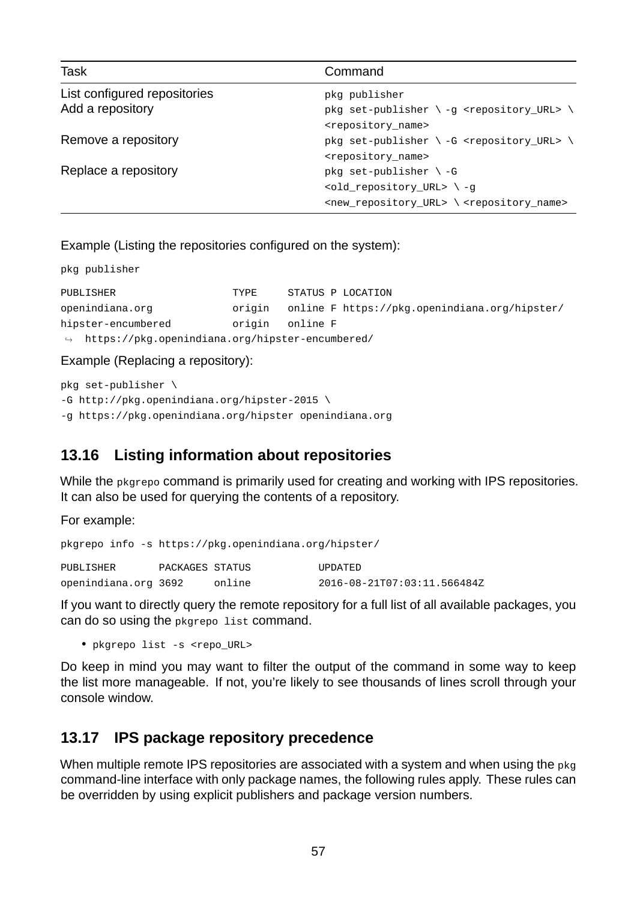| Task                         | Command                                                                        |
|------------------------------|--------------------------------------------------------------------------------|
| List configured repositories | pkg publisher                                                                  |
| Add a repository             | pkg set-publisher \ -g <repository_url> \</repository_url>                     |
|                              | <repository_name></repository_name>                                            |
| Remove a repository          | pkg set-publisher \ -G <repository_url> \</repository_url>                     |
|                              | <repository_name></repository_name>                                            |
| Replace a repository         | pkg set-publisher $\setminus$ -G                                               |
|                              | <old_repository_url> \-g</old_repository_url>                                  |
|                              | <new_repository_url> \<repository_name></repository_name></new_repository_url> |

Example (Listing the repositories configured on the system):

pkg publisher

| <b>PUBLISHER</b>                                              | <b>TYPF</b> | STATUS P LOCATION                             |
|---------------------------------------------------------------|-------------|-----------------------------------------------|
| openindiana.org                                               | oriain      | online F https://pkg.openindiana.org/hipster/ |
| hipster-encumbered                                            | oriain      | online F                                      |
| $\rightarrow$ https://pkg.openindiana.org/hipster-encumbered/ |             |                                               |

Example (Replacing a repository):

pkg set-publisher  $\setminus$ -G http://pkg.openindiana.org/hipster-2015 \ g https://pkg.openindiana.org/hipster openindiana.org

# <span id="page-56-0"></span>**13.16 Listing information about repositories**

While the pkgrepo command is primarily used for creating and working with IPS repositories. It can also be used for querying the contents of a repository.

For example:

|                      |                 | pkgrepo info -s https://pkg.openindiana.org/hipster/ |                             |
|----------------------|-----------------|------------------------------------------------------|-----------------------------|
| <b>PUBLISHER</b>     | PACKAGES STATUS |                                                      | <b>UPDATED</b>              |
| openindiana.org 3692 |                 | online                                               | 2016-08-21T07:03:11.566484Z |

If you want to directly query the remote repository for a full list of all available packages, you can do so using the pkgrepo list command.

• pkgrepo list -s <repo\_URL>

Do keep in mind you may want to filter the output of the command in some way to keep the list more manageable. If not, you're likely to see thousands of lines scroll through your console window.

## <span id="page-56-1"></span>**13.17 IPS package repository precedence**

When multiple remote IPS repositories are associated with a system and when using the pkg command-line interface with only package names, the following rules apply. These rules can be overridden by using explicit publishers and package version numbers.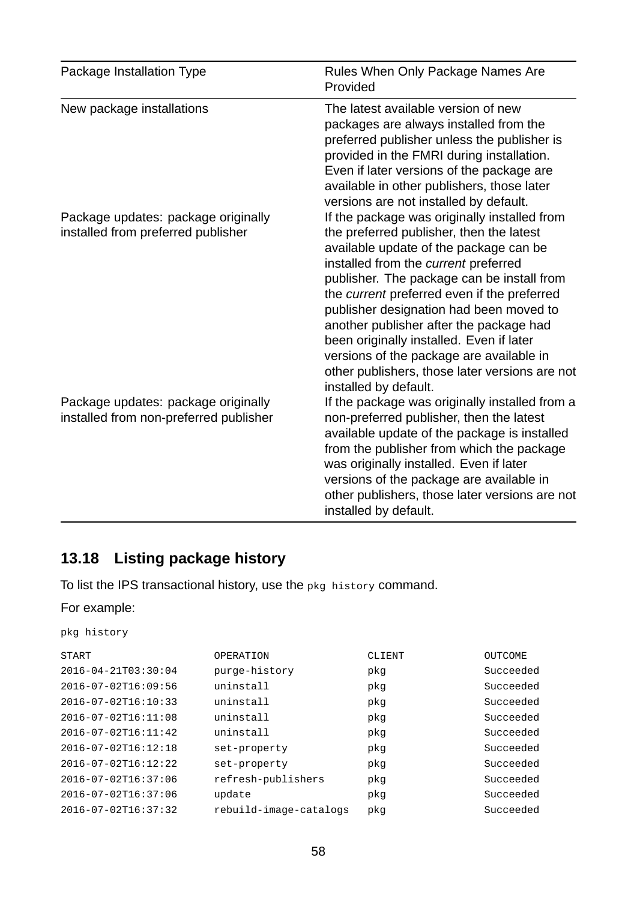| Package Installation Type                                                     | Rules When Only Package Names Are<br>Provided                                                                                                                                                                                                                                                                                                                                                                                                                                                                                    |
|-------------------------------------------------------------------------------|----------------------------------------------------------------------------------------------------------------------------------------------------------------------------------------------------------------------------------------------------------------------------------------------------------------------------------------------------------------------------------------------------------------------------------------------------------------------------------------------------------------------------------|
| New package installations                                                     | The latest available version of new<br>packages are always installed from the<br>preferred publisher unless the publisher is<br>provided in the FMRI during installation.<br>Even if later versions of the package are<br>available in other publishers, those later<br>versions are not installed by default.                                                                                                                                                                                                                   |
| Package updates: package originally<br>installed from preferred publisher     | If the package was originally installed from<br>the preferred publisher, then the latest<br>available update of the package can be<br>installed from the current preferred<br>publisher. The package can be install from<br>the current preferred even if the preferred<br>publisher designation had been moved to<br>another publisher after the package had<br>been originally installed. Even if later<br>versions of the package are available in<br>other publishers, those later versions are not<br>installed by default. |
| Package updates: package originally<br>installed from non-preferred publisher | If the package was originally installed from a<br>non-preferred publisher, then the latest<br>available update of the package is installed<br>from the publisher from which the package<br>was originally installed. Even if later<br>versions of the package are available in<br>other publishers, those later versions are not<br>installed by default.                                                                                                                                                                        |

# <span id="page-57-0"></span>**13.18 Listing package history**

To list the IPS transactional history, use the pkg history command.

For example:

|  | pkg history |
|--|-------------|
|--|-------------|

| <b>START</b>        | <b>OPERATION</b>       | <b>CLIENT</b> | <b>OUTCOME</b> |
|---------------------|------------------------|---------------|----------------|
| 2016-04-21T03:30:04 | purge-history          | pkg           | Succeeded      |
| 2016-07-02T16:09:56 | uninstall              | pkg           | Succeeded      |
| 2016-07-02T16:10:33 | uninstall              | pkg           | Succeeded      |
| 2016-07-02T16:11:08 | uninstall              | pkg           | Succeeded      |
| 2016-07-02T16:11:42 | uninstall              | pkg           | Succeeded      |
| 2016-07-02T16:12:18 | set-property           | pkg           | Succeeded      |
| 2016-07-02T16:12:22 | set-property           | pkg           | Succeeded      |
| 2016-07-02T16:37:06 | refresh-publishers     | pkg           | Succeeded      |
| 2016-07-02T16:37:06 | update                 | pkg           | Succeeded      |
| 2016-07-02T16:37:32 | rebuild-image-catalogs | pkg           | Succeeded      |
|                     |                        |               |                |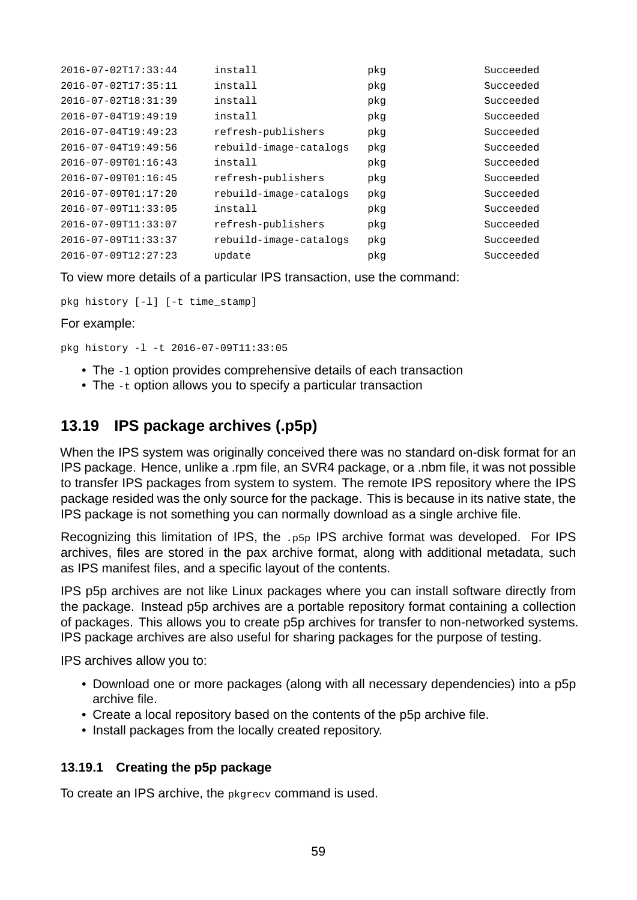| 2016-07-02T17:33:44 | install                | pkg | Succeeded |
|---------------------|------------------------|-----|-----------|
| 2016-07-02T17:35:11 | install                | pkg | Succeeded |
| 2016-07-02T18:31:39 | install                | pkg | Succeeded |
| 2016-07-04T19:49:19 | install                | pkg | Succeeded |
| 2016-07-04T19:49:23 | refresh-publishers     | pkg | Succeeded |
| 2016-07-04T19:49:56 | rebuild-image-catalogs | pkg | Succeeded |
| 2016-07-09T01:16:43 | install                | pkg | Succeeded |
| 2016-07-09T01:16:45 | refresh-publishers     | pkg | Succeeded |
| 2016-07-09T01:17:20 | rebuild-image-catalogs | pkg | Succeeded |
| 2016-07-09T11:33:05 | install                | pkg | Succeeded |
| 2016-07-09T11:33:07 | refresh-publishers     | pkg | Succeeded |
| 2016-07-09T11:33:37 | rebuild-image-catalogs | pkg | Succeeded |
| 2016-07-09T12:27:23 | update                 | pkg | Succeeded |

To view more details of a particular IPS transaction, use the command:

pkg history  $[-1]$   $[-t \text{ time\_stamp}]$ 

For example:

 $pkq historv -1 -t 2016-07-09T11:33:05$ 

- The -1 option provides comprehensive details of each transaction
- The -t option allows you to specify a particular transaction

## <span id="page-58-0"></span>**13.19 IPS package archives (.p5p)**

When the IPS system was originally conceived there was no standard on-disk format for an IPS package. Hence, unlike a .rpm file, an SVR4 package, or a .nbm file, it was not possible to transfer IPS packages from system to system. The remote IPS repository where the IPS package resided was the only source for the package. This is because in its native state, the IPS package is not something you can normally download as a single archive file.

Recognizing this limitation of IPS, the .p5p IPS archive format was developed. For IPS archives, files are stored in the pax archive format, along with additional metadata, such as IPS manifest files, and a specific layout of the contents.

IPS p5p archives are not like Linux packages where you can install software directly from the package. Instead p5p archives are a portable repository format containing a collection of packages. This allows you to create p5p archives for transfer to non-networked systems. IPS package archives are also useful for sharing packages for the purpose of testing.

IPS archives allow you to:

- Download one or more packages (along with all necessary dependencies) into a p5p archive file.
- Create a local repository based on the contents of the p5p archive file.
- Install packages from the locally created repository.

#### <span id="page-58-1"></span>**13.19.1 Creating the p5p package**

To create an IPS archive, the pkgrecv command is used.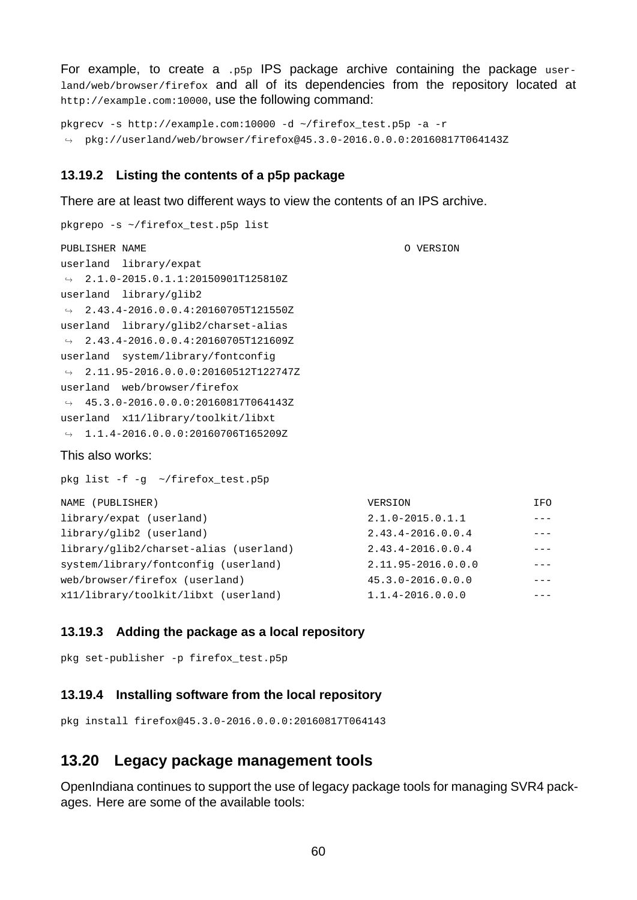For example, to create a .p5p IPS package archive containing the package userland/web/browser/firefox and all of its dependencies from the repository located at http://example.com:10000, use the following command:

```
pkgrecv -s http://example.com:10000 -d ~/firefox_test.p5p -a -r
\rightarrow pkg://userland/web/browser/firefox@45.3.0-2016.0.0.0:20160817T064143Z
```
#### <span id="page-59-0"></span>**13.19.2 Listing the contents of a p5p package**

There are at least two different ways to view the contents of an IPS archive.

```
pkgrepo s ~/firefox_test.p5p list
PUBLISHER NAME O VERSION
userland library/expat
\leftrightarrow 2.1.0-2015.0.1.1:20150901T125810Z
userland library/glib2
\leftrightarrow 2.43.4-2016.0.0.4:20160705T121550Z
userland library/glib2/charset-alias
\leftrightarrow 2.43.4-2016.0.0.4:20160705T121609Z
userland system/library/fontconfig
\leftrightarrow 2.11.95-2016.0.0.0:20160512T122747Z
userland web/browser/firefox
\leftrightarrow 45.3.0-2016.0.0.0:20160817T064143Z
userland x11/library/toolkit/libxt
\rightarrow 1.1.4-2016.0.0.0:20160706T165209Z
This also works:
pkg list -f - g \sim/firefox_test.p5p
NAME (PUBLISHER) VERSION IFO
library/expat (userland) 2.1.02015.0.1.1 
library/glib2 (userland) 2.43.42016.0.0.4 
\frac{1}{2}library/glib2/charset-alias (userland) 2.43.4-2016.0.0.4 ---
system/library/fontconfig (userland) 2.11.95-2016.0.0.0
```
web/browser/firefox (userland) 45.3.0-2016.0.0.0 --x11/library/toolkit/libxt (userland) 1.1.42016.0.0.0

#### <span id="page-59-1"></span>**13.19.3 Adding the package as a local repository**

pkg set-publisher -p firefox\_test.p5p

#### <span id="page-59-2"></span>**13.19.4 Installing software from the local repository**

pkg install firefox@45.3.02016.0.0.0:20160817T064143

#### <span id="page-59-3"></span>**13.20 Legacy package management tools**

OpenIndiana continues to support the use of legacy package tools for managing SVR4 packages. Here are some of the available tools: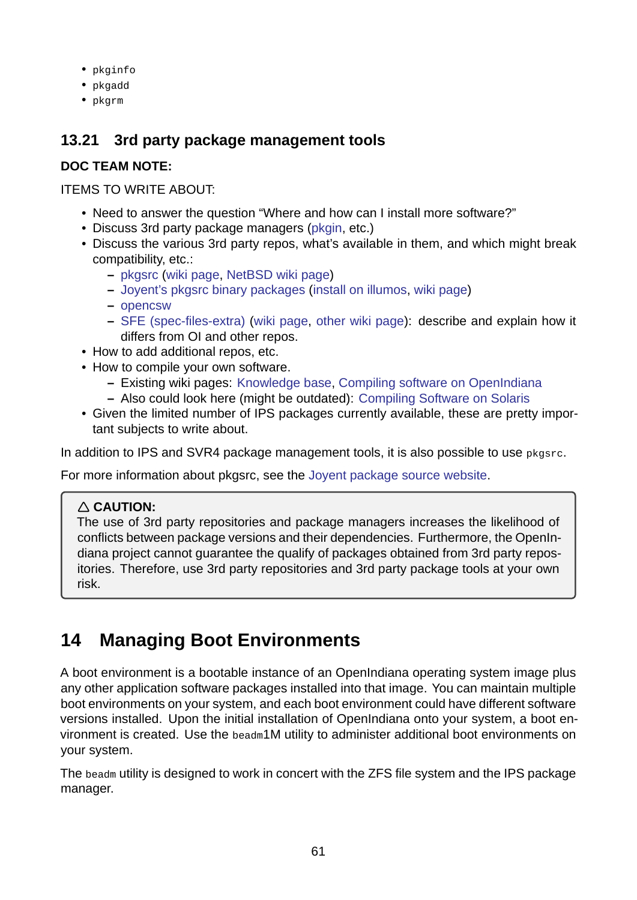- pkginfo
- pkgadd
- pkgrm

# **13.21 3rd party package management tools**

## **DOC TEAM NOTE:**

### <span id="page-60-0"></span>ITEMS TO WRITE ABOUT:

- Need to answer the question "Where and how can I install more software?"
- Discuss 3rd party package managers (pkgin, etc.)
- Discuss the various 3rd party repos, what's available in them, and which might break compatibility, etc.:
	- **–** pkgsrc (wiki page, NetBSD wiki p[age\)](http://pkgin.net/)
	- **–** Joyent's pkgsrc binary packages (install on illumos, wiki page)
	- **–** opencsw
	- **–** [SFE \(s](https://pkgsrc.org/)pec-files-extra) [\(wiki page,](https://wiki.netbsd.org/pkgsrc/how_to_use_pkgsrc_on_solaris/) other wiki page): describe and explain how it [differs from OI and other repos.](https://pkgsrc.joyent.com/)
- How [to add ad](http://sfe.opencsw.org/)ditional repos, etc.
- How [to compile your own s](http://pkgbuild.sourceforge.net/spec-files-extra/)o[ftware.](https://wiki.openindiana.org/oi/SFE)
	- **–** Existing wiki pages: Knowledge base, [Compiling s](https://wiki.openindiana.org/oi/Spec+Files+Extra+Repository)oftware on OpenIndiana
	- **–** Also could look here (might be outdated): Compiling Software on Solaris
- Given the limited number of IPS packages currently available, these are pretty important subjects to write abo[ut.](https://wiki.openindiana.org/oi/Knowledge+Base+for+Compiling+and+Installing+Software+Not+Available+in+Package+Form)

In addition to IPS and SVR4 package managementt[ools, it is also possible to use](http://www.inetdaemon.com/tutorials/computers/software/operating_systems/unix/Solaris/compiling_software.shtml) pkgsrc.

For more information about pkgsrc, see the Joyent package source website.

## **CAUTION:**

The use of 3rd party repositories and p[ackage managers increases the](https://pkgsrc.joyent.com/) likelihood of conflicts between package versions and their dependencies. Furthermore, the OpenIndiana project cannot guarantee the qualify of packages obtained from 3rd party repositories. Therefore, use 3rd party repositories and 3rd party package tools at your own risk.

# **14 Managing Boot Environments**

A boot environment is a bootable instance of an OpenIndiana operating system image plus any other application software packages installed into that image. You can maintain multiple boot environments on your system, and each boot environment could have different software versions installed. Upon the initial installation of OpenIndiana onto your system, a boot environment is created. Use the beadm1M utility to administer additional boot environments on your system.

The beadm utility is designed to work in concert with the ZFS file system and the IPS package manager.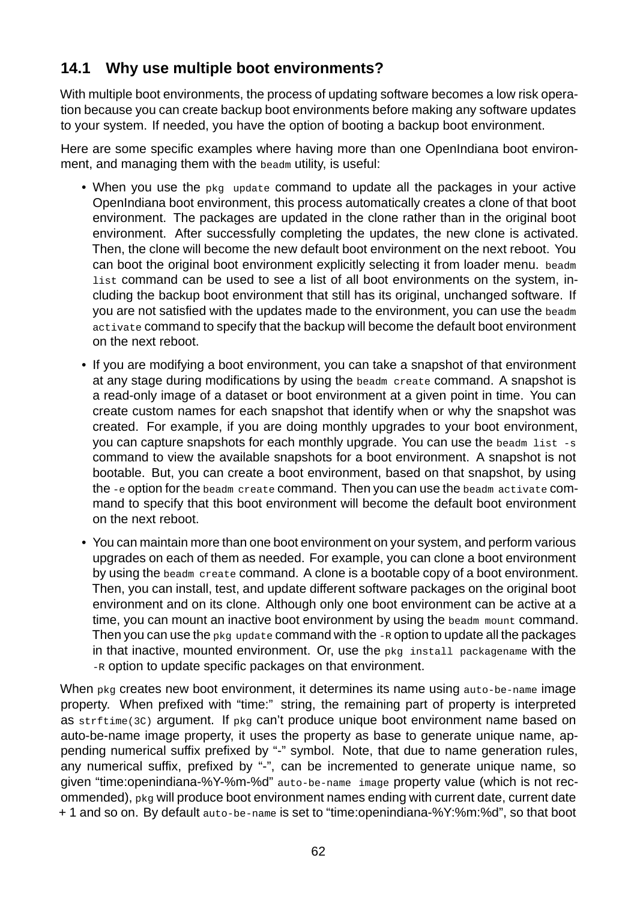# <span id="page-61-0"></span>**14.1 Why use multiple boot environments?**

With multiple boot environments, the process of updating software becomes a low risk operation because you can create backup boot environments before making any software updates to your system. If needed, you have the option of booting a backup boot environment.

Here are some specific examples where having more than one OpenIndiana boot environment, and managing them with the beadm utility, is useful:

- When you use the pkg update command to update all the packages in your active OpenIndiana boot environment, this process automatically creates a clone of that boot environment. The packages are updated in the clone rather than in the original boot environment. After successfully completing the updates, the new clone is activated. Then, the clone will become the new default boot environment on the next reboot. You can boot the original boot environment explicitly selecting it from loader menu. beadm list command can be used to see a list of all boot environments on the system, including the backup boot environment that still has its original, unchanged software. If you are not satisfied with the updates made to the environment, you can use the beadm activate command to specify that the backup will become the default boot environment on the next reboot.
- If you are modifying a boot environment, you can take a snapshot of that environment at any stage during modifications by using the beadm create command. A snapshot is a read-only image of a dataset or boot environment at a given point in time. You can create custom names for each snapshot that identify when or why the snapshot was created. For example, if you are doing monthly upgrades to your boot environment, you can capture snapshots for each monthly upgrade. You can use the beadm list -s command to view the available snapshots for a boot environment. A snapshot is not bootable. But, you can create a boot environment, based on that snapshot, by using the -e option for the beadm create command. Then you can use the beadm activate command to specify that this boot environment will become the default boot environment on the next reboot.
- You can maintain more than one boot environment on your system, and perform various upgrades on each of them as needed. For example, you can clone a boot environment by using the beadm create command. A clone is a bootable copy of a boot environment. Then, you can install, test, and update different software packages on the original boot environment and on its clone. Although only one boot environment can be active at a time, you can mount an inactive boot environment by using the beadm mount command. Then you can use the pkg update command with the -R option to update all the packages in that inactive, mounted environment. Or, use the pkg install packagename with the R option to update specific packages on that environment.

When pkg creates new boot environment, it determines its name using auto-be-name image property. When prefixed with "time:" string, the remaining part of property is interpreted as strftime(3C) argument. If pkg can't produce unique boot environment name based on auto-be-name image property, it uses the property as base to generate unique name, appending numerical suffix prefixed by "-" symbol. Note, that due to name generation rules, any numerical suffix, prefixed by "-", can be incremented to generate unique name, so given "time: openindiana-%Y-%m-%d" auto-be-name image property value (which is not recommended), pkg will produce boot environment names ending with current date, current date + 1 and so on. By default auto-be-name is set to "time:openindiana-%Y:%m:%d", so that boot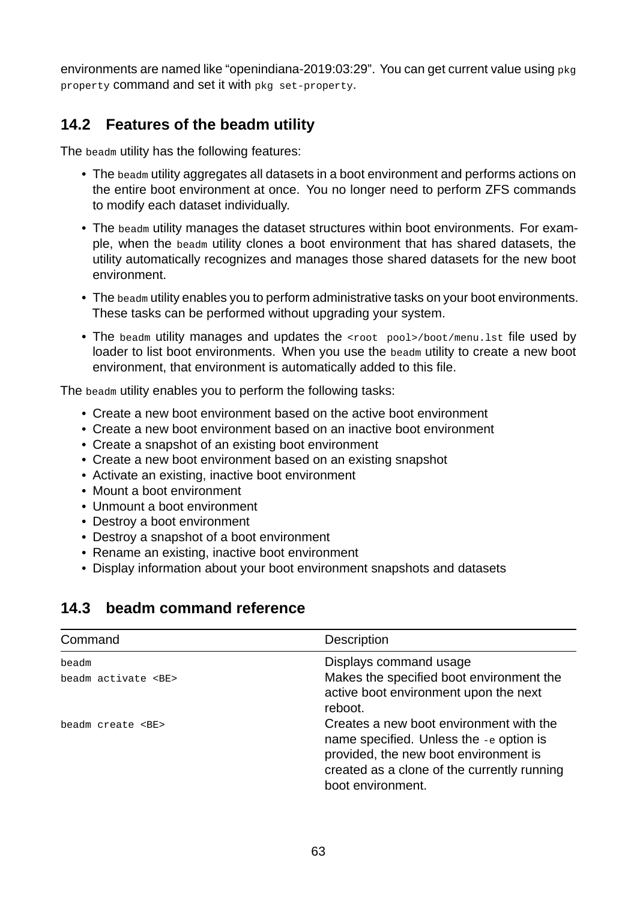environments are named like "openindiana-2019:03:29". You can get current value using pkg property command and set it with pkg set-property.

## **14.2 Features of the beadm utility**

The beadm utility has the following features:

- The beadm utility aggregates all datasets in a boot environment and performs actions on the entire boot environment at once. You no longer need to perform ZFS commands to modify each dataset individually.
- The beadm utility manages the dataset structures within boot environments. For example, when the beadm utility clones a boot environment that has shared datasets, the utility automatically recognizes and manages those shared datasets for the new boot environment.
- The beadm utility enables you to perform administrative tasks on your boot environments. These tasks can be performed without upgrading your system.
- The beadm utility manages and updates the <root pool>/boot/menu.lst file used by loader to list boot environments. When you use the beadm utility to create a new boot environment, that environment is automatically added to this file.

The beadm utility enables you to perform the following tasks:

- Create a new boot environment based on the active boot environment
- Create a new boot environment based on an inactive boot environment
- Create a snapshot of an existing boot environment
- Create a new boot environment based on an existing snapshot
- Activate an existing, inactive boot environment
- Mount a boot environment
- Unmount a boot environment
- Destroy a boot environment
- Destroy a snapshot of a boot environment
- Rename an existing, inactive boot environment
- Display information about your boot environment snapshots and datasets

# <span id="page-62-0"></span>**14.3 beadm command reference**

| Command                  | <b>Description</b>                                                                                                                                                                              |
|--------------------------|-------------------------------------------------------------------------------------------------------------------------------------------------------------------------------------------------|
| beadm                    | Displays command usage                                                                                                                                                                          |
| beadm activate <be></be> | Makes the specified boot environment the<br>active boot environment upon the next<br>reboot.                                                                                                    |
| beadm create <be></be>   | Creates a new boot environment with the<br>name specified. Unless the -e option is<br>provided, the new boot environment is<br>created as a clone of the currently running<br>boot environment. |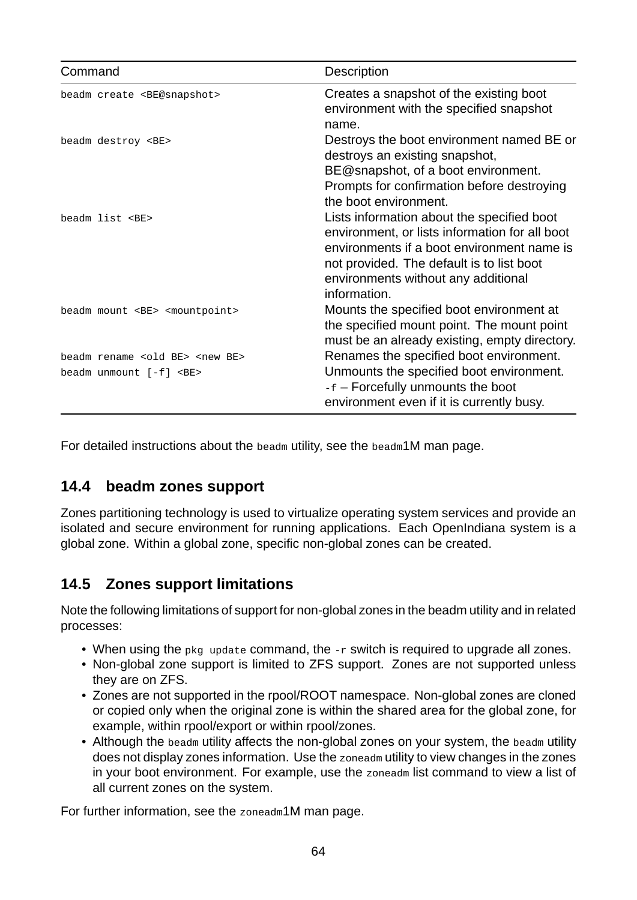| Command                                                                           | Description                                                                                                                                                                                                                                    |
|-----------------------------------------------------------------------------------|------------------------------------------------------------------------------------------------------------------------------------------------------------------------------------------------------------------------------------------------|
| beadm create <be@snapshot></be@snapshot>                                          | Creates a snapshot of the existing boot<br>environment with the specified snapshot<br>name.                                                                                                                                                    |
| beadm destroy <be></be>                                                           | Destroys the boot environment named BE or<br>destroys an existing snapshot,                                                                                                                                                                    |
|                                                                                   | BE@snapshot, of a boot environment.<br>Prompts for confirmation before destroying<br>the boot environment.                                                                                                                                     |
| beadm list <be></be>                                                              | Lists information about the specified boot<br>environment, or lists information for all boot<br>environments if a boot environment name is<br>not provided. The default is to list boot<br>environments without any additional<br>information. |
| beadm mount <be> <mountpoint></mountpoint></be>                                   | Mounts the specified boot environment at<br>the specified mount point. The mount point<br>must be an already existing, empty directory.                                                                                                        |
| beadm rename <old be=""> <new be=""><br/>beadm unmount [-f] <be></be></new></old> | Renames the specified boot environment.<br>Unmounts the specified boot environment.<br>-f – Forcefully unmounts the boot<br>environment even if it is currently busy.                                                                          |

For detailed instructions about the beadm utility, see the beadm1M man page.

# <span id="page-63-0"></span>**14.4 beadm zones support**

Zones partitioning technology is used to virtualize operating system services and provide an isolated and secure environment for running applications. Each OpenIndiana system is a global zone. Within a global zone, specific nonglobal zones can be created.

# <span id="page-63-1"></span>**14.5 Zones support limitations**

Note the following limitations of support for non-global zones in the beadm utility and in related processes:

- When using the pkg update command, the -r switch is required to upgrade all zones.
- Non-global zone support is limited to ZFS support. Zones are not supported unless they are on ZFS.
- Zones are not supported in the rpool/ROOT namespace. Non-global zones are cloned or copied only when the original zone is within the shared area for the global zone, for example, within rpool/export or within rpool/zones.
- Although the beadm utility affects the non-global zones on your system, the beadm utility does not display zones information. Use the zoneadm utility to view changes in the zones in your boot environment. For example, use the zoneadm list command to view a list of all current zones on the system.

For further information, see the zoneadm1M man page.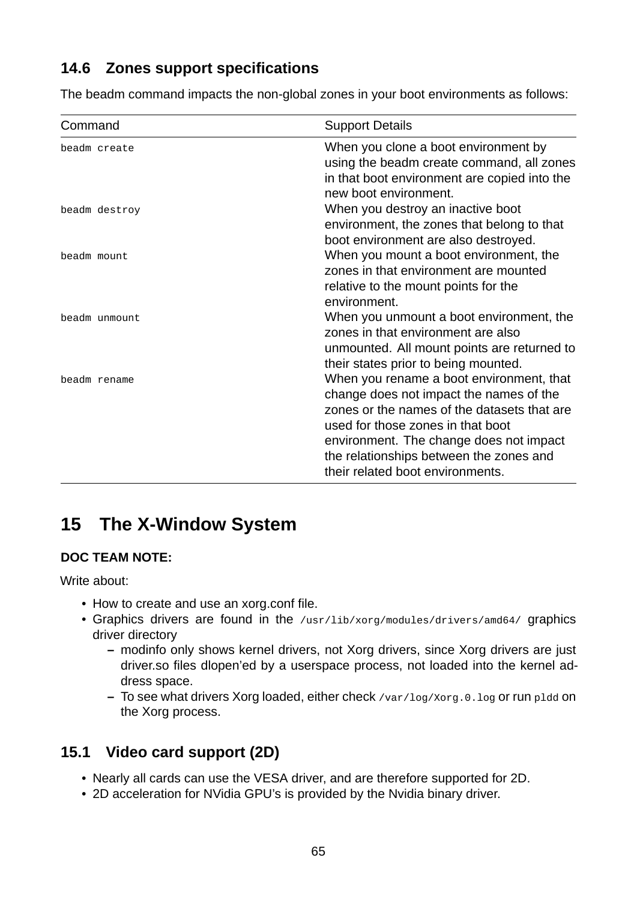# <span id="page-64-0"></span>**14.6 Zones support specifications**

The beadm command impacts the non-global zones in your boot environments as follows:

| Command       | <b>Support Details</b>                                                                                                                                                                                                                                                                            |
|---------------|---------------------------------------------------------------------------------------------------------------------------------------------------------------------------------------------------------------------------------------------------------------------------------------------------|
| beadm create  | When you clone a boot environment by<br>using the beadm create command, all zones<br>in that boot environment are copied into the<br>new boot environment.                                                                                                                                        |
| beadm destroy | When you destroy an inactive boot<br>environment, the zones that belong to that<br>boot environment are also destroyed.                                                                                                                                                                           |
| beadm mount   | When you mount a boot environment, the<br>zones in that environment are mounted<br>relative to the mount points for the<br>environment.                                                                                                                                                           |
| beadm unmount | When you unmount a boot environment, the<br>zones in that environment are also<br>unmounted. All mount points are returned to<br>their states prior to being mounted.                                                                                                                             |
| beadm rename  | When you rename a boot environment, that<br>change does not impact the names of the<br>zones or the names of the datasets that are<br>used for those zones in that boot<br>environment. The change does not impact<br>the relationships between the zones and<br>their related boot environments. |

# <span id="page-64-1"></span>15 The X-Window System

### **DOC TEAM NOTE:**

Write about:

- How to create and use an xorg.conf file.
- Graphics drivers are found in the /usr/lib/xorg/modules/drivers/amd64/ graphics driver directory
	- **–** modinfo only shows kernel drivers, not Xorg drivers, since Xorg drivers are just driver.so files dlopen'ed by a userspace process, not loaded into the kernel address space.
	- **–** To see what drivers Xorg loaded, either check /var/log/Xorg.0.log or run pldd on the Xorg process.

# <span id="page-64-2"></span>**15.1 Video card support (2D)**

- Nearly all cards can use the VESA driver, and are therefore supported for 2D.
- 2D acceleration for NVidia GPU's is provided by the Nvidia binary driver.